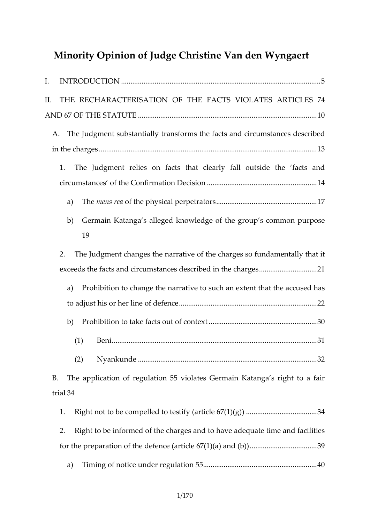|                                                                     | Minority Opinion of Judge Christine Van den                           |  |  |  |
|---------------------------------------------------------------------|-----------------------------------------------------------------------|--|--|--|
|                                                                     |                                                                       |  |  |  |
| II. THE RECHARACTERISATION OF THE FACTS VIOLATES                    |                                                                       |  |  |  |
|                                                                     |                                                                       |  |  |  |
| A. The Judgment substantially acash safond mosirtchuem stances desc |                                                                       |  |  |  |
|                                                                     |                                                                       |  |  |  |
|                                                                     | 1. The Judgment relies on facts that clearly fall outsi               |  |  |  |
|                                                                     |                                                                       |  |  |  |
|                                                                     |                                                                       |  |  |  |
| 19                                                                  | b) Germain Katanga s alleged knowledge of the group s                 |  |  |  |
|                                                                     | 2. The Judgment changes the narrative of the charges so               |  |  |  |
|                                                                     | exceeds the facts and circumstances described i a.1the cha            |  |  |  |
|                                                                     | a) Prohibition to change the narrative to such an extent              |  |  |  |
|                                                                     |                                                                       |  |  |  |
|                                                                     |                                                                       |  |  |  |
| (1)                                                                 |                                                                       |  |  |  |
|                                                                     |                                                                       |  |  |  |
| B. The application of regulation 55 violates Germain Kata           |                                                                       |  |  |  |
| tria3l4                                                             |                                                                       |  |  |  |
|                                                                     | 1. Right not to be compelled to testify. (article 6. 28. (4.1.) (.g.) |  |  |  |
|                                                                     | 2. Right to be informed of the charges and to have adequa             |  |  |  |

a) Timing of notice under regulation 55 ................................ ............................. 40

for the preparation of the defence (article 6.7(1.)(3a9) .and (b.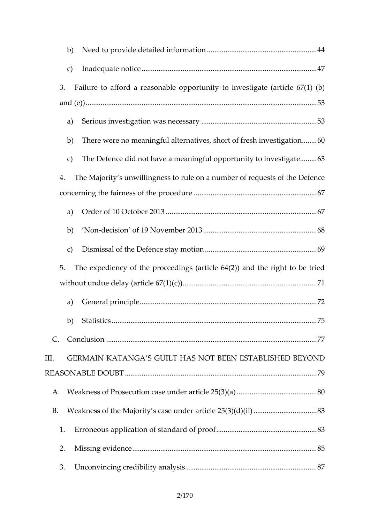| 3. Failure to afford a reasonable opportunity to investig           |  |
|---------------------------------------------------------------------|--|
|                                                                     |  |
|                                                                     |  |
| b) There wenro meaningful alternatives, short.o.f.6f@esh inv        |  |
| c) The Defence did not have a meaningful oppo 6.60 unity to         |  |
| 4. The Majority s unwillingness to rule on a number of req          |  |
|                                                                     |  |
|                                                                     |  |
| b)                                                                  |  |
|                                                                     |  |
| 5. The expediency of the proceedings (article 64(2)) and            |  |
|                                                                     |  |
|                                                                     |  |
|                                                                     |  |
|                                                                     |  |
| III. GERMAIN KATANGA S GUILT HAS NOT BEEN ESTABLISH                 |  |
|                                                                     |  |
| A. Weakness of Prosecution case under article 2.5 (830) (.a.)       |  |
| B. Weakness of the Majority s case under article  2853 (3.) (d) (ii |  |
| 1. Erroneous application of standard.of.pro.of8.3                   |  |
|                                                                     |  |
|                                                                     |  |
|                                                                     |  |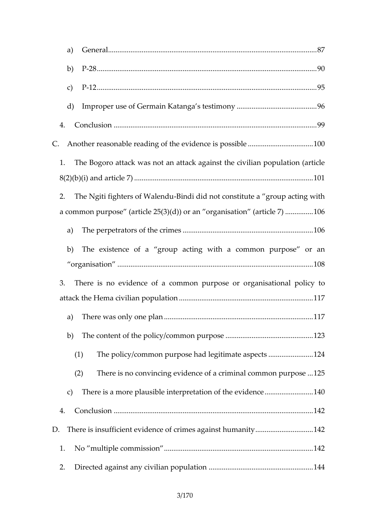| d) Improper use of Germain Kantyanga.s.testim.o9.6                                                                                          |  |
|---------------------------------------------------------------------------------------------------------------------------------------------|--|
|                                                                                                                                             |  |
| C. Another reasonable reading of the evidence is 1000s sible.                                                                               |  |
| 1. The Bogoro attack was not an attack against the civilia                                                                                  |  |
| 2. The Ngiti fighters oBli Mobil ed nidd un ot constitute a group act<br>a common purpose (article $25(3)(d)$ ) or anorg. and $68$ a.t. ion |  |
|                                                                                                                                             |  |
| b) The existence of a group acting with a common p                                                                                          |  |
| 3. There is no evidence of a commogannipsuartpions all oproloicy to                                                                         |  |
|                                                                                                                                             |  |
| b) The content of the policy/comman.purpose1.23                                                                                             |  |
| (1) The policy/common purpose had legitimate 24 spects.                                                                                     |  |
| (2) There is no convincing evidence of a crimi2n5al comm                                                                                    |  |
| c) There is a more plausible interpretation.o.f. the oviden                                                                                 |  |
|                                                                                                                                             |  |
| D. There is insufficient evidence of crimes against4 2umanity                                                                               |  |
|                                                                                                                                             |  |
|                                                                                                                                             |  |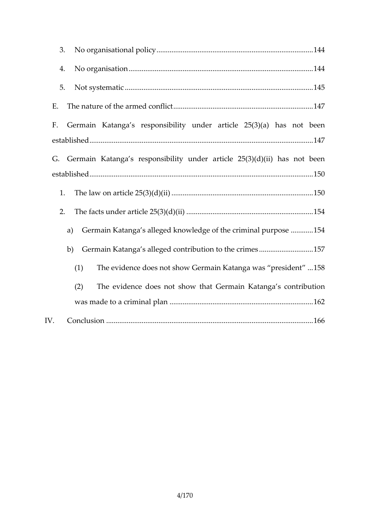| F. Germain Katanga s responsibility under article 25(3)     |  |
|-------------------------------------------------------------|--|
| G. Germain Katanga s responsibility under article 25(3)(d   |  |
|                                                             |  |
|                                                             |  |
| a) Germain Katanga s alleged knowledge o.f. .the 5c4 iminal |  |
| b) Germain Katanga s alleged contribution to the 7ctimes.   |  |
| The evidence does not show Germain Kata55@a was<br>(1)      |  |
| The evidence dsoheoswnbhat Germain Katanga s contr<br>(2)   |  |
|                                                             |  |
|                                                             |  |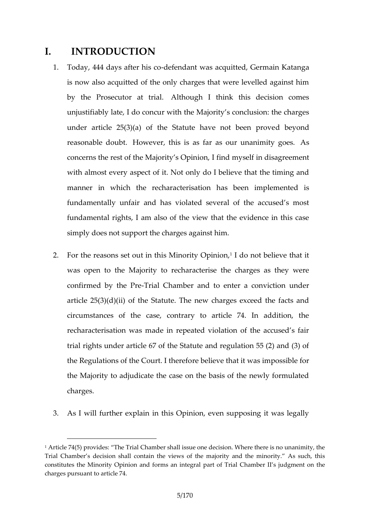# I. INTRODUCTION

- 1. Today, 444 days adted enholandowas acquitted, Germain Kat is now alsoit teen chard fitted only charges that were levelled a by the Prosecutor Adthonuigh. I think this decision com unjustifiably late, I do concur with the Majority s conclu under article  $25(3)(a)$  of the Statute dhene prove mot been reasonable dbawbever, this is as far as our Ausnanimity g concerns the rest of the Malidintdy s  $\sqrt{3}$  pullion disagreement with almost every aspect of it. Not only do I believe that manner in which the erissaltiagrachas been implemented fundamentally unfair and has violated several of the a fundamental rights, I am also of the view that the evide simply does not support the charges against him.
- 2. For the reasons set Mointornity hopindonnot believe that it was opten the Majority to recharacterise the charges a confirmed by the aPr@hamber and to enter a conviction article  $25(3)(d)(ii)$  of the Statute. The new charges exc circumstances of the case, contrary to article 74. In recharacterisation was made in repeated violation of the trial rights under article 67 of the Statute and regulation the Regulations of the Courtlib the theat it was impossible the Majority to adjudicate the case on the basis of the charges.

3. As I will further explain in this Opinion, even supposing

<sup>1</sup>Article 74(5) provides: The Trial Chamber shall issue one decision. Where there is no unanimity of the issue on the issue of the issue on the thermalism. Trial Chamber s decision shall contain the views of the majority and the constitutes the Minority Opinion and a formal Tarmal notament part of Trial part of Trial part of Trial part o charges pursuant to article 74.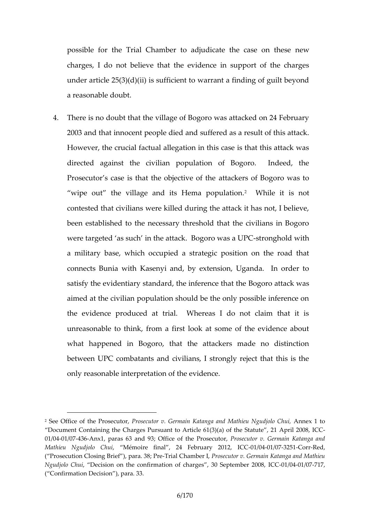possible for the Trial Chamber to adjudimetue the case charges, I do not believe that the evidence in support under article  $25(3)(d)(ii)$  is sufficient to warrant a finding a reasonable doubt.

4. There is no doubt that the village of Bogoro was attacke 2003 amat tinnocent people died and suffered as a result However, the crucial factual allegation in this case is the directed against the civilian population of Bogoro. Prosecutor s case is that the too boject is verice of  $\theta$  or  $\phi$  are at all  $\theta$ 

wipe out the village and its HemWahilpeopitulation of contested that civilians were killed during the attack it been established to the necessary threshold that the ci were tarogetes such in the attack. Beot**gonghood than UPC** a military base, which occupied a strategic position on connects Bunia with Kasenyi and, by extension, Uganda satisfy the evidentiary standard,  $t$ Begion for ractional sthe  $\epsilon$ aimed at the civilian population should be the only poss the evidence produced at trial. Whereas I do not cl unreasonable to think, from a first look at some of the what happened in EBatgothe, attackers made no distinct between UPC combatants and civilians, I strongly reject only reasonable interpretation of the evidence.

<sup>&</sup>lt;sup>2</sup> Se Office of the Pr**Bsesetator** v. Germain Katanga and Amentes in Nogudjolo Document Containing the Charges Pursuant to Article or 611 (200 0263, of the S 01/0041/0473 & nx1paras 63 and 93; Office of Ptrhoes ePcruotso-eruto-Germain Katanga Mathieu Ngudjolo MGehmudire final , 24 FebrQ 600 y/602410/16272 500 r-Red ( Prosecution Closing Brief T)rian and De P; In Paraecutor v. Germain Katanga and Ngudjolo, Chouicision on the confirmation of charges  $\odot$  30008 entermber 2008  $($  Confirmation Depcassion 33,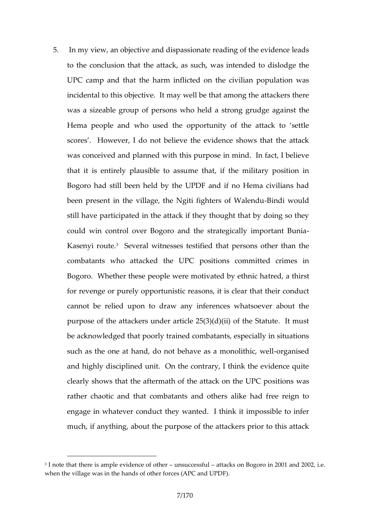5. In my view, an objective and dispassionate reading of th to the conclusibe althatck, as such, was intended to dislo UPC camp and that the harm inflicted on the civilian p incidental to this objective. It may well be that among t was a sizeable group of persons who heilndstatherong gru Hema people and who used the opportunity of the att scores . However, I do not believe the evidence shows was conceived and planned with this purpose in mind. I that it is entirely plausse the atto afs sine military position Bogoro had still been held by the UPDF and if no Hema been present in the village, the Ngit-Bifrightwouldf Walen still have participated in the attack if they thought that coud win control over Bogoro and the strategically impo Kasenyi ro**Gte**.eral witnesses testified that persons othe combatants who attacked the UPC positions committe Bogoro. Whether these people were more dy a tetch in the set of the tethnic for revenge or purely oppoorsumitstic cricas that their condu cannot be relied upon to draw any inferences whatsoe purpose of the attackers under article  $25(3)(d)(ii)$  of the be acknowledge ob the pained combatants, especially in situations such as the one at hand, do not behave reasinasendo nolithic and highly disciplined unit. On the contrary, I think the clearly shows that the aftermath of the itations kwas the UP rather chaotic and that combatants and others alike had engage in whatever conduct they wanted. I think it imp much, if anything, about the purpose of the attackers pr

<sup>&</sup>lt;sup>3</sup> I note that there is ample evidence estatul this on Bogoro in 2001 and 2002 when the village was in the hands of other forces (APC and UPDF).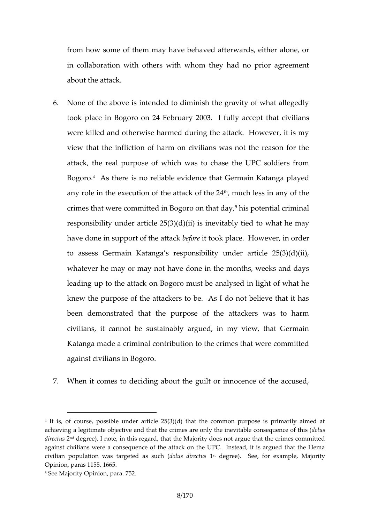from how some of the methy a hed afterwards, either alone in collaboration with others with whom they had no pri about the attack.

6. None of the above is intended to diminish the gravity of took place in Bogoro on 24 February t2hQaQt3civilifauniby acc were killed and otherwise harmed during the attack. Ho view that the infliction of harm on civilians was not the attack, the real purpose of which was to chase the UP BogotoAs there is limado lie evidence that Germain Katanga played any ronethie execution of the  $a^h$ ttanouk chofielise  $2n4$  any of the crimes that were committed in B<sup>5</sup>omg of the monthall cortain in all responsibility under article  $25(3)(d)$  bijw hat inevitably tied have done in support beftohteet attack and ace. However, in order to assess Germain Katanga s responsibility under arti whatever he may or may not have done in the months, w leading up to the  $B$ tdgo koomust be analysed in light of w knew the purpose of the attackers to be. As I do not b been demonstrated that the purpose of the attackers civilians, it cannot be sustainably argued, in my view Kaanga made a criminal contribution to the crimes that w against civilians in Bogoro.

7. When it comes to deciding about the quilt or innocence

5See Majority Opinion, para. 752.

 $4$  It is, of course, possible under article  $25(3)(d)$  that the common purpose achieving a legitimate objective and doth at the eince winters are consequies are of the inclusion of the consequence of the consequence of the consequence of the consequence of the consequence of the consequence of the co direc2wsdegree). I note, in this regard, that the Majority does not argue t against civilians were a consequence of the attack on the UPC. Instead cvilian population was targeled dsadirseted besauree). See, for example, Maj Opinion, paras 1155, 1665.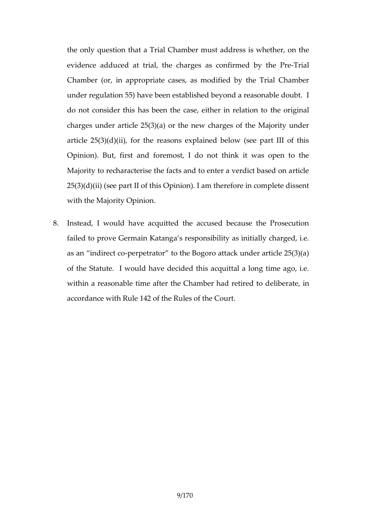the only question that a Trial Chamber must address is evidence adducterial, the charges as conflirmed by the Chamber (or, in appropriate cases, as modified by the under regulation 55) have been established beyond a rea do not consider this has been the castee exitherinah relati charges under article  $25(3)(a)$  or the new charges of the article  $25(3)(d)(ii)$ , for the reasons explained below (see Opinion). But, first and foremost, I do not think it wa Majority to recharanct  $\theta$  and to enter a verdict based on and  $\theta$  $25(3)(d)(ii)$  (see part II of this Opinion). I am therefore with the Majority Opinion.

8. Instead, I would have acquitted the accused because failed to prove Germaa is nitially as initially charge as an indirect pedrator to the Bogoro attack under artic of the Statute. I would have decided this acquittal a Ide within a reasonable time after the Chamberahad imetired accordance with Rule 142 of the Rules of the Court.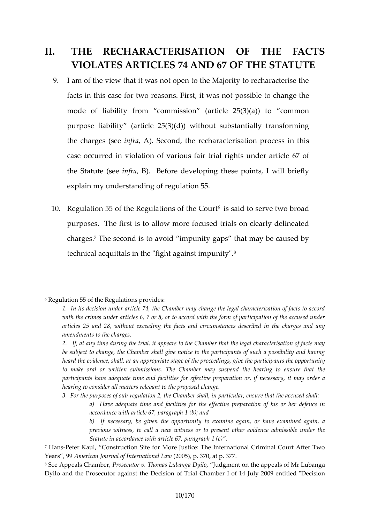# II. THE RECHARACTEQNSADIF THE FACTS VIOLATES ARTICLES TO THE SETATUT

- 9. I am of the view that it was not open to the Majority to re facts in this case fost. the osteasown as not possible to chan mode of liability from commission (article  $25(3)(a)$ ) purpose liability (article  $25(3)(d)$ ) without substantial the charges in  $f$  is  $\hat{x}$  essecond, the recharacterisation process case wrored in violation of various fair trial rights under the Statuten (s.)e Before developing these points, I will explain moveustanding of regulation 55.
- 10. Regulation 55 of the Regulations age the secondition broad purposes. The first is to allow more focused trials on  $\alpha$ chargelshe second is to avoid impunity gaps that may b tehnical acquittals in the "fight<sup>8</sup> against impunity".

<sup>6</sup>Regulation 55 of the Regulations provides:

<sup>1.</sup> In its decision under article h7a4n, gehthe Chambele thranage terisation of facts to accord facts to accord with the crimes under articles 6, 7 or 8, or to accord with the form of articles 25 and 28, without exceeding the facts and circummy stances amendments to the charges.

<sup>2.</sup> If, at any time during the trial, it appears to the Chamber that t be subject to change, the Chamber shall give notice to the participa heard ethielence, shall, at an appropriate stage of the proceedings, give to make oral or written submissions. The Chamber may suspend t participants have adequate time and afrandibintieos, for reefteensts arey priet may hearing to consider all matters relevant to the proposed change.

<sup>3.</sup> For the purproes geus adfosnub, the Chamber shall, in particular, ensure a) Have adequate time tahmed efface cltiitive spfroeparation of his or he accordance with article 67, paragraph 1 (b); and b) If necessary, be given the opportunity to examine again,

previous witness, to call a new witness acchromics por besented oth behred Statute in accordance with article 67, paragraph 1 (e) .

<sup>&</sup>lt;sup>7</sup> Han-Peter Kaul, Construction Site for More Justice: The International C Years , A shotherican Journal of Int<sup>2</sup> 0<sup>n</sup> (and al 3<sup>7</sup> at p. 377.

<sup>&</sup>lt;sup>8</sup> See Appeals ChPamobec, utor v. Thomas, Lubuang maen Dtyolno the appeals of Mr Lu Dyilo and the Prosecutor against the Decision of Trial Chamber I of 14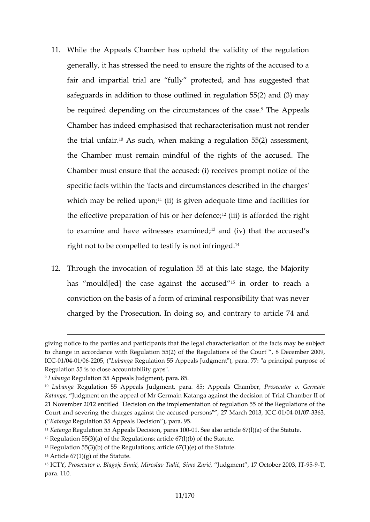- 11. While the Appeals Chamber has upheld the validity of generally, it has stressed the need to ensure the rights fair and impartial trial are fully promotopeed teedd, talmadt has safeguards in addition to ith  $\sigma$ se udatione  $\delta$ 5(2) and (3) may be required depending on the circums haen chaps on the cas Chamber has indeed emphasised that recharacterisation the trial  $\hat{u}$ <sup>n</sup> $\hat{A}$  airs. uch, enw making a regulation 55(2) assess the Chambuest memain mindful of the rights of the accu Chamber must ensure that the accused: (i) receives pro specific facts within the 'facts and circumstances descri which may be relite(dii) upisong; iven adequaned efatcimieties for the effective preparation of has ion insentent dethe right to examine and have witne's and  $\phi$  ixes) minard; the accused s right not to be compley lesd ntoot tiens filtinged.
- 12. Through the invocation of regulation 55 at this late sta has mould[ed] the case againsin toned earcotos  $\boldsymbol{\epsilon}$  dach a conviction on the basis of a form of criminal responsibility charged by the uffiroons. In doing so, and contrary to articl

giving notice to the parties and part $\dot{\mathbf{c}}$  and  $\ddot{\mathbf{c}}$  returnated in the diegale facts may be to change in accordance with Regulation  $55(2)$  of the Regulations of the IC  $@$  1/0041/026205Lu(BanRgeagulation 55 Appeals Judgment"), para. 77: "a prin Regulations 55 close accountability gaps".

<sup>&</sup>lt;sup>9</sup> Luban Regulation 55 Appeals Judgment, para. 85.

<sup>&</sup>lt;sup>10</sup> Luban**ga** gulation 55 Appeals Judgment, para. **8**75; ps Aeppe oarls v. Chamer threari, n Katangaludgment on the appeal of Mr Germain Katanga ab Chiamst the Ildetisi 21 November 2012 entitled "Decision on the implementation of regulation Court and severing the charges against the accused-0ple 084 0 h0873 6327 March ( Katan Ryengulation  $55$  Apipseiahs )Depeara. 95.

 $11K$ atan Rengulation 55 Appeals Dec-Osion Sepaals so 1a0 roticle 67(l)(a) of the Statu  $12R$ equlation 55(3)(a) of the Regulations; article 67(1)(b) of the Statute.  $13R$ egulation 55(3)(b) of the Regulations\$ tantuitede 67(1)(e) of the  $14$ Article  $67(1)(g)$  of the Statute.

<sup>15</sup>ICTYP, rosecutBolagy Sijien, i Miros Tlad, i Simo Zaluidgment, 17 Octob 9e59-P2003, IT para. 110.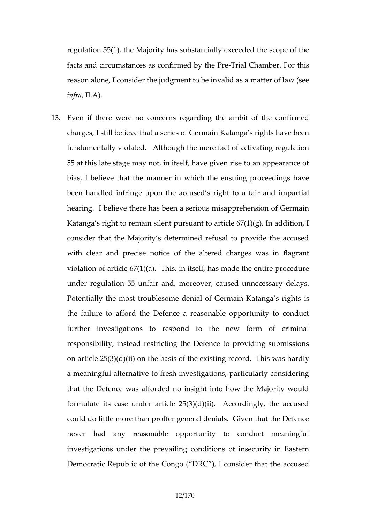regulation 55(1), the Majority has substantially exceede facts and circumstances as conTificant end his have been from this reason alone, I consider the judgment the  $\theta$  be liaw a  $\theta$  is deeds a  $int$ ral $A$ ).

13. Even if there were no concerns regarding the ambit of charges, I still believe that a series of Germain Katanga fundamentally violated. the limberup fact of activating regulation 55 at this late stage may not, in itself, have given rise to bias, I believe that the manner in which the ensuing pi been handled infringe upon the accused s riament to a fa hearing. I believe there has been a serious misapprehe Katanga s right to remain silent pursuant to article 67(1) consider that the Majority s determined refusal to prov with clear and precossetheotadeered charges was in flag violation of article  $67(1)(a)$ . This, in itself, has made the entire procedure procedure procedure procedure procedure procedure procedure procedure procedure procedure procedure procedure procedure procedure procedure pr under regulation 55 unfair and, moreover, caused unne Potentially the most troublesome denial of Germain Kat the failure to afford the Defence a reasonable opportu further investigations to respond to the new form responsibility, instead restricting the Defence to provid on article  $25(3)(d)(ii)$  on the eingasies confolthe The issis was hardly a meaningful alternative to fresh investigations, particular that the Defence was afforded no insight into how the formulate its case under article  $25(3)(d)(ii)$ . Accordingly, the accuration could dotle more than proffer general denials. Given that never had any reasonable opportunity to conduct investigations under the prevailing conditions of insect Democratic Republic of the Congo (DRE acdusemdsider that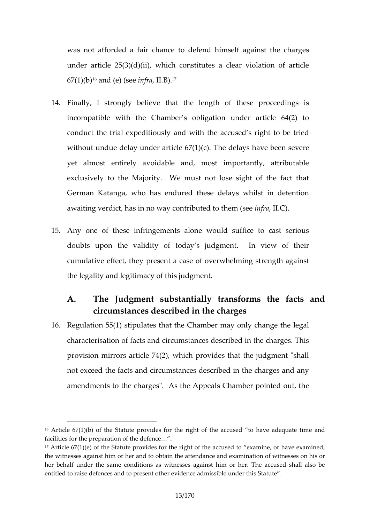was not afforded a fair chance to defend himself agai under article  $25(3)(d)(ii)$ , which constitutes a clear violation  $67(1)$ [bond (e) insteps al B).<sup>17</sup>

- 14. Finally, I gsty robnelieve that the length of these procee incompatible with the Chamber s obligation under art conduct the trial expeditiously and with the accused s without undue delay under  $\vec{a}$  the cose loat  $\vec{a}$  ) (are evere been severe be delay severe  $\vec{b}$ yet almost entirely avoidable and, most importantly, exclusively to the Majority. We must not lose sight of German Katanga, who has endured these delays whilst a waiting verdict, has in no wahye monthem information to the want of the month of the medicine and  $\alpha$  and  $\alpha$
- 15.Any one of these infringements alone would suffice to doubts upon the validity of today s judgment. In view cumulative effect, they present a caseen  $\theta$  fho  $\theta$   $\theta$  a wheelming the legality and legitimacy of this judgment.
- A. The Judgment substantially transforms the circumstances described in the charges 16.Regulation 55(1) stipulates that the Chamber may only characterisation of infrancerins tame constances described in the charges provision mirrors article  $74(2)$ , which provides that the not exceed the facts and circumstances described in the amendments to the charges". As the Appeals Chamber point

 $16$ Article  $67(1)(b)$  of the Statute provides for the right of teheaned cused facilities for the preparation of the defence&.

 $17$ Article  $67(1)(e)$  of the Statute provides for the right of the accused to the witnesses against him or her and to obtain the attendance and examination of wither her behalf under the same conditions as witnesses against him or her. entitled to raise defences and to present other evidence admissible unde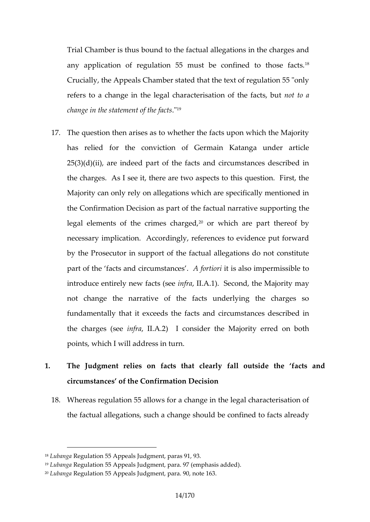Trial Chamber is thus bound to the factual allegations in any application of regulation 55 must be Confined to Crucially, the Appeals Chamber stated that the text of regulation refers to a change in the riseaguable hoefrabe mfoatt tso, abut change in the statement of the facts

- 17. The question then arises as to whether the facts upon w has relied for the conviction of Germain Katanga u  $25(3)(d)(ii)$ , are indeed paamt ocfirthue m stands and described in the charges. As I see it, there are two aspects to this Majority can only rely on allegations which are specifically the Confirmation Decision as part of the factureal narrative legal elements of the c<sup>ep</sup>romes who has a part thereof by necessary implication. Accordingly, references to evide by the Prosecutor in support of the factual allegations part of the facts and circums the misc east impermissible to introduce entirely newnffranchts  $\mathcal{A}$  (see cond, the Majority may not change the narrative of the facts underlying the fundamentally that intee facetesd santd circumstances describe the charges infinitional  $2A$ . I consider the Majority erred on points, which I will address in turn.
- 1. The Judgment relies on facts that clearby thandutsid circumstances of the Confirmation Decision
	- 18. Whereas regulation 55 allows for a change in the legal c the factual allegations, such a change should be confine

<sup>18</sup>Luban Ryeagulation 55 Appeals Judgment, paras 91, 93.

<sup>19</sup>Lubanga Regulation 55 Appeals Judgment, para. 97 (emphasis added).  $20$ Luban Rgeagulation 55 Appeals Jugd0g, mneontte,  $\beta$  @a3a.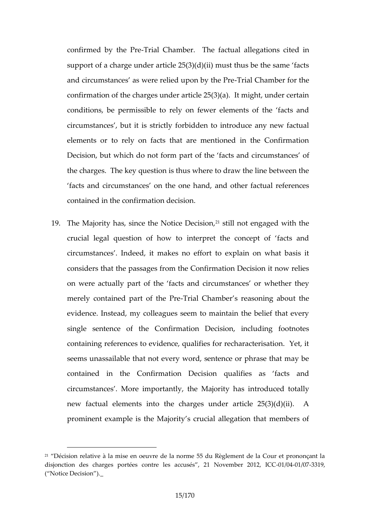confirmed by tThreia Pr@chamber. The egia citourasi alted in support of a charge under article  $25(3)(d)(ii)$  must thus and circumstances as were reli- $\overline{\Phi}$ diaulp $\Omega$ m abnybtehre f $\overline{\Theta}$ rrethe confirmation of the charges under article  $25(3)(a)$ . It mi conditiones, pebrmissible to rely on fewer elements of the circumstances, but it is strictly forbidden to introduce elements or to rely on facts that are mentioned in the Decision, but which do not form part com shean of easy tso fand c the charges. The key question is thus where to draw the facts and circumstances on the one hand, and other f contained in the confirmation decision.

19. The Majority has, since the <sup>2</sup> is both ideas  $\theta$  be  $\phi$  as  $\theta$  and  $\theta$ , with the crucial legal questioninaterhow tto interpret of facts and circumstances. Indeed, it makes no effort to explain on considers that the passages from the Confirmation Decis on were actually the art facts and circumstances or wheth merely contained part Troitalth Ceha Pm ter s reasoning about the reasoning evidence. Instead, my colleagues seem to maintain the single sentence of the Confirmation Decision, includ containing references to evidence, qualifies for recharad seems unassailable that not every word, sentence or ph contained in the Confirmation Decision qualifies as circumstances . More importathytly asthiont Mbadjoored totally new factual elements into the charges under article 2 prominent example is the Majority s crucial allegation t

<sup>&</sup>lt;sup>21</sup> Décision relative à la mise en oeuvre de la norme 55 du Règlement d disjonction des charges postéæcscucsoénstre 211 Novemb-011/020411/02373190,C ( Notice Decision ).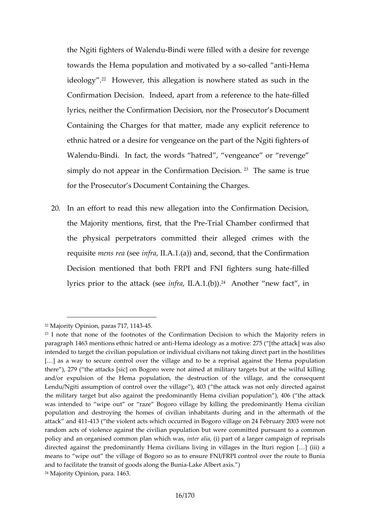the Ngiti fighters oBBinWobilewnedrue filled with a desire for revent towards thea Holomoulation and motiv-asted ble obly-behave tenical ideology However, this allegation is nowhere stated as Confirmation Decision. Indeed, apart from ilder deference lyrics, neither the Confirmation Decisios, Droccumbeent Prosed Containing the Charges form atcheata myate **splicit** reference to ethnic hatred or a desire for vengeance on the part of the Walen Bundi. In fact, the words hatred, vengeance or simply do not appea  $G$  oimfirmation  $29$   $\overline{d}$  diesissame is true for the osecutor s Document Containing the Charges.

20.In an effort to read this new allegation into the Confirm the Majority mentions, firsTriahaOthtahneb Preconfirmed that the pshiy cal perpetrators committed their alleged crime requism tens (reeanfrall.Aa) and, second, that the Confirmat Decision mentioned that both FRPI and Finledighters su lyricos rior to the attian  $\frac{d}{d}$  is  $\frac{d}{d}$ . Another new fact, in

 $22M$ ajority Opinion, par $45.717$ , 1143

<sup>&</sup>lt;sup>23</sup>l note that none of the footnotes of the Confirmation Decision to wh paragraph 1463 mentions ethinHemhatindeedology anas a motive: 275 ( [the attac intended to target the civilian population or individual civilians not takin [&] as a way to secure control over the village and to beulæt the parisal ago there ), 279 ( the attacks [sic] on Bogoro were not aimed at military tar and/or expulsion of the Hema population, the destruction of the villa Lendu/Ngiti assumption of control, doogr (the evall bagook ) was not only directed the military target but also against the predominantly Hema civilian pop was intended to wipe out or raze Bogoro village by killing the pred population a late stroying the homes of civilian inhabitants during and in attack and 1431 1 the violent acts which occurred in Bogoro village on 24 F random acts of violence against the civilian peplupautrisonabut tower commonit policy and an organised commoninpthearn, awhihaid phan whan sf, a larger campaign of re directed against the predominantly Hema civilians living in villages in means to wipe outgethed Biogaporo so as to ensure FNI/FRPI control over t and to facilitate the transit of geloadsee a Albehearthe axiBunia 24Majority Opinion, para. 1463.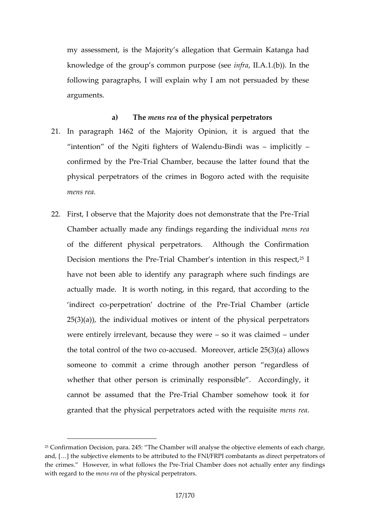my assessment, is the Majority s allegation that Germa knowledge of the group s commion purposed insering followg paragraphs, I will explain why I am not persuad arguments.

- a) Themens pefathe physical perpetrators  $21.$ In paragr $\frac{1}{4}$   $\frac{1}{4}$   $\frac{1}{4}$  and the Majority Opinion, it is argued that intention of the Ngiti fighteBrisndoif wWatenhephidouitly confirmed by fThreaPr@hamber, because the latter found that physical perpetrators of the crimes in Bogoro acted wi mens rea.
- 22. First, I observe that the Majority does not To earth onstrate Chamber actually minadiengasny reformating the mineral mental  $\sim$ of the different physical perpetrators. Although the Decision mentions ribe  $\mathbb P$  rember s intention  $^{2}$ Fn this respection  $\mathbb P$ have not been able to identify any paragraph where su actulal madelt is worth noting, in this regard, that according indirect peometration doctrine -Toffalth Gh & Pre ber (article  $25(3)(a)$ , the individual motives or intent of the physi were entirely irrelevant, becauset twhae weuned in the total control of at the state of compression article  $25(3)(a)$ someone to commit a crime through another person whether that other person is criminally responsible. cannot be asthuantethe-TPFirael Chamber somehow took it for granted that the physical perpetrators ance and we the requirement of the requirement of  $\alpha$

 $25C$  onfirmation Decision, para. 245: The Chambeer lewmile natus aolyf see a the chair enect. and, [&] the subjective elements to be attributed to the FNI/FRPI combat the crimes. However, in what Trical I o W hsath head Proboes not actually enter any with regard ments withe physical perpetrators.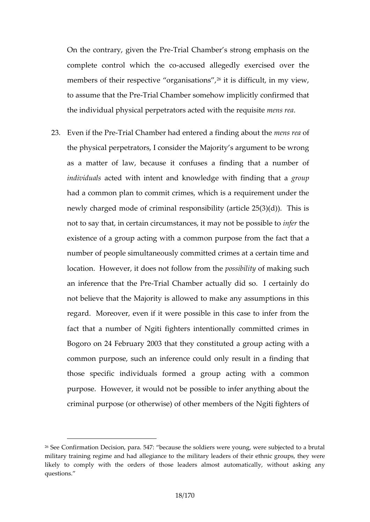On the contrary, givTerniath Chameber s strong emphasis on complete control which the coollegedly exeminesed over members of their respective<sup>26</sup>iorigs and initiation hts in my view, to assume that T thae E reamber somehow implicitly confirme the individual physical perpetrators amtems with the requisition

#### $23.Even$  if the Frenche Chamber the and deal finding an beonustor the mense of  $km$

the physical perpetrators, I consider the Majority s argu as a matter of law, because it confuses a finding that individua actsed with intent and knowledge wgith ufpinding that had caommon plan to commit crimes, which is a requireme newly charged mode of criminal responsibility (article 2 not to say that, in certain circumstances inifted the y not be possible to infer the meaning the sense of the t existence of a group actimog wpith  $p$  as eof mone the fact that number of people simultaneously committed crimes at a c location. However, it does noptofsosiliko politi**ty a k**nintones uch

an inference thal riale CPhamber actually did so. I certain not ebieve that the Majority is allowed to make any assum regard. Moreover, even if it were possible in this case fact that a number of Ngiti fighters intentionally comm Bogoro on 24 February 2003 tuthed they coupon acting with a common purpose, such an inference could only result in those specific individuals formed a group acting with purpose. However, it would not be possible to infer any criminal purpose (or o therwise) of other members of the Ngiti fighters of

 $26$ See Confirmation Decision, para.  $547$ : because the soldiers were young military training regime and had allegiance to the military leaders of the likely to comply woint the of those leaders almost automatically, without questions.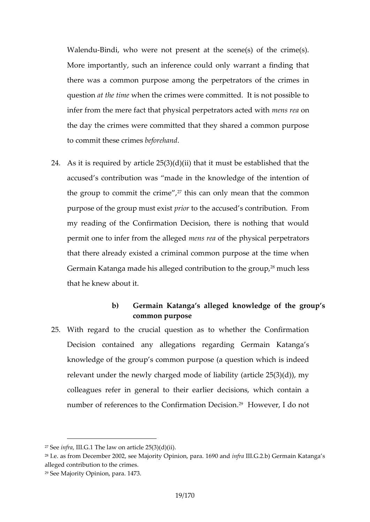Walen $\Phi$ undi, who were not present at the scene(s) of the More importantly, such an inference could only warrant there was a common purpose among the perpetrators of questianthe wimmen the crimes were committed. It is not possible to the crimes were committed. infer from the mere fact that physical peerpse tomeed ors acted the day the crimes were committed that they shared a  $c<sub>1</sub>$ to commit the s**b**eoforme besand

- 24.As it is required by article  $25(3)(d)(ii)$  that it must be e accused s contribution was made in the knowledge of t the group to commit<sup>2</sup> the existence only mean that the comm purpose of the group minust the accused s contribution. From my reading of the Confirmation Decision, there is noth permit one to infer from the ceelle dengee of hysical perpetrators that there already existed a criminal common purpose a Gemain Katanga made his alleged cont<sup>agi</sup>m ution detsos the group that he knew about it.
	- b) Germain Katanga s alleged knowledge of the common purpose
- 25. With regard to the crucial question as to whether the Decision contained amys addoeagradtiing Germain Katangas knowledge of the group s common purpose (a question which is relevamt ur the newly charged mode of liability (article 25) colleaguefser in general to their earlier decisions, whic number oefferences to the Confirm<sup>2</sup>atHioonweDveeori,siondo not

 $27S$ e enfrall. GT the law on article  $.25(3)(d)(ii)$ 

<sup>&</sup>lt;sup>28</sup>I.e. as from D**2002, belegority Opinion**, parainfirMa90Ga2Gob) main Katanga s alleged contribution to the crimes . 29See Majority Opinion, para. 1473.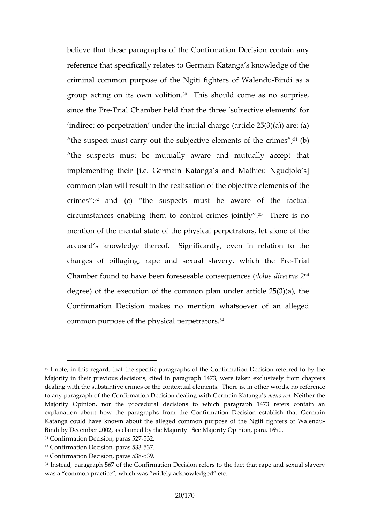believe that these paragraphs of the Confirmation Decis reference that specifically relates to Germain Katanga s criminal common purpose of the  $N$  beinid Bring bothers of Wa group acting on its  $o^3$  on This  $\delta$  is the solution as no surprise since the Frence Chamber held that the three subjective e indirecpecropetration under the initial charge (article  $25($ the suspect cracusy out the subjective eleme<sup>1</sup>n bs of the cri the suspects must be mutually aware and mutually implementing their [i.e. Germain Katanga s and Mathie common plan will result in the realisation dithee objective crime<sup>3</sup> and (c) the suspects must be aware of the circumstances enabling them to con<sup>3</sup>trDhe ceimis snotintly. mention of the mental state of the physical perpetrators accused s knowledge thereofeveShigimifireed ation to the charges of pillaging, rape and sexual s-Tavælry, which Chamber found to have been forese $\boldsymbol{\epsilon}$  and  $\boldsymbol{\epsilon}$  and  $\boldsymbol{\epsilon}$  and  $\boldsymbol{\epsilon}$ degree) of the execution of the common plan under arti Confirmation **Demaskes** no mention whatsoever of an a common purpose of the physi<sup>3</sup> dal perpetrators.

<sup>301</sup> note, in this retcheerds, pelcatric paragraphs of the Confirmation Decision r Majority in theiolusprobev ciscicotessd in paragraph 1473e, x owhen seivifeably me nchapters. dealing with the substantive crimes or the contextuwaolred lead theorie Tehme ore is to any paragraph of the Confirmation Decision deamineng s white bainfolder milaten Katanga s Majority Opinion, nor the procedural decisions to which paragraph ' explanation about how the paragraphins aftriorm Dhesci $\mathcal{S}$ ion es $\mathcal{S}$ æbrimisahinthat Katanga could have knownableged common purpose of the Ngiti fighters Bindi by December 2002, as claimed by the Majority. See Majority Opinion,  $31C$  onfirmation Decision,  $32a$  aras  $527$  $32C$  onfirmation Decision,  $3\overline{p}$  aras 533  $33C$  onfirmation Decision  $539$  aras  $538$ 

 $34$ Instead, par $56$ *i*zaph the Confirmation  $\mathcal D$  existion fact et hat rape and sexual s was a common practice , which was widely acknowledged etc.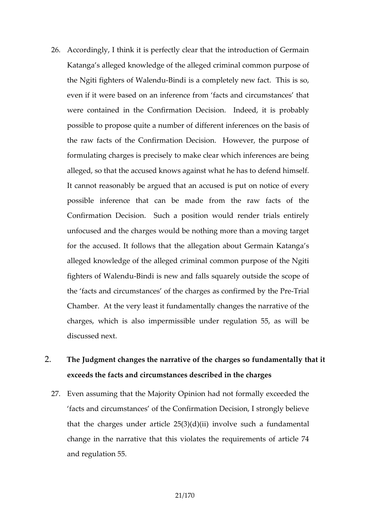- 26.Accordingly, I think it is perfectly clear that the introdu Katanga s alleged knowledge of the alleged criminal com the Ngiti fight the asteon Boliundi is a completely new fact. This even if it were based on an inference from facts and ci were contained in the Confirmation Decision. Indeed, possible to propose quite a number oof n dtihit be bearstisin of ference the raw facts of the Confirmation Decision. However, formulating charges is precisely to make clear which infe alleged, so that the accused knows against what he has It cannot reasenaby yed that an accused is put on notice possible inference that can be made from the raw Confirmation Decision. Such a position would render unfocused and the charges would be nothing more than a forthe accused. It follows that the allegation about German alleged knowledge of the alleged criminal common purpo fighters of W-Biaddus new and falls squarely outside the the facts and circumstances  $\circ$  of the charge of the  $\cos \theta$  shead Pre-Chamber. At the very least it fundamentally changes the charges, which is also impermissible under regulation discussed next.
- 2. The Judgment changes the narrative of the chhartgets so fund exceeds the facts and circumstances described in the ch
	- 27. Even assum and the Majority Opinion had not formally exce facts and circumstances of the Confirmation Decision, that the charges time de  $2543$ )  $(d)$   $d$   $y$  (dive such a fundamental change in the narrative that this violates the requirement and regulation 55.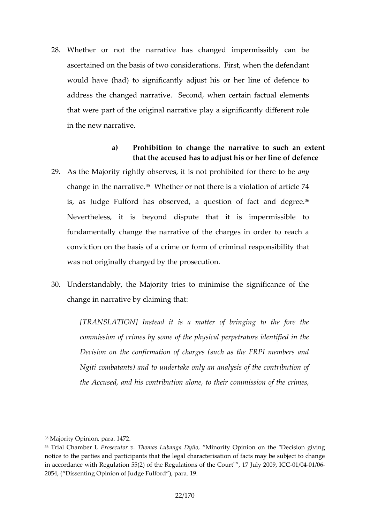- 28. Whether or not the narrative has changed impermiss ascertained on the basis of two considerations. First, when would have (had) to significantly adjust his or her line address the changed narrative. Second, when certain that were part of the original narrative play a significar in the new narrative.
- a) Prohibititon change the narrative to such an that the accused has to adjust his or her line 29.As the Majority rightly observes, it is not anyhibited for change in the n<sup>5</sup>aWrbather or not there is a violation of ar is, as Judge Fulford has observed, a question of fact Nevertheless, it is beyond dispute that it is imper fundamentally change the narrative of the charges in o conviction on the basis of a crime oronform lidity othinatinal responsion was not originally charged by the prosecution.
- 30. Understandably, the Majority tries to minimise the sign change in narrative by claiming that:

[TRANSLATION] Instead it is a matter of bringing commissiom ext by isome of the physical perpetrators identified in the physical perpetrators in Decision on the confirmation of charges (such as the Ngiti combatants) and to undertake only an analysis of the  $Accused$ , and his contribuntimoins sailcom  $\omega$ , f to the dimension of the crimess,

<sup>35</sup>Magrity Opinion, para. 1472.

<sup>36</sup> Trial Cham bPeroslecut To hrown as Luban, ga MD nyour to pinion on the "Decision given by notice to the parties and participants that the legal characterisation of in accord want the Region hat  $55(2)$  of the Regulations of the Co-01 th " $6041$   $1076$  July 2009 2054, ( Dissenting Opinion of Judge Fulford ), para.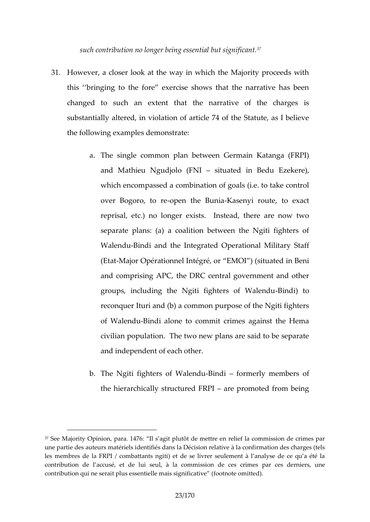such contribution no longer being<sup>37</sup>essential but signifi

- 31. However, a closer look at the way in which the Majority this bringing to the fore exercise shows that the nar changed to such amatextent interrative of the charges substantially altered, in violation of article 74 of the Statute the following examples demonstrate:
	- a. The single common plan between Germain Katan and Mathieu Ngudjolsit ( $u$ FaNt  $\ell$  din Bedrue) Ezeke which encompassed a combination of goals (i.e. to over Bogoro, open rethe B Kuansieanyi route, to exact reprisal, etc.) no longer exists. Instead, there separate plans: (a) a coalition between the Ngit Walen Bindi and the Integrated Operational Milita  $(Et dMajoOpérationnel IntÉMOJ pr(situated in Beni$ and comprising APC, the DRC central government groups, including the Ngiti figh-Beinsdipftd Walendu reconquer Ituria and  $m(b)$  purpose of the Ngiti fight of WalenBdudi alone to commit crimes against the civilian population. The two new plans are said to and independent of each other.
	- b. The Ngiti fighters o-BinMobil foornot only members of the hie rarchically structured FORP thoted from being

 $37$ See Majority Oppianiao.n:14476 agit plutôt de mettre en relief la commission une partie des maautéeruiess identifiés dans la Décision relative à la confirma les membres de la FRPI / combattants ngiti) et de se livrer seulement contribution de laccusé, et de lui seul, à la pcommo essidoernderscesuncerin contribution qui ne serait plus essentielle mais significative (footnote o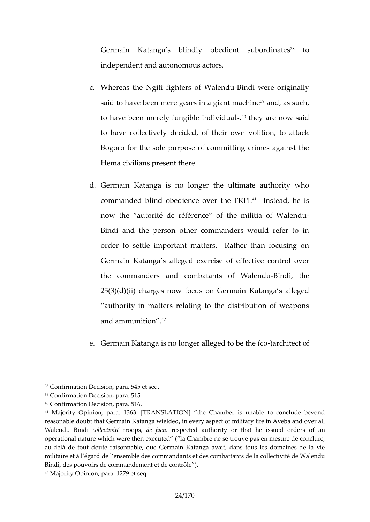Germain Katanga s blindly obedi<sup>3</sup>ento subordina independent and autonomous actors.

- c. Whereas the Ngiti fighter Binodi Wwalneen douriginally said to have been mere gears<sup>3 p</sup>anada gias utching a chine to have been merely fungib<sup>o</sup>lteheiyn daved naws, said to have collectively decided, of their own volitio Bogoro for the sole purpose of committing crimes Hema civilians present there.
- d. Germain Katanga is noul bimme gather that hority who commanded blind obedience<sup>4</sup>b vestebaed, FIRePlis now the autorité de référence of the militia of Bindi and the person other commanders would re order to settle important matters. Rather than Germain Katanga s alleged exercise of effective the commanders and combatan-Beindoif, Whadendu  $25(3)(d)(ii)$  charges now focus on Germain Katan authority in matters relating to the distribution and ammunition .
- e. Germain Katanga is no longer allegeblitt och of the (co

<sup>38</sup>Confirmation Decision, para. 545 et seq.

<sup>39</sup>Confirmation Decision, para. 515

<sup>40</sup>Confirmation Decision, para. 516.

<sup>41</sup> Majority Opinion, 36 ara. NEMATION] the Chamber is unable to conclud reasonable doubt that Germain Katanga wielded, in every aspect of milita Walendu Bcrodliectitviotépsie facesspected authority or that he issued orders operatial nature which were thea Examited ne se trouve pas en mesure de audelà de tout doute raisonnable, que Germain Katanga avait, dans tou militaire et à l égard de l ensemble des com snached aan toso elte deisvité nd bea Walendn Bindi, des pouvoirs de commandement et de contrôle ). 42Majority Opinion, para. 1279 et seq.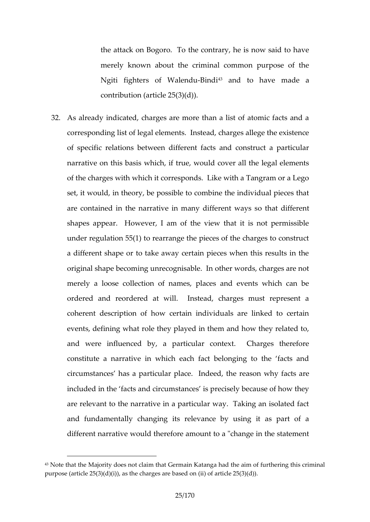the attack on Bogoro. To the contrary, he is now merely known about the criminal common purpos Ngiti fighters of -BN alder and to have made a contribution  $(5(f3))$ (de))2

32.As already indicated, charges are more than a list of at corresponding list of legal elements. Instead, charges a of specific relations between different facts and const narrative on thwissiblasist true, would cover all the legal e of the charges with which it corresponds. Like with a Ta set, it would, in theory, be possible to combine the indiare contained in the narrative in moantyhadtifdefrieent motays s shapes appear. However, I am of the view that it is under regulation  $55(1)$  to rearrange the pieces of the ch a different shape or to take away certain pieces when t original shapen becomme cognisable. In other words, charge merely a loose collection of names, places and events ordered and reordered at will. Instead, charges must coherent description of how certain individuals are lin events, defining what role they played in them and how and were influenced by, a particular context. Char constitute a narrative in which each fact belonging to circumstances has a particulare preason and the end cttshare. included in the facts and circumstances is precisely be are relevant to the narrative in a particular way. Takin and fundamentally changing its relevance by using it different narrabuld therefore amount to a "change in the

 $43$ Note that the Majority does not claim that Germain Katanga had the aim purpose  $(a25)(d)(d)(d)(e)(d)(e)$  charges are based on (ii) of article  $25(3)(d)$ ).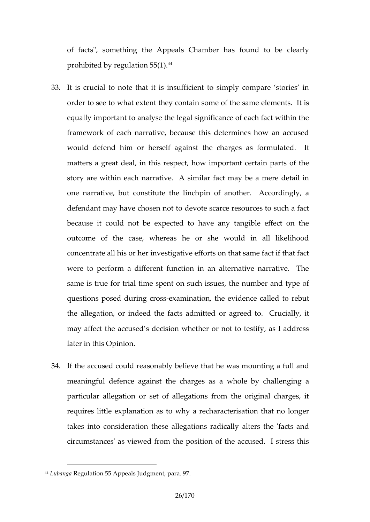of facts", something the Appeals Chamber has found prohibited by requisition  $55(1)$ .

- 33.It is crucial to note that it is insufficient to simply com order to see to tewntathey contain some of the same eleme equally important to analyse the legal significance of ea framework of each narrative, because this determines how would defend him or herself against the dcharges as f matters a great deal, in this respect, how important certain story are within each narrative. A similar fact may be one narrative, but constitute the linchpin of another. defendant may have to hot the obscarce resources to such because it could not be expected to have any tangibl outcome of the case, whereas he or she would in a concentrate all his or her investigative efforts on that same wee to perform a different function in an alternative n same is true for trial time spent on such issues, the nu questions posed dueximagen ignraption, the evidence called to the allegation, or indeed the rfanging each motted rucially, it may affect the accused s decision whether or not to test later in Orchininsion.
- 34.If the accused could reasonably believe that he was mo meaningful defence against the charges an a whole by particular allegation or set of allegations from the ori requires little explanation as to why a recharacterisation takes into consideration these allegations radically alter circumstances' das ruime wibe position of the accused. I st

<sup>44</sup>Luban Ryeagulation 55 Appeals Judgment, para. 97.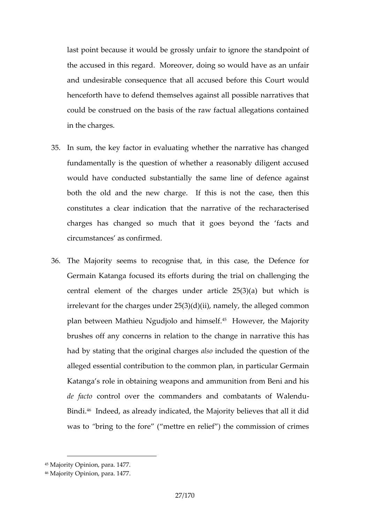last point because it would be grossly unfair to ignore the standally the accused in this regard. Moreover, doing so would h and undesirable consequence that all act us could before the consequence that all act consequents henceforth have to defend themselves against all possib could be construed on the basis of the raw factual alleg in the charges.

- 35.In sum, the key factor in evaluating whether the narrati fundamentasi the question of whether a reasonably dilige would have conducted substantially the same line of d both the old and the new charge. If this is not the constitutes a clear indication that the arreact reartised of the charges has changed so much that it goes beyond t circumstances as confirmed.
- 36.The Majority seems to recognise that, in this case, t Germain Katanga focused its efforts during the trial on centrallemeent of the charges under article  $25(3)(a)$  but irrelevant for the charges under  $25(3)(d)(ii)$ , namely, the plan between Mathieu Ngudjo<sup>4 F</sup>o H**awe** vheim, stehlef. Majority brushes off any concerns in relation atto vueh ot has a mange in narging the change of the change of  $r = 0$ had by stating that the onlist induclear the question of the alleged essential contribution to the common plan, in pa Katanga s role in obtaining weapons and ammunition from de factontrol ober ctommanders and combatants of Wale Bindi. Indeed, as already indicated, the Majority believes was tbring to the fore ( mettre en relief ) the commission

<sup>45</sup>Majority Opinion, para. 1477.

<sup>46</sup>Majority Opimiaona. 1477.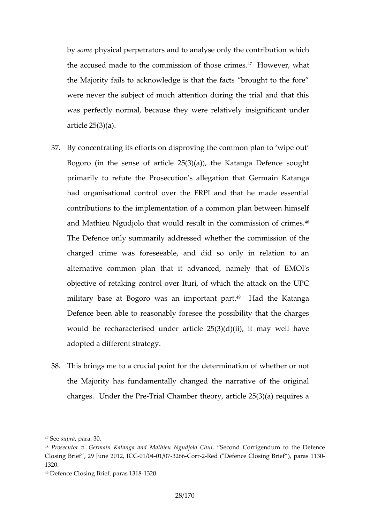bysompehy sical perpetrators and to analy sewohnicyh the contr the accused made to the commiss<sup>47</sup> or thow few sew baitmes. the Majority fails to acknowledge is that the facts brought to the formulation to the formulation to the formu were never the subject of much attention during the tri was perfectly normal, becausivelathievely insignificant und article 25(3)(a).

- 37.By concentrating its efforts on disproving the common pl Bogoro (in the sense of article  $25(3)(a)$ ), the Katanga primarily to refute the Prosecution's and alle expattaion gath at Germ at  $\theta$ had organisational control over the FRPI and that he contributions to the implementation of a common plan b and Mathieu Ngudjolo that would result in the commissi The Defence only summarwh bealded retshesed commission of the charged crime was foreseeable, and did so only in r alternative common plan that it advanced, namely that objective of retaking control over Ituri, of which the at military base atw**Bsgan**o importa<sup>4</sup> At Hpantthe Katanga Defence been able to reasonably foresee the possibility would be recharacterised under article  $25(3)(d)(ii)$ , it adopted a different strategy.
- 38.This brings me to a crucid bit peormanith faction theorither or not the Majority has fundamentally changed the narrative charges. UnderTitited Pheamber theory, article  $25(3)(a)$  re

- 48 Prosecut Germain Katanga and Mathieu Second in Corrigue indum to the Defence ClosinBigief, 29 June -2001, 2024, INCERZ 6-601-2-Red ("Defence ClosionagraBsrite1f3)0, 1320.
- $49D$  efence Closi, n  $p$  aB aise f1 328.

 $47S$ esuproa r $a$ . 0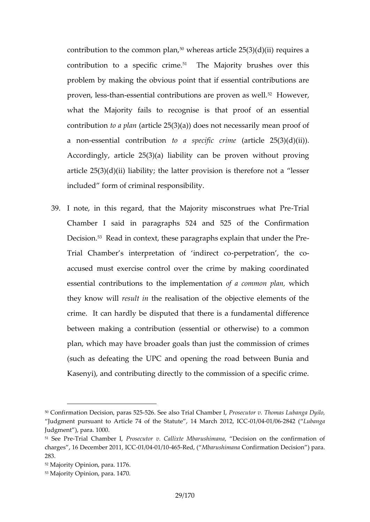contribution to the common plan article  $25(3)(d)(ii)$  requires contoruition to a specific The inMeajority brushes over this problem by making the obvious point that if essential c  $\mathsf{proven}$ , -the  $\mathsf{s}\text{-}\mathsf{re}$  ssential contributions are  $^2$   $\mathsf{phrow}$  exas well. what the Majority fails to recognise ans ethant pradof contribution plan to a  $25(3)(a)$  does not necessarily mean a no-enssential contrtidoutaios pecific antricrime  $25(3)(d)(ii)$ . Accordingly, article  $25(3)(a)$  liability can be proven w article  $25(3)(iab)$  ility; the latter provision is therefore n included form of criminal responsibility.

39.I note, in this regard, that the Majority-Tmriatonstrues Chamber I said in paragraphs  $524$  and  $525$  of the Decis $\bar{p}$ <sup>8</sup> Read dontext, these paragraphs explain that unde Trial Chamber s interpretation-peorfpetnadtionenct, - dube co accused must exercise control over the crime by making essential contributions to the ofimap locomment bank hipochhan, they know resull tthe realisation of the objective element crime. It can hardly be disputed that there is a fundan between making a contribution (essential or otherwise) plan, which may have bromadieustgobaels ctohnamission of crime (such as defeating the UPC and opening the road betw Kasenyi), and contributing directly to the commission of

- $52M$ ajority Opimiaona. 1176.
- 53Majority Opinion, para. 1470.

 $50C$ onfirma $D$ e aision,  $52-525$ . See Trail also Chamber slecutor v. Thomas Lubanga Judgment pursuant to Article 74 of the Stat+Otte/QO411/40268Ma2rlc(hb2n0ga, ICC Judgment ), para. 1000.

 $51$  See PTrreial Chamb Perroslecut Gallvixte Mbarus Dienciasnion on the confirmation charges , 16 Decemb @11 20041 14066RCed, M(barushincan firmation Decision ) para 283.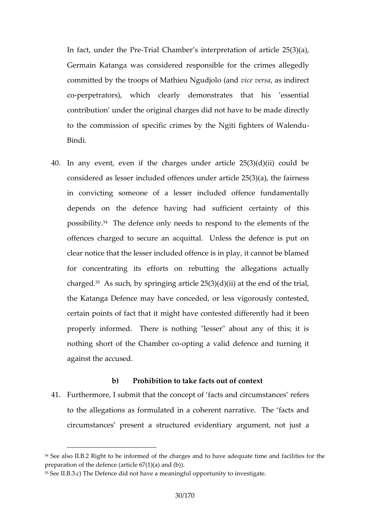In fact, under-Tthial PC hamber s interpretation of article Germak matanga was considered responsible for the crime committed by the troops of Mathieu ce Ngeuession denoted the committed by the troops of Mathieu ce Ngeuession coperpetrators), which clearly demonstrates that hi contribution under the original chabregens a died chiote chital we to to the commission of specific crimes by the -Ngiti fighters Bindi.

40.In any event, even if the charges under article  $25(3)$ considered as lesser included offences under article 25 in conviction peone of a lesser included offence funda depends on the defence having had sufficient certa possib<sup>pp</sup>iffyhe defence only needs to respond to the elem offences charged to secure an acquittal. Unless the d clear notice that the lesser included offence is in play, i for concentrating its efforts on rebutting the allega charged. such, by springing article  $25(3)(d)(ii)$  at the end of the trial, the string in the string in the string of the string in the string in the string in the string in the string in the string in the string in the stri the Katanga Defence omagdeay eor less vigorously contes certain points of fact that it might have contested differ properly informed. There is nothing "lesser" about an nothing short of the **Chambea valid defence and turning** against the accused.

b) Prohibition to take facts out of context 41. Furthermore, I submit that the concept of facts and circ to the allegations as formulated in a coherent narrative circumstances present a straurgtuarrecolume or indention to just a

<sup>54</sup> See all s. B R 2 ght to be informed of the charges and to have adequate tim preparation of the defence (art)cle  $67(1)(a)$  and (b). 55Sebl.B.3T.bc) Defence did not have a meatry intogriunly oeppiogratuen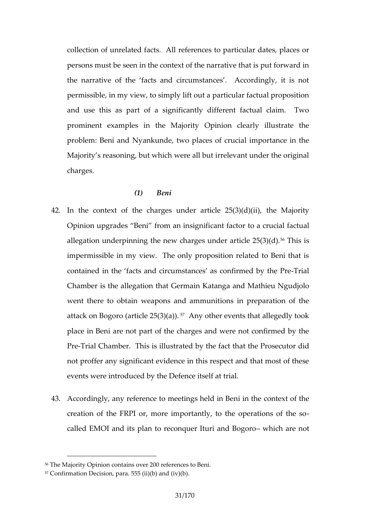collection of unrelated facts. All references to particul persons must be seen in the context of the narrative that the narrative of the facts and circumstances. Accor permissible, in my view, to simply lift out a particular fact and use this as part of a significantly different factu prominent examples in thopin Manjorathe arly illustrate the problem: Beni and Nyankunde, two imports and ecimactine Majority s reasoning, but which were all but irrelevant u charges.

### (1) Beni

- 42.In the context of the charges under theart Mcalpor  $2t5y(3)(d)(i)$ Opinion upgrades Beni from an inosiagncifuccant factuonal allegation underpinning the new charges<sup>56</sup>Umd srisarticle 25 impensible in my view. The only proposition related to contained in the facts and circumstances-Traislconfirmed Chamber is leigeation that GKeartmanga and Mathieu Ngudjolo went there to obtain weapons and ammunitions in prep attack on Bogoro (articAen $\varphi$   $\delta$   $\varphi$   $\varphi$   $\varphi$   $\varphi$  ents that allegedly to place in Beni are not part of the charges and were not PreTrialh Esmber. This is illustrated they Ptheest exact to thad tidently reported to  $P$ not proffer any significant evidence in this respect and events were introduced by the Defence itself at trial.
- 43.Accordingly, any reference to meetings nhe kd on Bheeni in t creation of the FRPI or, more importantly, to the operations of the FRPI or, more importantly, to the operation called EMOI and its plan to reconquewhild baramendo Bogoro

 $56$ The Majority Opinion ve a doarne serences to Beni.

<sup>57</sup>Confirmation Decision, para. 555 (ii)(b) and (iv)(b).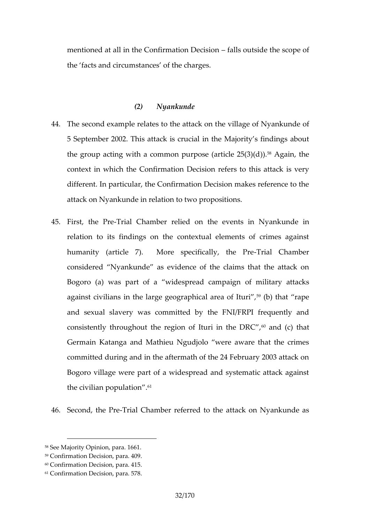mentioned at all in the Confirm altison  $\Omega$  and  $\theta$  is determined the scope of the facts and **picress mostiathe charges**.

## (2) Nyankunde

- 44.The second example relates he while a guest another what the vields of 5 September 2002. This attack is crucial in the Majority the group acting with a common purb) $\delta$ &ega(ian, titche 25(3)( $\delta$ conetxt in which the CoDeicinsation refers to this attack is v different. In particular, the Confirmation Decision makes attack on Nyankunde in relation to two propositions.
- 45. First, the TrPate Chamber relied on the euvned rets in in Nyank relation to its findings on the contextual elements of humanity (article 7). More spe-dTifiliand II  $Q$  ham the experiment Pre considered Nyankunde as evidence of the claims that Bogoro (a) was part of a widesportemaiditosam, paatitgancks against civilians in the large geogr<sup>5</sup> a (b) that are aperf Ituri and sexual slavery was committed by the FNI/FRPI fr consistently throughout the region  $64$ ahtdur (c) nthat DRC Germia Katanga and uMN ghuidjolo were aware that the crimes committed during and in the aftermath of the 24 Februar Bogoro village were part of a widespread and systemati the civilian population.

46. Second, the Frimate Chamber referated to the Nyankunde as

<sup>58</sup>See Majority Oppainmai  $\theta$  6.61

<sup>59</sup>Confirmation Decision, para. 409.

<sup>60</sup>Confirmation Decision, para. 415.

<sup>61</sup>Confirmation Decision, para. 578.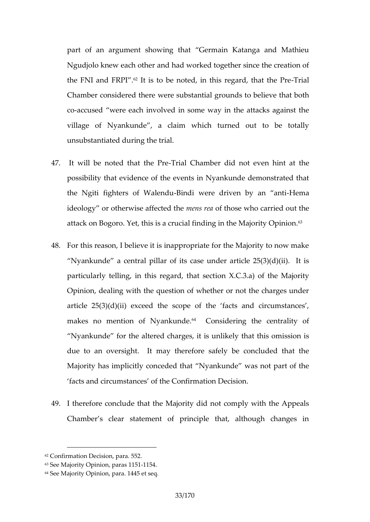part of an argument showing that Germain Katanga a Ngudjolo knew each other and had worked together since the FNI and  $FIR$  Pissito be noted, in this reglaried, that the Chamber conside weed rethse urbestantial grounds to believe that coaccused were each involved in some way in the attac village of Nyankunde, a claim which turned out to unsubstantiated during the trial.

- 47. It will be noted th- $\overline{a}$  trial he C Praed bot rnot even hint at the possibility that evidence of the events in Nyankunde de the Ngiti fighters o-BinWobilewn**e**lue driven by Heama anti  $id$ eology or otherwise  $ma$ e fines of  $ed$  htms readom by carried out the attack on Bogonto. SY is a crucial finding in the Majority Optical finding in the Majority Optical states
- 48.For this reason, I believe it is inappropriate for the Major Nyankunde a central pillar of its case under article 2 particularly telling, in this  $\mathsf{mean}$   $\mathsf{ax}$ .  $\mathsf{da}$   $\mathsf{ba}$   $\mathsf{b}$  and  $\mathsf{b}$  alority Opinion, dealing with the question of whether or not the article  $25(3)(d)(ii)$  exceed the scope of the facts and makes no mention of  $My$   $\Omega$  mohus nidering the centrality of Nyankunde folmtetheed acharges, it is unlikely that this om due to an oversight. It may therefore safely be conc Majority has implicitly conceded that Nyankunde was no facts and circumstances of the Confirmation Decision.
- 49.I the fore conclude that the Majority did not comply with Chamber s clear statement of principle that, although

<sup>62</sup>Confirmation Decision, para. 552.

 $63S$ ee Majority Oppaimais n1,115514.

<sup>64</sup>See Majority Opinion, para. 1445 et seq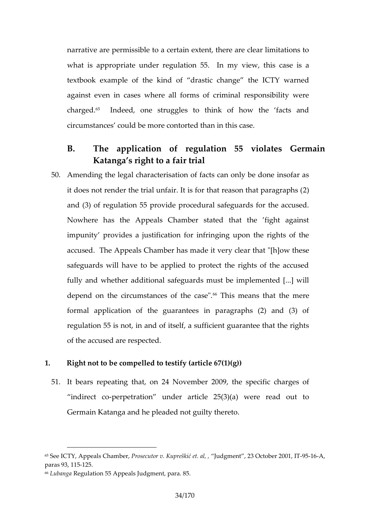narrative are permissible to a certain extent, there are what is appropriate under regulaite wn 5f5is dasenyisva textbook example of the kind of drastic change the against even in cases where all forms of criminal responsible charged. Indeed, one struggles to think of how the factor circumstances could bedmtohen contitions ecase.

- B. The application of requistion 55 violate Katanga s right to a fair trial
- $50.A$ mending the legal characterisation of facts can only be it does not render the trial unfair. It is for  $t_n$  at reason that  $t$ and (3) of regulation 55 provide procedural safeguards Nowhere has the Appeals Chamber stated that the impunity provides a justification for infringing upon the accused. The Appeals Chambeyr chaarmade "[hyow these safeguards will have to be applied to protect the rights fully and whether additional safeguards must be implem depend on the circumstanc@sThat the acasse at the mere formal applicention of quarantees in paragraphs  $(2)$  and regulation 55 is not, in and of itself, a sufficient guarar of the accused are respected.
- 1. Right not to be compelled to testify (article 67(1)(g))
- 51.It bears repeating that, on  $29$ , Nbeespecarif 20 charges of indirect peropetration under article  $25(3)(a)$  were read Germain Katanga and he pleaded not guilty thereto.

<sup>65</sup>SebCT, Y Appeals KCohnR mosecutor v. Kuprelanklig meetntal, 2,3 Octobee5162A0, 01, IT paras 931 2151.5

<sup>66</sup>Luban Rgeagulation 55 Appeals Ju8d5qment, para.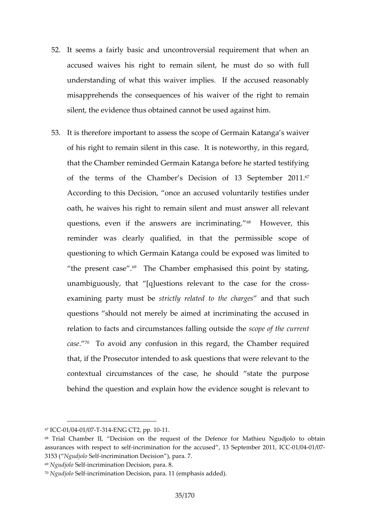- 52.It seems a fairly basic and uncontroversial requiremen accused waives his right tto hemmainstsidenso with full understanding of what this waiver implies. If the accu misapprehemels consequences of his waiver of the right silent, the evidence thus obtained cannot be used agains
- 53.It ithereform portant assess the scope of Germain Katanga of his right to remain silent in this case. It is notewort that the Chamber reminded Germain Katanga before he started testifying testion testion. of the terms of the Chamber s Decision  $10<sup>f</sup>$  13 September According to this Decision, once an accused voluntarily oath, he waives his right to remain silent and must ans questions enificities answers are interimination and this reminder was clearly qualified, peinmitshsaitble scope of questioning to which Germain Katanga could be exposed the present<sup>69</sup>  $c$  **as e**. Chamber emphasised this point by s unambiguously, that [q]uestions relevant to the case  $examing$  party sotuis the strictled to the dcharages uch questions should not merely be aimed at incriminating relation to facts and circumstances  $\cos \phi$  and the scotter of the current current  $\sin \theta$ cas@ To avoid any confusion in this regaudigedhe Chamb that, if the Prosecutor intended to ask questions that we contextual circumstances of the case, he should stat behind the question and explain how the evidence sought

68 Trial ChambeDe blision on the request of orthMe a Cheibeun oNegufdjolo to obtain assurances with resipnecartimition asteibing for the accused , 13 Soleip  $604$  fm/longing 2011,  $3153$  N( $g$ udj $\delta$ leolifincrimination Decision), para. 7.  $69N$ gudj $S$ leolifincrimination Decision, para. 8.

 $67$ IC  $60$  1 /  $6041$  /  $6$ T73 1  $4$ ENG CT2, p1p1. 10

 $70N$  qudj $\delta$  leolifing rimination Decision (epmapria as lits added).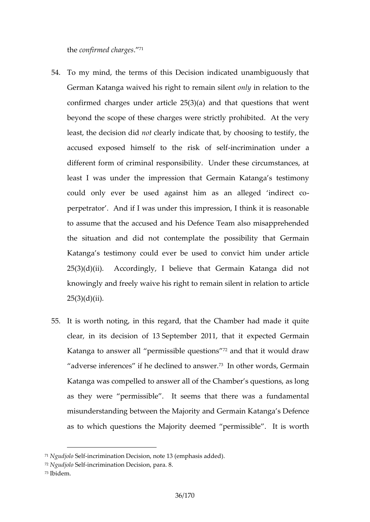th  $\mathop{\mathbf{e}}$  on firm ed .c<sup>7</sup>h arges

- 54. To my mint the terms of this Decision indicated unambigu German Katanga waived his righontlownreenathosilteenthe confirmed charges under article  $25(3)(a)$  and that quest beyond the scope of these chargestewdere Astthealy epryohibi least the decisimont be detily indicate that, by choosing to test accused exposed himself to therimination self der a different form of criminal responsibility. Under these c least I was bedemptression that Germain Katanga s test could only ever be used against him as an alleged perpetrator. And if I was under this impression, I thinl to assume that the accused and his Defence Team also the situation and did not contemplate the possibility Katanga s testimony could ever be used to convict him  $25(3)(d)(ii)$ . Accordingly, I believe that Germain Kat knowingly and freely waive his rightetatiom and article to in 25(3)(d)(ii).
- 55.It is worth noting, in this regard, that the Chamber had clear, in its decision of  $648$  2011, that it expected Germanic control and  $13$ Katanga to answer all permis<sup>2</sup>saimb det question pould draw adveers inferences if he declined to the new words. Germain Katanga was compelled to answer all of the Chamber s q as the yere permissible. It seems that there was a fun  $m$  is understanding between the Majoathy gands  $\Theta$  effence  $\Theta$  K as to which questions the Majority deemed permissible

 $71$ Ngudj $\delta$ leolifincrimination Decit $\delta$ o (hemphasis added).

 $72N$ gudj $\delta$ leolifincrimination Decision, para. 8. 73Ibidem.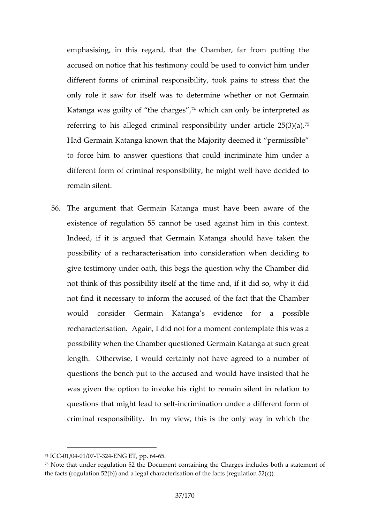emphasising this regard, that the Chamber, far from p accused on notice that his testimony could be used to c different forms of ecsrominish abilrity, took pains to stress the only role it saw for itself was to determine whether o Katanga was guilty of ,7<sup>4</sup> hwe hich that controlly be interpreted a referring to his alleged criminal responsibility under a Had Germain Katanga known that the Majority deemed it to force him to answer questions that could incriminat different form of criminal responsibility, he might well I remain silent.

56. The argument that Gearmopan mK ist have been aware of the existence of regulation 55 cannot be used against him Indeed, if it is argued that Germain Katanga should h possibibity a recharacterisation into consideration when give testing under oath, this begs the question why the C not think of this possibility itself at the time and, if it not find it necessary to inform the accused of the fact would consider Germain Katangars a evpidenche fo recharacterisation. Again, I did not for a moment conter possibility when the Chamber questioned Germain Katang lengthOtherw, is lew ould certainly not have agreed to a number of questions the bencha pout steed the advould have insisted that was given the option to invoke his right to remain silent questions that might-ihecad mition astel of under a different form criminal responsibility. In my view, this is the only way

 $74IC$  CO 1 / 0041 / 0T7-32 4 ENG ETp, 6-64 5.

 $75$ Note that under regulation  $52$ comea Dociomente Charges includes both a statement of  $52$ comea Dociomente Charges includes both a statement of  $52$ comea Dociomente Charges includes both a the facts (regulation  $52(b)$ ) and a legal characterisation of the facts (reg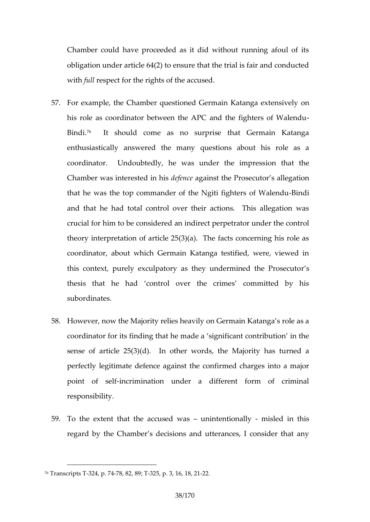Chamber could have proceeded as it did without runnin obligation under article  $64(2)$  to ensure that the trial is withuldespect for the rights of the accused.

- 57. For example, the Chamber questioned e Geirmed in orthatanga his role as coordinator between the APC and the fighte Bind<sup>f</sup>. It should come as no surprise that Germain enthusiastically answered the many questions about coordinator. Undoubtedly, he was iomdethathe hempress Chamber was intered teed mange and the Prosecutor s allegat that he was the top commander of the Ng-Billing fighters of and that he had total control over their actions. This crucial for him to reed caon sinderect perpetrator under the c theory interpretation of article  $25(3)(a)$ . The facts cond coordinator, about which Germain Katanga testified, we this context, purely exculpatory as they umdsermined the thesis that he had control over the crimes commi subordinates.
- 58.Howevenow the Majority relies heavily on Germain Katan coordinator for its finding that he made a significant co sense of article  $2n5(3t)h(d)$ , words, the Majority has turned perfectly legitimate defence against the confirmed char point of iselfimination under a different form of cr responsibility.
- $59.$  To the extent that the accustomed two ans and is de in this regard by the Chamber s decisions and utterances, I com-

 $76$ Transcrip $3$ t $3$ 4T p-7 $8$ , 482, -395, Tp. 3, 1-82.18, 21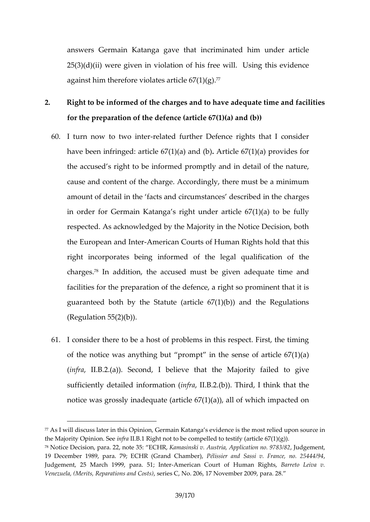answers Germain Katanga gave that incriminated him  $25(3)(d)(ii)$  were given in violation of his free will. Us against him therefore cheiold  $\overline{a}$  ( $\overline{a}$ <sup>7</sup> $\overline{s}$  ( $\overline{a}$ ) ti

- 2. Right to be informed of the charges and to have adequat for the preparation of the defence (article  $67(1)(a)$  and (
	- 60.I turn now to twelated further Defence rights that I constant havbeen infringed:  $(af)$ t $(i\mathbf{x})$  ea  $6\mathbf{\&}$  r $(t\mathbf{b}$  $0|e\ 67(1)(a)$  provides for the accused s right to be informed promptly and in deta cause and content of the charge. Accordingly, there must amount of detail in the facts and circumshamges describ in order for Germain Katanga s right under article 67(1) respected. As acknowledged by the Majority in the Notic the European a And d nitearn Courts of Human Rights hold that right incorporates being fit in the rome and qualification of the chargesn addition, the accused must be given adequate facilities for the preparation of the defence, a right so prominent guaranteed both by the Statute (article  $67(1)(b)$ ) and  $(R$ egautlion 55(2)(b)).
	- 61.I consider there to be a host of problems in this respec of the notice was anything but prompt in the sense of  $(inffall.B.2.(a))$ . Steedone that the Majority failed to give sufficient by  $\lceil \det(f) \rceil$  det inform  $\lceil \det(f) \rceil$  and  $\lceil \det(f) \rceil$ . Third, I think that notice was grossly inadequate (article  $67(1)(a)$ ), all of  $\nu$

 $77A$ s I will discuss lapemionGeminsa On Katanga s evidence is the moest relied u the Majority Opinin of the Stephant not to be compelled to testify (article  $67(1)$ )  $^{78}$ Notice i $\Omega$ ecen, para. 22, EnCoHeK,  $\delta$  55: asinski v. Austria, Applicatud ogne moent 9783/8 19 December 1989, para. 79; ECHRP (Gisas niedr Calnadm Sas), iv. France, no. Judgement, 25 March 1999,-Amaneaica5n1; Cbnutretr of Hhutma BaarrReitop Leiva v. Venezuela, (Merits, Reparationes End NGo  $\mathfrak{A}\mathfrak{G}$ 6, 17 November 2009, para. 28.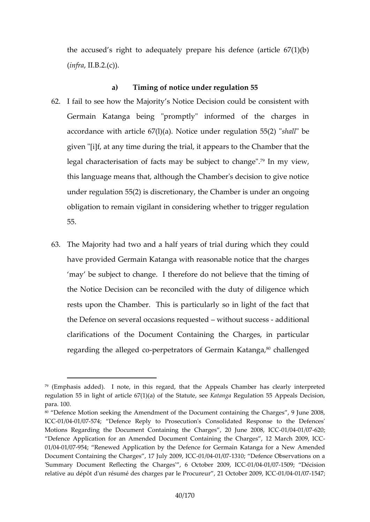the accused s right to adequately prepare his defence  $(infrall.B.2.(c))$ .

a) Timing of notice gundeleirone  $55$ 

- 62.I fail to see how the Majority s Notice Decision could b Germain Katanga being "promptly" informed of the accordance with article  $67(1)(a)$ . Notice suhradule regulation given "[i $a$ fn ytame during rithle it appears to the Chamber that legal characterisation of facts may 70 be smotiece wto change this language means that, although the Chamber's decisi under regulation  $55(2)$  is discretionary, the Chamber is under obligation to remain vigilant in considering whether to tr 55.
- $63.$ The Majority who and the half years of trial during which the havprovid Germain Katanga with reasonable notice that t may be subject to the change do not believe that the timing of  $\alpha$ the Notice Decision can be reconciled with the duty of rests upon the Chamber. This is particularly so in ligh the Defence on several occawioh suresquess stational clarifications of the Document Containing the Charges regarding the alpl**egee** dtreators of Germa<sup>q</sup>ion Kalal energesad,

 $79$  (Emphasis  $4$ ddeld note, in this tretherd, ppheals Chamber has clearly inter regulation 55 in light of articcl&sta6t7u(the) K(and) a eno for attion 55 Appeals Decision, para. 100.

<sup>80</sup> Defence Motion seeking the Amendment of the Document containing th ICE01/0041/05774; Defence Reply to Prosecution's Consolidated Respons Motans Regarding the Document Containing the Chaoge 60641, / 0870 0 June 2008, ICC -01 Defence Application for an Amended Document Containing of the IC Garges 01/0041/09754; Renewed Application by the Defence for eower Ammadind Kedtanga Document Containing the Charges -011/70041 00973 2009 DeCence Observations o 'Summary Document Reflecting the Ch2a0r0g9e,s'+0C1066041O/@1765b@t Décision relative au dépôt d'un résumé des cohnarg**2s parolee Pr2000000041/0175**47;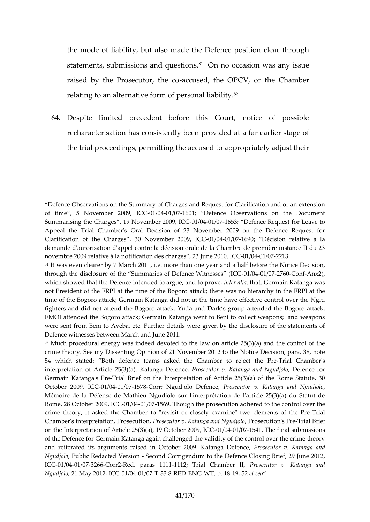the mode of liability, but also made the Defence position statements, submissions<sup>8</sup>.a0ch questionsion was any issue raised by the Prosec-atocusede to e OPCV, or the Chamb relating to an alternative form  $\delta$ <sup>4</sup> personal liability.

64. Despite limited precedent before this Court, notice recharacterisation has been siptent ded at a far earlier sta the trial proceedings, permitting the accused to appropri

Defence Observations on the Summary of Charges and Request for Clari of time, 5 Nov2e0n0b9er 0ClC6041/017601; Defence Observations on the Do Summarising the Chard geember 2009/604 CGM7653; Defence Request for Leave Appeal the Trial Chamber's Oral Decision of 23 November 2009 on t Clarification of the Charges,  $30$  N- $0$   $\blacklozenge$   $0.040$   $\blacklozenge$   $0.040$   $\blacklozenge$   $0.040$   $\blacktriangleright$   $0.040$   $\blacktriangleright$   $0.040$   $\blacktriangleright$   $0.040$   $\blacktriangleright$   $0.040$   $\blacktriangleright$   $0.040$   $\blacktriangleright$   $0.040$   $\blacktriangleright$   $0.040$   $\blacktriangleright$   $0.040$   $\blacktri$ demmade d'autorisation d'appel contre la décision orale de la Chambre de novembre 2009 relative à la notification des Charles 6272 1233. June 2010, ICC  $81$ It was even clearer by  $\vec{r}$ . enthang than  $\hat{r}$  and  $\hat{r}$  and  $\hat{r}$  and  $\hat{r}$  and  $\hat{r}$  and  $\hat{r}$  and  $\hat{r}$  and  $\hat{r}$  and  $\hat{r}$  and  $\hat{r}$  are the Notice Decision through the disclosure of the Summaries of-CD1e/6941h/co2277V&CotonneAsns>e2s), (ICC which showed that the eDelefence aingue, aniohtteor partoineaet, Germain Katanga wa not President of atth  $e$ he FRtPme of the Bogoro attack; there was no hierarchy time of the Bogoro attack; Germain Katanga did not at the time have eff fighters and did not attend the Bogoro attack; Yudah an bo park attack; a EMOI attended the Bogoro attack; Germain Katanga went to Beni to colle were sent from Beni to Aveba, etc. Further details were given by the dis Defence witnesses between 2N0 alrich and June  $82M$ uch procedural energy was indeed devoted to the law on article 25(3) crime theormy. Subiessenting Opinion of 212 Novtehne bloot 20d Decision, para. 38 54 which staBtoetch: defence teams asked thereCjbatmbtoneia Prechamber's interpretation of ArtioKlaeta2n5g(a3)Dae)fRemocsee, cutor v. Katanga, Doneofie Nigou dfjoorlo Germain KatangTa'is al PB  $\epsilon$  ief on the Interpretation of Article 25(3)(a) of the Rome Statute, 300 statute, 300 statute, 300 statute, 300 statute, 300 statute, 300 statute, 300 statute, 300 statute, 300 statute, 300 st October 200+01/04CC/e1757-8 orr; Ngudjolo DPerfoeshecce utor v. Katanga, and Ngu Mémoire de la Défense de Mathieu Ngudjolo sur l'interprétation de l'ar Rome, 28 October-0210/0034, / 0073563 Though the prosecution add had red divet the be crime theory, it asked the Chamber to "revisit or closely dxamine" two Chamber's interpretationPrPoscesceud ortionn, Katanga Parroc's eNgutido, ToiaPre Berief on the Interpretation  $\delta f(A)$ ticle  $Q$ Gt(ober 0200909, 19175 641. The final submission of the Defence for Germain Katanga again challenged the validity of the and reiterated its arguments raised in Octobe-Pro2s0e09-utoKntaanwa.ong aKana nDobefence Ngudjo Poublic Redacted Sve osnion Corrigendum to the Defence Closing Brief, IC  $\omega$ 041/037266 or FRed, paras 1112,1 Trial Cham Phose that or v. Katanga and  $N$ gudjolo May 201021,  $/$  9021  $C$  9173 3 -RSE DENG-WT, p. -198, 52 seq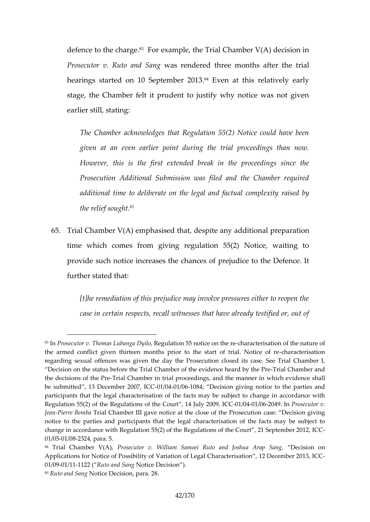defence to the<sup>3</sup> Fbargeample, the Trial Chamber V(A) deci Prosecutor v. Rutowas and e Schinged three monthis alafter the hearings started on 10 S<sup>e</sup> Euter beat 200183 relatively early stage, the Chamber felt it prudent to justify why notice earlier still, stating:

The Chamber acknowledges that Regulation 55(2) Not given at eam eearlier point during the trial proceeding However, this is the first extended break in the pr Prosecution Additional Submission was filed and the additional time to deliberate on the exitte gradia and bactual the relief<sup>85</sup>sought.

65. Trial Chamber  $V(A)$  emphasised that, derepiate a tainow addition time which comes from giving regulation  $55(2)$  Notice provideuchotice increases the chances of prejudice to th furth $\mathbf{a}$  tated that:

[t]he remediation of this prejudice may involve pressure case in certain respects, recall witnesses that have a

 $831$ nProsecutor v<code>LuT</code>thaomDggas|Regulation 55 notiecehaoma cheerinseation of the nature the armed conflict given thirteen months prior to the has taacte rois attricand. Not regarding sexuas offasing iven the day the Prosecution closed its case. See Decision on the status before the Trial Chamber of Tthe e evidence and the Pre the decisions oT ruibale Chamber in trial proceedings, and the manner esthantlwh be submitted, 13 December 0240/09760 84C; C Decision giving notice to the parties and participants that the legal characterisation of the facts may be subject Regulation 55(2) of the fRegulations  $64$  Jul-01200919/02600409. Phrosecutor v. Jea Fhierre B Te mibe Chamber Ind tigge weat the close of the Prosecution case: D notice to the parties and participants that the legal ychaer acuthe jreisation of change in accordance with Regulation 55(2) of the Regulations-of the Co  $01/0051/028324.$  para. 5.

<sup>84</sup> Trial Chamber PV  $\phi$  A  $\phi$  cutor v. William Samoei Ruto and Done CJ so ison u ao n Arap Applications feroM oRiossibility of Variation of Legal Characterisation, 12  $01/0091/111122R($ uto and NSoating e Decision ). 85Ruto and NS aino Decision, para. 28.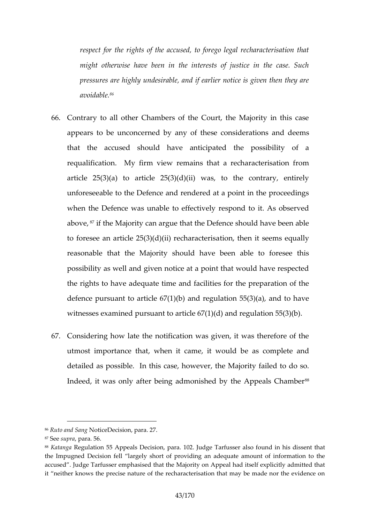respect for the rights of the accused, to forego legal mint otherwise have been in the interests of justice pressures are highly undesirable, and if earlier notice  $a$ void $a$  $b$ le.

- 66. Contrary to all other Chambers of the Court, the Major appeatros be uncond cby neany of these considerations and d that the accused should have anticipated the poss requalification. My firm view remains that a recharac article  $25(3)(a)$  to article  $25(3)(d)(ii)$  was, to the contrary unfore able to the Defence and rendered at a point in the when the Defence was unable to effectively respond to above, if the Majority can argue that the Defence should have to foresee an article  $25(3)(dt)$ i( $\ddot{\text{o}}$ in), theelmartacsteeerinssa equally reasonable that the Majority should have been able t possibility as well and given notice at a point that woul the rights to have adequate time and facilities for the p defence upaints to article  $67(1)(b)$  and regulation  $55(3)(a)$ , witnesses examined pursuant to article  $67(1)(d)$  and regulation
- 67. Considering how late the notification was given, it was utmost importance that, when it ecaanse coimpwestued dabd detailas possible. In this case, however, the Majority failed to do solid to do solid to the Majority for Indeedwas only after being admonished by the Appeals

<sup>86</sup>Ruto and NSoating ee cision, para. 27.

<sup>87</sup>Sesuprapar586.

<sup>88</sup> Katan Regaulation 55 Appenisailosn, para. 102. Judge Tarfus se sreanits oh faotund in the Impugned Decision fell largely short of providing an adequate amo accused . Judge Tahfaussisseerd ething t the Majority on Appeal had itself explici it neither knows the precise nature of the recharacterisation that may b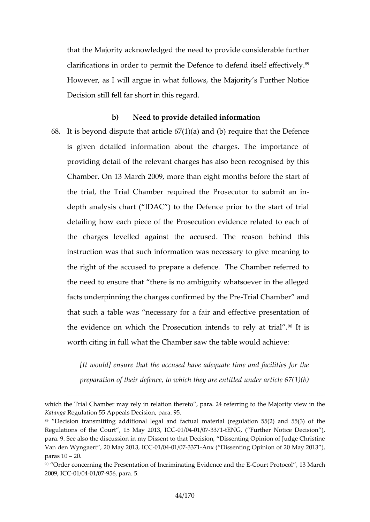that thæj M ity acknowledged the need to provide consider clarifications in oprelemit the Defence to defen<sup>9</sup>d itself eff However, as I will argue in what follows, the Majority s Decision still fell far short in this regard.

b) Need to provide detailed information 68.It is beyond dispute that adti(dol)e roe7q(uli) (ea)theart the Defence is given detailed information about the charges. The providing detail of the relevant charges has also been r Chamber. On 13 March 2009, more than eight months be the trial, The Chamber required the Prosecutor to submit and  $\mathbf{r}$ depth analysis chart (  $IDAC$  ) to the Defence prior to the detailing how each piece of the Prosecution evidence re the charges levelled against the accused. the reason instruction was that such information was necessary to the right of the accused to prepare a defence. The Cha the need to ensure that there is no ambiguity whatsoev facts underpinning tohoenfolmenregotesby -ThreiaPrOehamber and that such a table was necessary for a fair and effectiv the evidence on which the Prosecution intenides to rely worth citing in full what the Chamber saw the table would

[Itwould] ensure that the accused have adequate time preparation of their defence, to which they are entitle

which the Trial Chamber may rely in relation theretooripyanae @ 4 in etheerring Katan Regulation 55 Appeals Decision, para. 95.

89 Decision transmitting additional legal and factual material (regulation Regulations of the Court, 150 M/80941 200373 3-tHENCO G, Further Noticen D) ecisi para. 9. See also the discussion in my Dissent to that Decision, Dissent Van den Wayerrt , 20 May 20011/3904411/093737-Alnx ( Dissenting Opinion of 20 May 2 paras 20.

<sup>&</sup>lt;sup>90</sup> Order concerning thenPor**te sleatention** ating EvidenCooeunatn Perbht,o-ofBSIM arch  $2009$ ,  $-0$ CI $0$  $0041/09756$ , para. 5.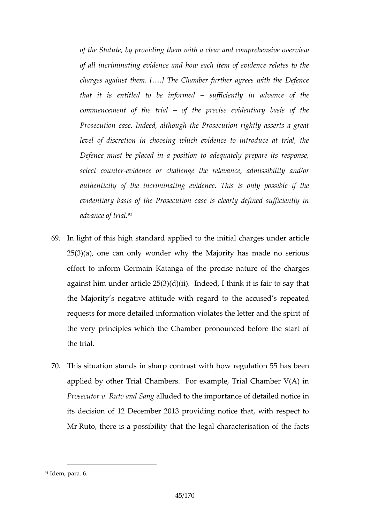of the Statute, by providing them with a clear and com of all incriminaten anely hotewn ce ach item of evidence relates charges against them.  $[8.]$  The Chamber further agrees that it is entitled to bseuffincficermit by din advance of the commencement of  $\phi$ hethteiaptrecise evidentiary basis Posecution case. Indeed, although the Prosecution ri level of discretion in choosing which evidence to in Defence must be placed in a position to adequately select coewindence or dhallenge ance, admissibility an authenticity of the incriminating evidence. This is d evidentiary basis of the Prosecution case is clearly advance  $\delta$ <sup>1</sup> trial.

- 69.In light of this high standard  $\frac{1}{2}$  and  $\frac{1}{2}$  directlosofthe dienit article  $25(3)(a)$ , one can only wonder why the Majority has made no effort to inform Germain Katanga of the precise nature against him under article  $25(3)(d)(ii)$ . Indeed, I think it the Majority egative attitude with regard to the accused requests for more detailed information violates the lette the very principles which the Chamber pronounced beforth the trial.
- $70.$ This situation stands in wohtchrphocountegatation 55 has been applied by other Trial Chambers. For example, Trial C Prosecutor v. Rutad ladd dt Statemportance of detailed notice in its decision of 12 December 2013 providing notice that MrRuto there is a possibility that the legal characterisat

 $91$ dem arpa. 6.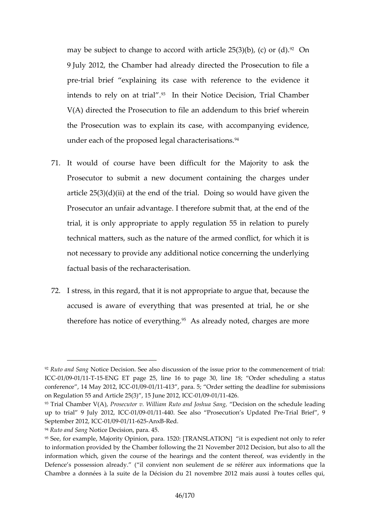may be subject to change to accord with  $\mathscr{C}$  reduce 25(3)(b) 9July 2012, the Chamber had already directed the Prose pretrial brief explaining this eclasse nowei to the evidence intends to rely on<sup>3</sup> ant thiellr. Notice Decision, Trial Cham  $V(A)$  directed the Prosecution to file an addendum to th the Prosecution was to explain its case, with accompa under eatchhe proposed legal characterisations.

- 71.It would of course have been difficult for the Majorit Prosecutor to submit a new document containing the d article  $25(3)(d)(ii)$  at the end of the trial. Doing so would Pros cutor an unfair advantage. I therefore submit that, a trial, it is only appropriate to apply regulation 55 in re technical matters, such as the nature of the armed confl not necessary to provide an ad not a concerning the underly factual basis of the recharacterisation.
- $72.1$  stress, regtand , it is not appropriate to argue that, because that, because that, because  $72.1$ accused is aware of everything that was presented at therefore has neoveincy etherings already noted, charges are mo

 $94R$ uto and NSoating e Decipia  $\alpha$ n45.

<sup>92</sup> Ruto and NScatinge Dec Sseie nalso discussion of the issue prior to the comme IC  $@$  1/0091/1711 5ENG ET pageli $@$  5 16 to page 30, line 18; Order schedul conference, 14 May  $0.200022$  / 1410  $\Omega$ , para. 5; Order setting the deadline for on Regulation 55 and Article  $25(3)$ 01/0931  $\mu$ 124 $\alpha$ 6.2012, ICC

 $93$ Trial ChamberPN $\delta$ (A), Prosecutor v. William Ruto a $D$ decjeschnu zon Sanher, schedule leading schedule leading schedule leading schedule leading schedule leading schedule leading schedule leading schedule leading sch up to trial 9 JullyC-0210/190291/44140. See also Prosecution-TsiaUpElaiteefd, P9re September  $20-0.2$ ,  $0000$   $C$  $1612-0.1$   $R$  ed.

 $95$ See, for example, Majority 1 6  $p$  Onip In R  $p$  MaS a A Ttls Only hat it in the only to referent not only to referent not only to referent not only to referent not only to referent not only to referent not only to re to information provided by the Chamblen of onlibewing of the eclision, but also to information which, given the cogssanodf tthee choenatreinnt thereof, was evident Defence s possessio (nilalore a divent non seulement de se référer aux infor Chambre a données à la suite de la Décision du 21 novembre 2012 mai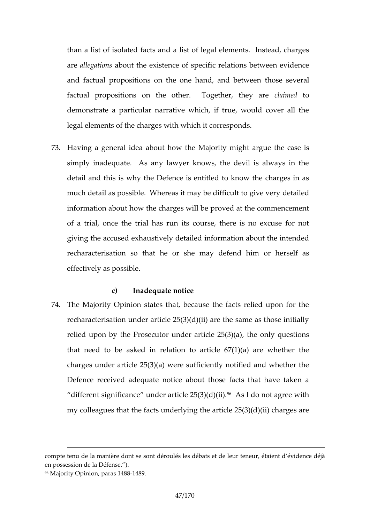than a list of isolated facts and a list of legal elements areallegatabost the existence of specific relations betwe and factual propositions on the one thand, sand ratureer factual propositions on the other. dlaagent to they a demonstrate a particular narrative which, if true, would legal elements of the charges with which it corresponds.

 $73.$  Having a general idea a Mag in thin to wang the case is simply inadequate. As any lawyer knows, the devil is detail and this is why the Defence is entitled to know t much detail as possible. Whereas it mayd be teaid efdicult to information t ahow the charges will be proved at the comm of a trial, once the trial has run its course, there is no giving the accused exhaustively detailed information about recharacterisation so that he or she mapelfdeefsend him effectively as possible.

c) Inadequate notice

74.The Majority Opinion states that, because the facts rel recharacterisation under article  $25(3)(d)(ii)$  are the sam relied upon by the Prosecutor under eaonicy eq $\alpha$ 6 $\frac{1}{2}$ (a)  $\frac{1}{2}$ that need to be asked in relation to article  $67(1)(a)$ charges under article  $25(3)(a)$  were sufficiently notified Defence received adequate notice about those facts the different significance article  $25(A3)(d\phi)$  in ot agree with my colleagues that the facts underlying the article  $25(3)$ 

compte tena cheanière dont se sont déroulés les débats et de leur teneur, en possession de la Défense. ). 96 Majority Opimia orma s - 1489.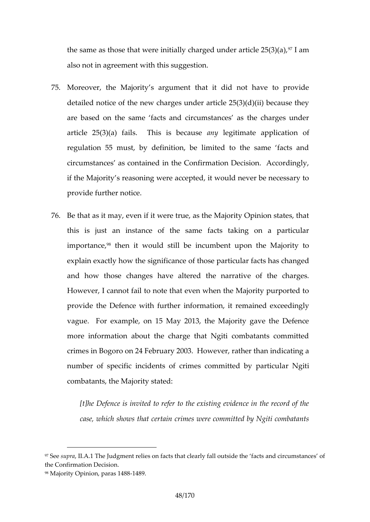the same as those that were initially chapgled munder artic also not in agreement with this suggestion.

- 75. Moreover, the Majority s argument that it did not have detailed notice of the new charges under article  $25(3)(d)$ arebaseodn the same facts and circumstances as the ch article  $25(3)(a)$  fails. The insulegitiment au sepplication of regulation 55 must, by definition, be limited to the same circumstances as contained in the Confirmation Decisio if the Majority s reasoning were accepted, it would neve provide further in provide to the further on the control of the control of the control of the control of the control of the control of the control of the control of the control of the control of the control of the control
- 76.Be that as it may, even if it were true, as the Majority C this is just an instance of the same facts taking o importa a deposit would still be incumbent upon the Ma explain exactly how the fsignificance cular facts has chan and how those changes have altered the narrative of However, I cannot fail to note that even when the Major provide the Defence winth the integent remained exceedingly vague.or Fexample, on 15 May 2013, the Majority gave the more information about the charge that Ngiti combatar crimes in Bogoro on 24 February 2003. However, rather number of specific incidents of crimes acom Nigitted by p combatants, the Majority stated:

[t]he Defence is invited to refer to the existing evide case, which shows that certain crimes were committed

<sup>&</sup>lt;sup>97</sup>Sessup, rlal. A. The Judgment relies on facts that clæeatrs ya hadlic bructusmidset atmidee sf o the Confirmation. Decision 98Majority Opinion, pla4m& 9.1488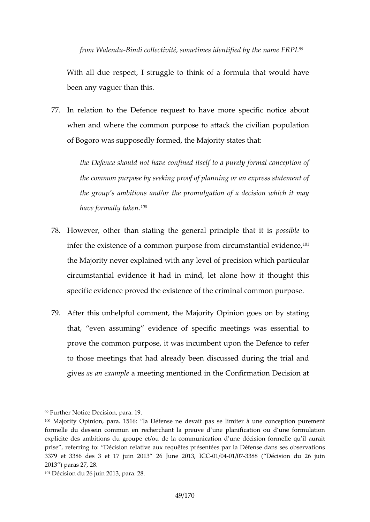from Wal-Binnddui collectivité, sometimmeasmied E<sup>s</sup>RRtPflied by the

With all due respect, I struggle to think of a formula that been any vaguer than this.

77.In relation to the Defence request to have more speci whemandwhere the common purpose to attack the civilian of Bo goro was supposedly formed, the Majority states that:

the Defence should not have confined itself to a pure the common purpose by seeking proof of planning or a the group s ambitions and/orathologies on ulwe a tion it finally have formal<sup>10</sup> $\sqrt{9}$  taken.

- $78.$  However, other than stating the general sponit bood eiple that infer the existence  $\alpha$  and  $\alpha$  a conservation circumstant flal evidence theMajorint yver explained with any level of ripreculias ion which circumstantial evidence it had in mind, let alone how specific evidence proved the existence of the criminal common
- 79.After this unhelpful comment, the Majority Opinion goes that, even assuming **epeccent and specific metally contained** was essential prove the common purpose, it was incumbent upon the D to those meetings that had already been discussed during givess an example ting mentioned in the Confirmation Dec

<sup>99</sup> Further Notice Dearts 9.0 n

<sup>100</sup>Majority Opinion1,5 p alma. Défense ne desealimpias r à une conception purem formelle du dests ten recherchant la preuve d une planification ou d explicite des ambitions du groupe et/ou de la communication d une déc prise referring écison relative aux requêtes présentées par la Défense da 3379 et 3386 des 3 et 17 juin 201301/20641/1003763682011 Décision du 26 juin 2013 paras 27, 28.

 $101D$  écision du 26 juin 228013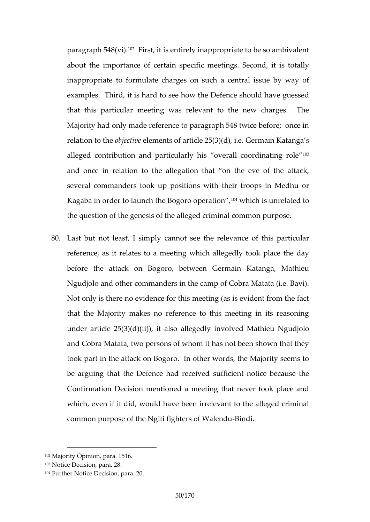paragha 548 (V<sup>2</sup>iffirst, it is entirely inappropriate to be so a about time portance decertain specific meetings. Second, it inappropriate to formulate charges on such a central i examples. Third, it is hard enticle is the own if the  $d$  beguessed that this particular meeting was relevant to the new Majority had only made reference to paragraph 548 twice relation to bibe bile ents of article  $25(3)(d)$ , i.e. Germain allege cht cobution and particularly his overalle coordinat and once in relation to the allegation that on the ever several commanders took up positions with their troops Kagaba in order to launch the B<sup>o</sup>t up to the dipendiation of to the question of the genesis of the alleged criminal comm

80. Last but not least cal missime ply he relevance of this particular reference, as it relates to a meeting which allegedly to before the attack oon b Btongsoen Germain Katanga, Mathi Ngudjolo and other commanders in the camp of Cobra Ma Not only is there no evidence for this meeting (as is evi that the Majority makes no reference to this meeting in underartic  $2\mathfrak{S}(3)(d)(ii)$ , it also allegedly involved Mathieu and Cobra Matata, two persons of whom it has not been took part in the attack on Bogoro. In other words, the M be arguing that the Defencsufitadienet enionede because the Confirmation Decision mentioned a meeting that never which, even if it did, would have been irrelevant to the common purpose of the Ngiti fight the disting the Walendu

<sup>102</sup>Majority Opinion51p6ara.

<sup>103</sup>Notice Decision, para. 28

<sup>104</sup>Further Notice , Deai2a0.on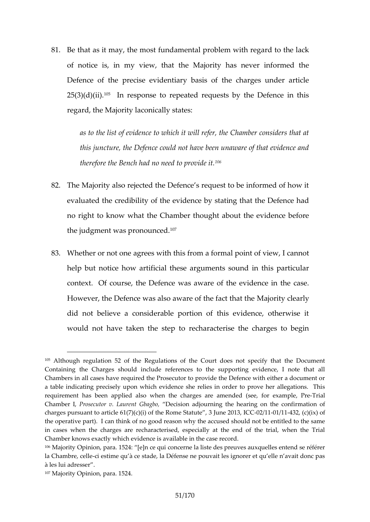81.Be that as it may fun hdeam ensitial problem with regard to the of notice is, in my view, that the Majority has never Defenot the precise evidentiary basis of the charges  $25(3)(d)\%$ iling. response to repeated requests by the Defe regard, the Majority laconically states:

as to the list of evidence to which it will refer, the Chamber considers that at an at a this juncture, the Defence could not have been unawar therefore the Bench had  $n\theta$  need to provide it.

- 82. The Mation raiso rejected the Defence s request to be informed and  $\theta$ evaluatheredibility of the evidence by stating that the I no right to know what the Chamber thought about the e the judgment was pronounced.
- 83. Whether or nangrees with this from a formal point of view, help but notice how artificial these arguments sound in context. Of course, the Defence was aware of the evid However, the Defence was also aware aport the disecter that the did not believe a considerable portion of this evidenc would not have taken the step to recharacterise the c

 $105$ Although regulation 52 of the Regulations of the Court does not specified Containing the Charges should include references to the supporting Chambers in all cases have required the Prosecutor to provide the Defence a table indicating precisely upon which evidence she relies in order to requirement has been applied also whem dtehet (cshieaer,gessamen,neshe reTamminael Chamber Ingsecutor v. Laure Dhet Gobiagbo, diourning the hearing on the confi charges pursuant to article  $61(7)(c)(i)$  of the ReOm2e40Sft/a4440812e,  $\zeta$   $\otimes$   $\zeta$   $\zeta$   $013$ the operatiye pacan think of no good reason why the accused should not in cases when the charges are recharacterised, especially at the end Chamber knows exactly which evidence is available in the case record. 106Majority Opinion, paedn c&24ui concerne la liste des preuves auxquelles la Chambre-cice blte me qu à ce stade, la Défense ne pouvait les ignorer et à les lui adresser 107Majority Opinion, 4para. 152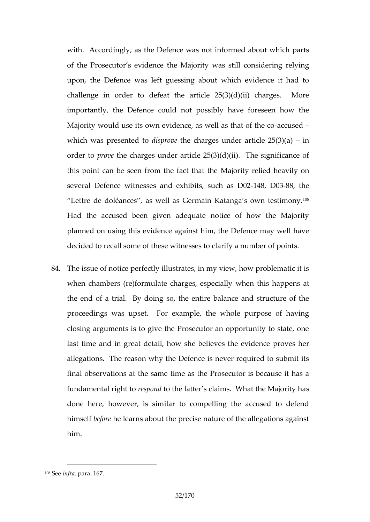with. Accordingly, as the Defence was not informed about of the Prosecutor shevMa in ority was still considering rely upon, the Defence was left guessing about which evid challenge in order to defeat the article  $25(3)(d)(ii)$ importantly, the Defence could not possibly have fore Majority u wholouse its own evidence, as wed becaused that of the which was presed to the charges under article  $25(3)(a)$ order pto out the charges under article  $25(3)(d)(ii)$ . The signal this point can be seen from Mhagofratcyt the hated hhee avily on several Defence witnesses and exh4bitsE80883udheas D02 Lettre de doléans avessil as Germain Katanga \$<sup>08</sup>own testim Had the accused been given adequate notice of how planned on using the sagaids to him, the Defence may well decided to recall some of these witnesses to clarify a nu

84. The issue of notice perfectly illustrates, in my view, how when chambers (re)formulate changuets is ensupposed at ly the end of a trial. By doing so, the entire balance and proceedings was upset. For example, the whole purp closing arguments is to give the Prosecutor an opportur last time and in great debæillie how the evidence proves h allegations. The reason why the Defence is never required final observations at the same time as the Prosecutor is fundamental rigsto diodthe latter s claims. Whast the Major done here, however, is similar to compelling the accu himseble forme learns about the precise nature of the allega him.

 $108S$  e ien f r ap a r1a6.7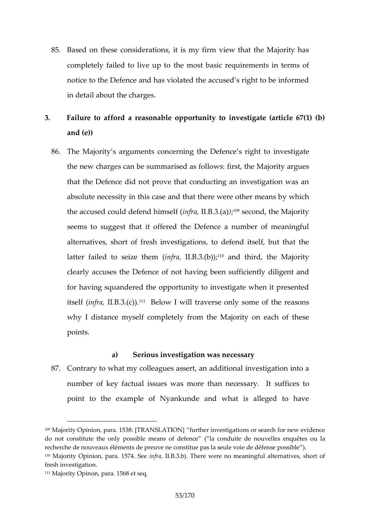- 85.Based on thessederations my firm view that the Majority completely failed to the most the asic requirements in term notice to the Defence and has violated the accused s rig in detail about the charges.
- 3. Failure to afford a reasonable opportunity to investigat and (e))
	- 86. The Majority s arcgoun  $c$  enthising the Defencies vse srtiigg hatteto the new charges can be summarised as follows: first, the that the Defence did not prove that conducting an inves absolute necessity in this case and that y the means other means other means by  $a$ the accused could defien  $f$  dalp  $B$   $\frac{3}{2}$   $\frac{3}{2}$   $\frac{3}{2}$  ( $\frac{2}{3}$  )  $\frac{4}{3}$  cond, the Majority seems to suggest that it offered the Defence a number alternatives, short of fresh investigations, to defend it latter failed to seinzferathem  $(10,10)$  and third, the Majority clearly accuses the Defence of not having been sufficie for having squandered the opportunity to investigate wh itselinf  $(r a l. B.3.1$ ( $c$ B)elow I will traverse only reasons f t why I distance myself completely from the Majority on points.

a) Serious investigation was necessary 87. Contrary to what my colleagues assert, an additional inv number of key factual issues was morsuthanesnecessary point to the example of Nyankunde and what is alleg

111Majority Opinon, para. 1568 et seq.

<sup>109</sup>Majority Opinion, p[aTr&ANSBATION her investigations or search for new do not constitute the only possible ( mae acroson obufitobe foben creouve bleosu elmaquêt recherche de nouveaux éléments de preuve ne constitue pas la seule voie  $110$ Majority Opinion, paranft  $57.4$  .  $35$   $\pm 0.5$  . There were no meaningful alternatives, fresh investigation .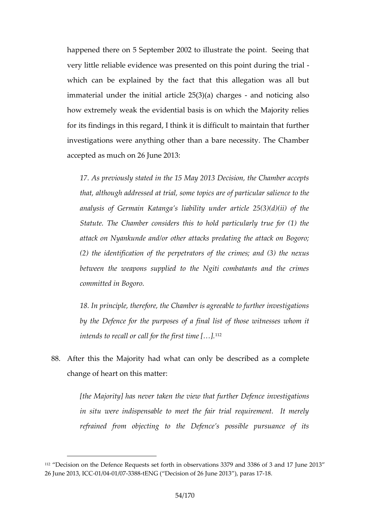happenthere on 5 September 2002 to illustrate the point very little a belueidence was presented on this point during which can be explained this the fits allegation was all but the  $\alpha$ immaterial under the initial articlen $2d5$   $(n3c)$ t(iac) noch alges how extremely weak the evidential basis is on which the for its findings in this regard, I think it isudifificult to ma investigations were anything other than a bare necessit accepted as much on 26 June 2013:

17. As previously stated in the 15 May 2013 Decision, that, although addressed at trial, some encloptic sthære of particular saling to the topic to the topics of particular sali ence to the topics of the the topics of the the topics of the the topics of the the topics of the analysis of Germain Katanga s liability under article Statute. The Chamber considers this to hold particul attack on Nyankunde and/or other attacks predating t (2) the identoficate io perpetrators of the crimes; and (3) between the weapons supplied to the Ngiti combata committed in Bogoro.

18. In principle, therefore, the Chamber is agreeable to by the Defence for othe purposes of those witnesses intends to recall or call for the first time  $[8]$ .

88.After this the Madwhiat can only be described as a com change of heart on this matter:

[the Majority] has never taken the  $w$ sthex the terporther  $D$ in situ were indispensable to meet the fair trial req refrained from objecting to the Defence s possible

<sup>112</sup> Decision on the Defence Requests set forth in observations 3379 and 26 June 2003033, / 6041 / 6373 848ENG ( Decision on 12 21 6 3 Jun paras 17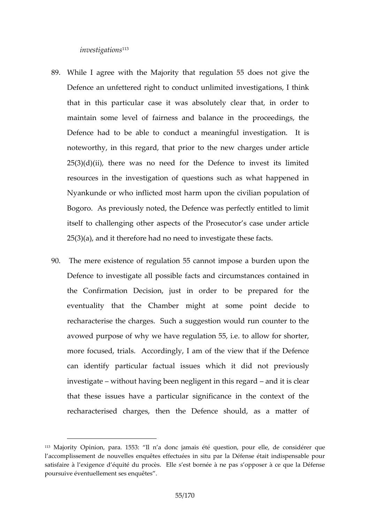investiga<sup>t</sup>ions

- 89. While I agree with the Majority that rteguive tible 55 does Defence aenttuemed rtigphotnduct unlimited investigations, I t that in this particular case it was absolutely clear th maintain some level of fairness and balance in the pi Defence had to be able to conduct a omeaningifsul invest noteworthy, in this regard, that prior to the new charge  $25(3)(d)(ii)$ , there was no need for the Defence to in resources in the investigation of questions such as wh Nyankunde or who inflicture du ponconst the civilian population of Bogoro. As previously noted, the Defence was perfectly itself to challenging other aspects of the Prosecutor s  $25(3)(a)$ , and it therefore had no need to investigate the
- 90. Themere existence of regulation 55 cannot impose a bu Defencent we stigalle possible facts and circumstances cont the Confirmat Doencision, just in order to be prepared for eventuality that the Chamber might ate stome point recharacterise the charges. Such a suggestion would re avowed purpose of why we have regulation 55, i.e. to all more focused, trials. Accordingly, I am of the view that can identify particulasudactwheichis it did not previously investigawtiethout having been negligentand it his roelge and that these issues have a particular significance in the recharacterised charges, then the Defence should, a

<sup>113</sup> Majority Opinion, palda n a55d3onc jamais été question, pour elle, de c l accomplissement de nouvelles enquêtes effectuées in situ par la Défe satisfaire à l exigence odc**és**uité lloeu spest bornée à ne pas s opposer à ce poursuëweentuellement ses enquêtes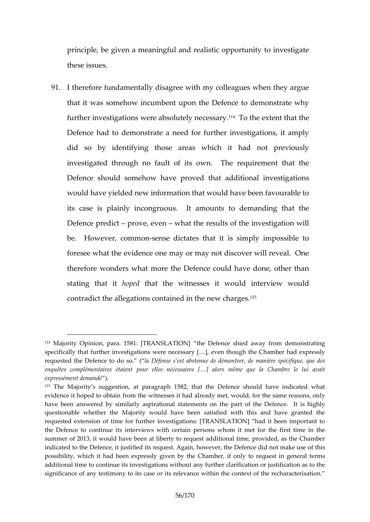principde, given a meaningful and realistic opportunity to these issues.

91.I therefore fundamentally disagree with my colleagues w that it was somehow incumbent upon the Defence to der further investigations wercee absolution the meextent that the Defence had to demonstrate a need for further investig did so boventifyith those areas which it had not previously investigated through no fault of its own. The require Defence should w soma w hoproved that additional investigation would have yielded new information that would have been its case is plainly incongruous. It amounts to demar Defence prepoticate, evelent the results of the investigation be. However comms one dictates that it is simply imposs foresee what the evidence one may or may not discover therefore wonders what more the Defence could have do stating thant piettothat the witnessels interpowiew would contradict the allegations containe<sup>d ds</sup> in the new charges.

 $114$ Majority Opinion,  $5$  \$ ara. TRANSLATH  $\odot$  N efencie d away from demonstrating specicially that further investigations weeme tmleocuegshsathye [C&h]amebver had expre requested the Defence la o Doédesse s est abstenue de démontrer, de maniè enquêtes complémentaires étaient pour elles nécessaires [&] alors m expressémmeamtd) éle

 $115$ The Majority s suggepsagimeanp, h 1582, that the Defence should have indicated what evidence it hoped to obtain from the witnesses it had already I met, would have been answered by similarly asspioratitohmeab as the method Defence. It is questionable whether the Majority would have been satisfied with thi requested extension of time for further investigations: [TRANSLATION] the Defence to donithin enevilews with certain persons whom it met for the summer of 2013, it would have been at liberty to request additional time indicated to the Defence, it justified its request. Angoatimy alk oeweaver of the is De possibility, which it had been expressly given by the Chamber, if only additional time to continue its investigations without any further clarification significance of any tto estismos and its relevance within the context of the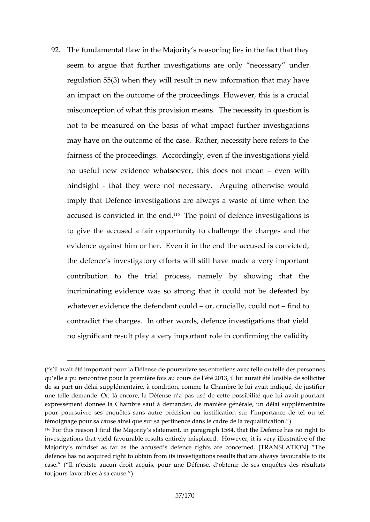92. The fundamental flaw in the Majority s reasoning lies in seem to argue that further investigations are only ne regulation  $55(3)$  when estul devin will be information that may h an impact on the outcome of the proceedings. However, misconception of what this provision means. The necess not to mbeasurend the basis of what impact further invest may have on the outcome of the case. Rather, necessity fairness of the proceedings. Accordingly, even if the in no useful new evidence whatsoever, the issend oweis hnot mea hindsightthat they were nov.ne & eqsissioning otherwise would imply that Defence investigations are always a waste of accused is convicted<sup>16</sup> inhe boond of defence investigation to give the accused a fair opportunity to challenge the evidence nasonal im or her. Even if in the end the accused the defence s investigatory efforts will still have made contribution to the trial process, namely by showir incriminating evidence was so strong dtehfætatiet dcobyld not whatever evidence the defendanuc  $\alpha$  by contained not contradict the charges. In other words, defence investi no significant result play a very important role in confirm

<sup>(</sup> s il avait été important pour la Défense de poursuivre ses entretiens av qu elle a pu rencontrer pour la première fois ia au cours tel distible Odes, sollid de sa part un délai supplémentaire, à condition, comme la Chambre le l une telle demande. Or, là encore, la Défense n a pas usé de cette pos expressémenmté ed da Chambre sauf à demander, de manière générale, un pour poursuivre ses enquêtes sans autre précision ou justification sur témoignage pour sa cause ainsi que sur sa pertiné ince et ions le cadre de la  $116$ For this reason I find the Majion ipters gentangib mile 5n8t4, that the Defence has investigations that yield favourable results entirelyymilsupslanced. How been Majority s mindset as cfoaused sthe teance rights are concerned. [TRANSL defence has no acquired right to obtain from its investigations results th case. Il n existe aucun droit acquis, pour une Défense, d obtedsir de se toujours favorables à sa cause. ).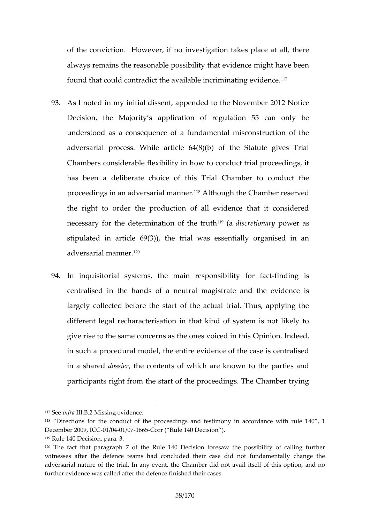of the convictiowever, if no investigation takes place a always remains the reasonable possibility that evidence found that could contradict the available<sup>1</sup> incriminating  $e^{\gamma}$ 

- 93.As I noted in my initial dissent, appen2dDed 2 to the Novem Decision, the Majority s application of regulation 55 understood as a consequence of a fundamental miscons adversarial process. While article  $64(8)(b)$  of the Sta Chambers considerable bluextide iding diunct trial proceedings, has been a deliberate choice of this Trial Chamber t proceedings in an advert and the mannter. Chamber reserved the right to order the production of all evidence that necessary efodeth rmination of  $4\%$  and is cuthion proper as stipulated in article  $69(3)$ , the trial was essentially adversarial m<sup>2</sup>anner.
- 94.In inquisitorial systems, the main refanding in ity for centralised in the handast onfagaist neauther and the evidence largely collected before the start of the actual trial. T different legal recharacterisation in that kind of system give rise to the same concerns as topeinoines ludicatient in thi in such a procedural model, the entire evidence of the c in a shadroesdsiethe contents of which are known to the pa participants right from the start of the proceedings. The

 $117S$  e enfrid I. BM2 s sing evidence

119Rule 140 Decision, para. 3.

<sup>118</sup> Directions for the conduct of the proceedings and testi4n0ony1 in acco  $D$ ecem $\Omega$  $\oplus$   $0.9$ ,  $\oplus$ CC $\Omega$  $\oplus$ 041 / $\oplus$ T6 65 orr ( Rull Decision ).

 $120$ The fact that parage af the Rule 140 Decision foresaw the possibility of callengement  $\overline{a}$ witnesses after the defence teams haddicoolnncolude that he mentional sye change the mental sye change the mental adversarial naherericefl. In any event, the Chamber did not avail itself of further evidence was called antiched the hedering asets.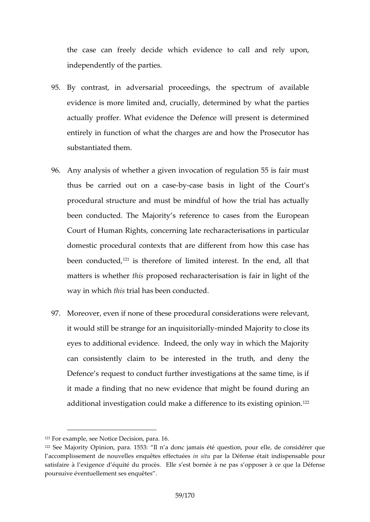the case can freely decuidence idb call and rely upon independently of the parties.

- 95.By contrast, in adversarial proceedings, the spectrur evidence is more limited and, crucially, determined by v actually proffer. What evidence th**e**tDi**s**fednedermaihleptrese entirely in function of what the charges are and how the substantiated them.
- 96.Any analysis of whether a given invocation of regulation thus be carried out-bound a chasis in light of the Court prodeural structure and must be mindful of how the trial been conducted. The Majority s reference to cases from Court of Human Rights, concerning late recharacterisati domestic procedural contexts the art and this rease has been condu<sup>e</sup> distement of limited interest. In the end matters is whe the posed recharacterisation is fair in light matters way in whindustrial has been conducted
- 97. Moreover, even if none of these sipotreorcaet dournal were relevant it would still be strange for -maniniched dimentially to close its eyes to additional evidence. Indeed, the only way in wh can consistently claim to be interested in the truth, Defencs queest to conduct further investigations at the same it made a fitm daitn gno new evidence that might be found du additional investigation could make a difference to its e

 $121F$  or examse  $AB$  otice Decision 6. para.

 $122$ Se Majority Opinion, 5 $\frac{1}{2}$  altan a donc jamais été question, pour elle, de considérer question and  $\frac{1}{2}$ l accomplissement de nouvelles einquêptuers laffleétenéses était indispensable satisfaire à lexigence déquité du prochèes. Dans bot boarnée de dans la Dé poursuive éventuellement ses enquêtes .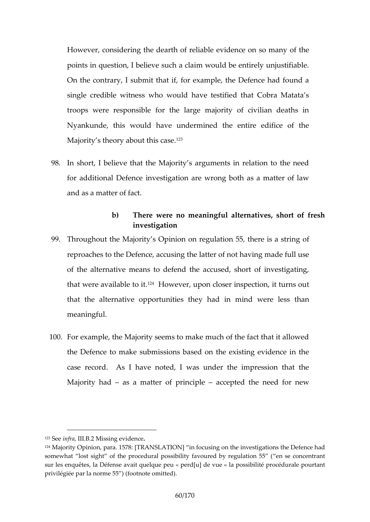However, considering the dearth of ficree loanbso many of the points in question, I believe such a claim would be entirely On the contrary, I submit that if, for example, the Defe single credible witness who would have testified that ( troopse we responsible for the large majority of civilia Nyankunde, this would have undermined the entire ed Majority s theory about this case.

- 98.In short, I believe that the Majority s arguments in relation foraddition Daelfreceinvestigation are wrong both as a matter and as a matter of fact.
	- b) There were no meaningful alternatives, sho investigation
- 99. Throughout the Map or iow son regulation 55, there is a str reproacthes the Defence, has dusting of not having made full use of the alternative means to defend the accused, short that were availa<sup>2</sup>b Heowevier, upon closer inspection, it tur that the alternative oppy obtain it in essenting we the a hess meaimgful.
- 100For example, the Majority seems to make much of the factority the Defentce make submissions based on the existing evidence in the the integration of case record. As I have noted, I was under the impre Majority had a matter opflepraio.cepted the need for new

 $123S$  e enfrall. BM2 ssing evidence

 $124$ Majority Opinion57 $p$ & TRANSLATION $q$ usimg oon the investigations the Defence  $p$ somewhat lost sight of the procedural possibility  $\epsilon$  anvesured n by entergunitation sur les enquêtes, la Défense apveanid [quiled epuveluae peus sibilité procédurale pour priviléegipéar la nor)m (efo5o5tnote omitted).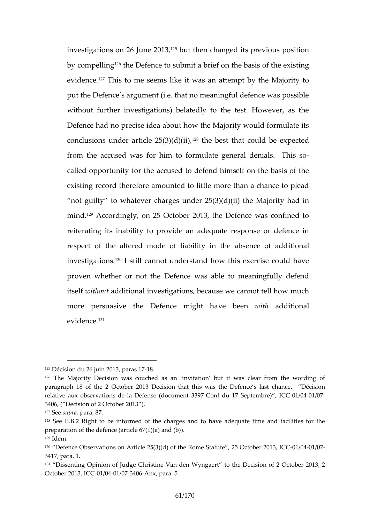investigations on  $26<sup>25</sup>b$  und h $2613$  hanged its previous posit by compe<sup>ter</sup>ing Defence to submit a brief on the basis of evident  $\vec{c}$  and is to me seems like it was an attempt by the put the fence s argument (i.e. that no meaningful defence without further investigations) belatedly to the test. H Defence had no precise idea about how the Majority wou conclusions under artic<sup>12</sup> eth $25$  ( $30$ )( $60$ )( $i$ ),  $i$ ) d be expected from the accused was for him to formulate general der called opportunity for the accused to defend himself on existing record therefore amounted to little more than a

not guilty abewehr charges under  $25(3)(d)(ii)$  the Majori mind<sup>2,9</sup>Accordingly, on 25 October 2013, the Defence was reiterating its inability to provide an adequate respons respect of the altered mode of liability itimentale absence investigations. 11 cannot understand how this exercise c proven whether or not the Defence was able to meaning itsewfithoaudditional investigations, because we cannot tel more persuasive the Defenvoee breed mithadditional  $e$  vidence.

## $125D$ écision du 26, jupian  $26I$ 8137

 $126$ The Majority Decision was couched as an invitation but it was cle paragraph of the 2 October 2013 Decision that this was  $\alpha$ beis Defience s relative aux observations de la Défo£nosmef (douodu7m8ept8c2ne0071e/60041/07 3406, Decision of 2 October 2013).

 $127S$ esuproar  $\frac{37.7}{8}$ 

<sup>128</sup>Seel. B. Right to be informed of the charges and to have adequate time preparation of the defence (art)cle  $67(1)(a)$  and (b).  $129$ Idem.

 $130$  Defen $\Theta$ bservatoonn Asrticle 25 (t3h)e(dRoomie Stat2u5t October 20011/80041 I/OF  $C$ 3417, para. 1.

<sup>&</sup>lt;sup>131</sup> Dissenting Opinion Confri**st**uidagee Van den Wyonghaeer Diecision of 2 October 20 October 20031/0041/03740Anx, pa5ra.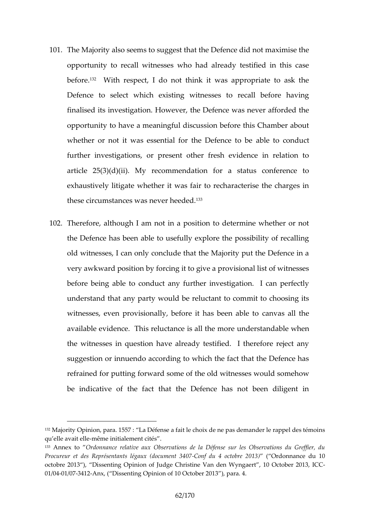- 101TheMajorialy so seems to suggest that the Defence did not opportuntidy recall witnesses who had already testified in befor $\mathcal{E}$ . With respect, I do not think it was appropriate Defende select which existing witnesses to recall be finalised its investigation. However, the Defence was ne opportunity to have a meaningful discussion before this whether or not it was essential for a the the tendencie be further investigations, or present other fresh evidence article  $25(3)(d)(ii)$ . My recommendation for a status exhaustively litigate whether it was fair to recharacteri these circumstances we stand  $e$ .
- 102Therefore, although I am not in a position to determine the Defence has been able to usefully explore the possi oldwitnes, sescan only conclude that the Majority put the I very awkward phousiftoin bing it to give a provisional list of w before being able to conduct any further investigation. understand that any party would be reluctant to commit witnesses, even provisionally, beforeant  $\nu$  and  $\bm{s}$  all the able available evidence. This reluct**ande** risstand diventibelese more the witnesses in question have already testified. I the suggestion or innuendo according to which the fact that refrained for four twing some of the old witnesses would so be indicative of the fact that the Defence has not be

 $132$ Majority Opinionh55p7anLaa. Dhésfee a feaicthbix de ne pas dreamppae bledre sletémoins. quelle avamité en lete initialement cités

<sup>&</sup>lt;sup>133</sup>Annex to rdonnance relative aux Observations de la Défense sur les Procureur et des Représentants07A éganafux du d4b couomi**e b (t @ 3 & 0 ni 6 à nd q c** 10 octobre 20D3ssenting Opinion Confristriunique den Wyngalert October 2-013, ICC  $0.1/0041/0374$   $1-A$ nx, (Dissenting Opinion of  $1.0$  parallelein 2013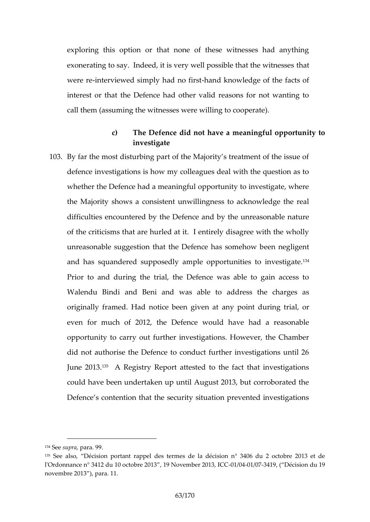exploring this option or that none of these witnesses exonerating to say. Indeed, it is very well the assible that were -inneterviewed simply had no okhowledge of the facts of interest or that the Defence had other valid reasons fo call them (assuming the witnesses were willing to cooper

- c) The Defence did not have a meantim goul opp investigate
- 103By far the most disturbing part of the Majority s treatme defence investigations is how my colleagues deal with the definition and  $\alpha$ whether the Defence had a meaningful opportunity to inv the Majority sshow pnsistent unwillingness to acknowledge difficultimes ountered by the Defence and by the unreason of the criticisms that are hurled at it. I entirely disagre unreasonable suggestion that the De $\acute{\textbf{e}}$  encee has a somme how and haguandesend posedly ample opportunitie<sup>34</sup> to investi Prior to and during the trial, the Defence was able to Walendu Bindi and Beni and was able to address the originally framed. Had noticeanbyegonoidgutivientogriant, or even for much of 2012, the Defence would have had opportunity to carry out further investigations. However did not authorise the Defence to conduct further investi June  $2^{10.5}$   $\otimes$  Registr  $\otimes$  Report attested to the fact that invest could have been undertaken up until August 2013, but c Defence s contention that the security situation prevent

 $134S$ esuprpaar  $29.9$ 

<sup>135</sup> Se also Décision portant rappel des termes de la décision n° 3406 du l'Ordonnance n° 3412 du 1,0109c Nodovreem 200e1r320011/390411/09637419 Décision du 19 novembre 20 a Ba.1.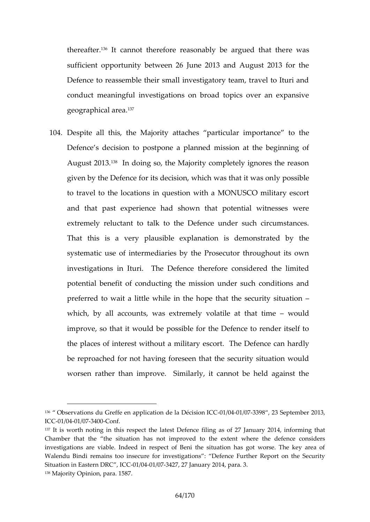thereafted t. cannot therefore reasonably be wagsued that sufficient opportunity between 26 June 2013 and August Defence to reassemble their small investigatory team, t conduct meaningful investigations on broad topics over  $g$ eographica $f$ area.

104Despite allthe is Majority attaches particular importance Defence s decision to postpone a planned mission at the beginning of the beginning of the beginning of the beginning of the beginning of the beginning of the beginning of the beginning of the beginning of the beginning of August 20<sup>8</sup>18. doing so, the Majority completely ignores t given by the Defence for its decision, whip conswided that it to travel to the locations in question with a MONUSCO and that past experience had shown that potential w extremely reluctant to talk to the Defence under such That this is a very plausoinbles edephaon as trated by the systematic use of intermediaries by the Prosecutor through investigations in Ituri. The Defence therefore conside potential benefit of conducting the mission under such preferred to lwitalle awhile in the hope that the security situation which, by all accounts, was extremely would at that improve, so that it would be possible for the Defence to the places of interest without a miletheorey ceasor obraindly he Definition and  $\overline{v}$  he Definition and  $\overline{v}$ be reproached for not having foreseen that the security worsen rather than improve. Similarly, it cannot be h

<sup>&</sup>lt;sup>136</sup> Observations edfolie Gern application del CI@O 1D/e0241s/06373n9 823 September 2013,  $IC$  $60$  1 /  $6041$  /  $6374$   $0$   $0$   $0$  n f.

<sup>137</sup>It is worth noting in this respect the latest Defence filing as of 27 J Chamber that the the smituation provessed to the extent where the defence investigations are viable. Indeed in respect of Beni the situation has Walendu Bindi remains too insecure for investigations : Defence Furth Situat in Eastern D-RIC / 0041 00374 277, 2 anuary 20134, para. 138Majority Opinion, para. 1587.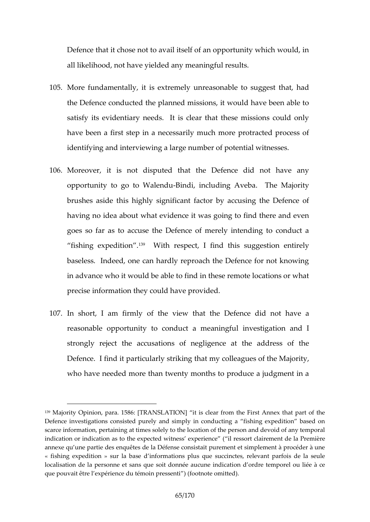Defence that it chose not to avail itself of an opportunit all likelihoodyen piehded any meaningful results.

- 105More fundamentally, it is extremely unreasonable to su the Defence conducted the planned missions, it would have been able to the planned missions, it would have satisfy its evidentiary needs. It is clear that these mi have been a first step in a necessarily much more protra identifying and interviewing a large number of potential
- 106Moreover, it is not disputed that the Defence did n opportunity to go to BMM dlenion unding TAh we bM ajority brushes at in this significant factor by accusing the  $De$ having no idea about what evidence it was going to find goes so far as to accuse the Defence of merely intend fishing exped<sup>pp</sup>tiMonthespect, I find this suggestion enti baseless. Indeed, one can hardly reproach the Defence in advance who it would be able to find in these remote precise formattion ay could have provided.
- 107.In short, I am ffitmey voew that the Defence did not ha  $r$ easona $d$ o $p$  $p$ ortuntiov conduct a meaningful investigation and  $\overline{q}$ strong reject the accusations of negligence at the add Defence. I plant dciut arly straking colleagues of the Majorit who have needed more than twenty months to produce a

<sup>139</sup>Majority Opinion5& Bara ANSLATION] it is clear from the First Annex th Defence investigations consisted purely ctampd as implished in based on scarce information, pertaining at times solely to the location of the perso indication or indication as to the expecteid weist ness cleaxipeemieemtcede (la Prem annexe unue partie des enquêtes de la Défense consistait purement et sim « fishing expedition » sur la base d informations plus que succinctes, localisation de la personne et sans que siocint odlo on noéree atercoupro-er eiln obiucaltée à que pouvait être l expérience  $d\psi$  (fémtonionte roems istelenti).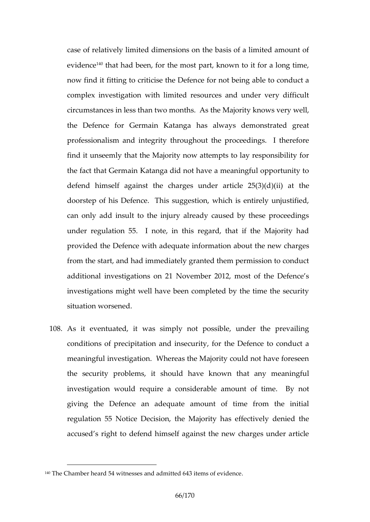case of relatively limited dimensions on the basis of a I eviden<sup>4</sup> that had been, for the most part, known to it for now find it fitting to critice is erther Dee ferming able to conduct complex investigation with limited resources and under circumstances in less than two months. As the Majority the Defence for Germain Katanga has always demons professional integrity throughout the proceedings. I find it unseemly that the Majority now attempts to lay  $r \in \mathbb{R}$ the fact that Germain Katanga did not have a meaningful defend himself against the charges  $\mu$ (nid)eratanthele 25( doorstep of his Defence. This suggestion, which is ent can only add insult to the injury already caused by the under regulation 55. I note, in this regard, that if the provided the Defenceurath information about the new cha from the start, and had immediately granted them permis additional investigations on 21 November 2012, most of investigations might well have been completed by the ti sitaation worsened.

108As it eventuated, it was simply not possible, under t conditions of precipitation and insecurity, for the Defer meaningful investigation. Whereas the Majority could no the security probolemusid inave known that any meaning investigawioundequire a considerable amount of time. giving the Defence an adequate amount of time fron regulation 55 Notice Decision, the Majority has effecti accused s oright the definition against the new charges und

<sup>140</sup>The Chamber heard 54 witnesses and admitted 643 items of evidence .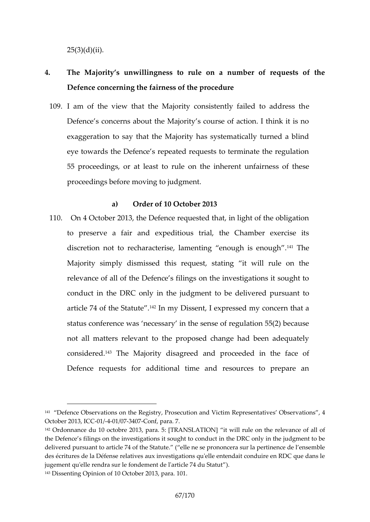$25(3)(d)(ii)$ .

- 4. The Majority s unwillingness to rule on a number of Defence concerning the fairness of the procedure
- 109. am of the view that the Majority consisteently failed Defence s concerns about the Majority s course of actio exaggeration to say that the Majority has systematicall eye towards the Defence s repeated requests to termina 55 proceedings, or at deashteton huelreent unfairness of the proceedings before moving to judgment.

a) Order of 10 October 2013

110.On 4 October 2013, the Defence requested that, in light to preserve a fair and expeditious trial, the Chambe discrethoon to recharacterise, lamenting <sup>1</sup>e<sup>th</sup>Tohuegh is enough Majority simply dismissed this request, stating it wil relevance of all of the Defence s filings on the investig conduct in the DRC only in the judgement to a be due ive article  $74$  of the  $42$  Sht anto Ditus ent, I expressed my concern that status conference was necessary in the sense of regularion  $5/2$ not all matters relevant to the proposed change had b conside<sup>re</sup> The Matioridisagreed and proceeded in the fact Defence requests for additional time and resources to

<sup>&</sup>lt;sup>141</sup> Defence Observations on the Registry, Prosecutis  $\Omega$  basned Waite birms Re4pres October 2013, 1-410010 0374 00 onf, para.

<sup>142</sup>Ordonnance du 10 octpbnse. 2TORIASN SLATION Will rule on the relevance of a the Defence s filings on the investigations it sought to docommetation behe DF deivered pursuant  $\bar{\tau}$  a aftible Statute ne se prononcera sur la pertinence de des écritures de la Défense relatives aux investigations qu'elle entendai jugement qu'elle rennd den semitle efd'article 7.4 du Statut 143Dissenting Opinion of 10 Octobier 2013, para.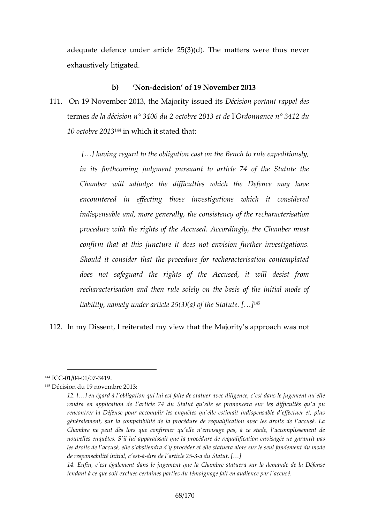adequate defence under article  $25(3)(d)$ . The matters  $\nu$ exhaustively litigated.

b) Nondecision of 19 November 2013 111.On 19 Novembeth 2 CM ago rity is Décids its portant rappel de termedse la décision n° 3406 du 2'Oor**oto**onboranen° 22804132 edude 10 octobre<sup>4</sup>i a Owi Bich it stated that:

[&] having regard to the obligation cast on the Bench in tis forthcoming judgment pursuant to article 74 of Chamber will adjudge the difficulties which the  $D_{\ell}$ encountered in effecting those investigations whi indispensable and, more generall $e$ , charactensis sattency of procedure with the rights of the Accused. Accordingly confirm that at this juncture it does not envision further Should it consider that the procedure for recharacte does not solafelogeu arights of the Accused, it will de recharacterisation and then rule solely on the basis liability, namely under article  $[265]^{43}$ )(a) of the Statute.

112.In my Dissent, I reiteratethen Majorwitth at appnopach was

<sup>144</sup> C GO 1 / 0041 / 0374 1 9.

 $145D$ écisiobun 19 novembre 2013:

<sup>12. [&</sup>amp;] eu égard à l'obligation qui ldiliegsetn'foenesitendelens tet juegre annouenct qu'e rendra en application de l'article 74 du Statut qu'elle se pronone rencontrer la Défense pour accomplir les enquêtes qu'elle estimait générale muernia compatibilité de la procédure de requalification ave Chambre ne peut dès lors que confirmer qu'elle n'envisage pas, a nouvelles enquêtes. S'il lui apparaissaida qioen la npisacé de reede araquia les droits de l'accusé, elle s'abstiendra d'y procéder et elle statuer de responsabilité à-drireiade d'article deu 255 tatut. [ & ]

<sup>14.</sup> Enfin, c'est égalem eemt dannes lae Qibuanen hore statuera sur la demand tendant à ce que soit exclues certaines parties du témoignage fait e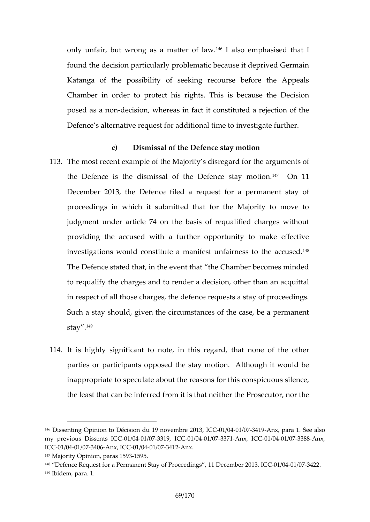only unfair, but wrong as  $a^{14}$ fhad teo efnphawsised that I found the decision particularly problematic because it deprived and Katanga of the possibility of seeking recourse before Chamber in order to protect heis belogehutse Thine's Decision posed as a encossion, whereas in fact it constituted a reje Defence s alternative request for additional time to inve

- c) Dismissal of the Defence stay motion 113The most recent example of the aMa jornity he disquments of the Defence is the dismissal of the  ${}^{1}D$  e $O$  em c  ${}^{1}$  stay motomether  $I$ December 2013, the Defence filed a request for a per proceedings in which it submitted that for the Majorit judgment under artitchle  $\vec{v}$  asis of requalified charges with providing the accused with a further opportunity to m investigations would constitute a manifest uniairness to The Defence stated that, in the event that the Chamber to reglify the charges and to render a decision, other th in respect of all those charges, the defence requests a state of all those charges. Such a stay should, given the circumstances of the case sta $y^{49}$ .
- 114.It is highly signifoce, ntintoth is regard, that none of the parties or participants opposed the stay motion. Althou inappropriate to speculate about the reasons for this conspiculation the least that can be inferred from it is otrh an orretime berthe

146Dissenting OpiDa ëccnision du 19 novembre C 20011/30041 / 0374 1-Anx, par Stete. also my preous Dissen-0s1/0024 C/037319, ICC 6041/0373 7-Anx, ICO 0: / 0041/0373 8-Anx, ICC0 1 / 0041 / 0374 0  $\angle$  n x, IQC / 0041 / 0374 1 - $\angle$  n x.

 $147M$ ajority Opinion, p1a5 $9.5.1593$ 

<sup>&</sup>lt;sup>148</sup> Defence Request for a Permanent Stay of ProceeCdOintgGS041,/693744 2D2e.cember 2  $149$  bide, mpara. 1.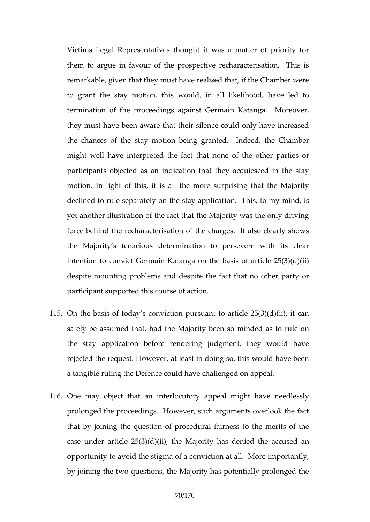Victims Legal Representatives thought it was a matter them to argue in favour of the prospective recharacter remarkable, given that they must have realised that, if the to grant the stay imsowouldthin all likelihood, have led termination of the proceedings against Germain Katang they must have been aware that their silence could only the chances of the stay motion being granted. Indeed might whealve interpreted the fact that none of the other participants objected as an indication that they acquie motion. In light of this, it is all the more surprising the declined to rule separately onothe Eshiay, apphicanniind, is yet another illustration of the fact that the Majority was force behind the recharacterisation of the charges. It a the Majority s tenacious determination to persevere intention to tho cornain Katanga on the basis of article despite mounting problems and despite the fact that no participant supported this course of action.

- 115On the basis of today s conviction pursuant to article 2 saely be assumed that, had the Majority been so minde the stay application before rendering judgment, they rejected the request. However, at least in doing so, this a tangible ruling the Defence codub hhappe a challenge
- 116One may object that an interlocutory appeal might ha prolonged the proceedings. However, such arguments of that by joining the question of procedural fairness to the merits of case under article  $2n\frac{1}{2}$  and  $\frac{1}{2}$  (iiii), has denied the accused opportunity to avoid the stigma of a conviction at all. M by joining the two questions, the Majority has potentiall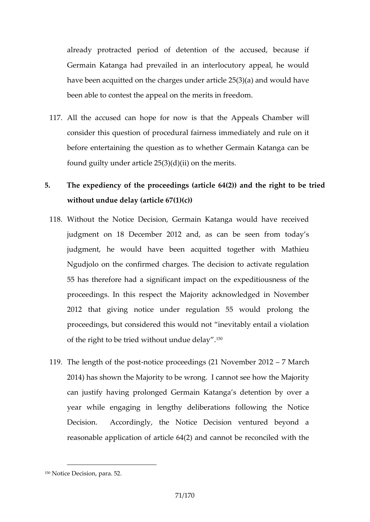already protracted period of detention of the accuse Germin Katanga had prevailed in an interlocutory appeal have been acquitted on the charges under article  $25(3)(a)$ been able to contest the appeal on the merits in freedom.

- 117All the accused can hope for now is that will appeals consider this question of procedural fairness immediate before entertaining the question as to whether Germain found guilty under article 25(3)(d)(ii) on the merits.
- 5. The expediency of the proceedings and  $($ the formal  $4t(2)$   $\beta$  e tried to be the right to be the right to be to be to be the right to be the right to be tried to be the right to be the right to be the right to be the without undue delay (article 67(1)(c))
	- 118Without the Notice Decision, Germain Katanga would h judgment on 18 December 2012 and, as can be seen judgment, he would have been acquitted together w Ngudjolo on the confirmed charges. The decision to acti 55 has therefore had a significant impact on the exped proceedings. In this respect the Majority acknowledged 2012 that giving notice under reguplreatlion mg 5thewould proceedings, but considered this would not inevitably e of the right to be tried with  $\partial \hat{v}$ t undue delay.
	- 119The length of -tho eipesptroceedings (21 No 7 d Mhabrech 2012  $2014$ ) has shown the Majority to the energy the CM and rity can justify having prolonged Germain Katanga s detent yea while ngaging lengthy deliberations following the N Decision. Accordingly, the Notice Decision venture  $r$ easonable application  $2$   $\delta$  fand the  $\delta$  and  $\delta$   $\delta$  (be reconciled with

<sup>150</sup>Notice Decision, para. 52.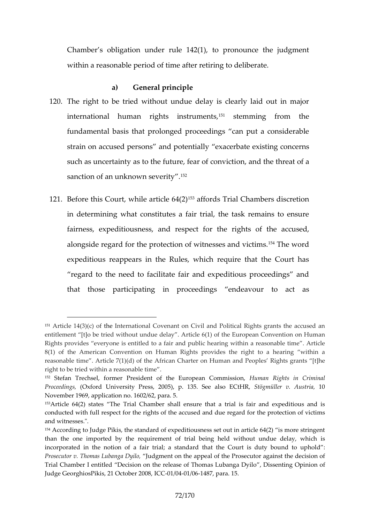Chamber s obligation under rule  $142(1)$ , to pronounce within a reasonable period of time after retiring to delibe

## a) General principle

- 120The right to be tried without undue delay is clearly laid out in many taid out in many laid of the many results in many laid the many laid of the many laid of the many laid of the many laid of the many laid of the many international human rights<sup>151</sup> i**sset muming** the the fundamental basis that prolonged proceedings can put strain accroused perasmodispotentially derbeating concerns such as uncertainty as to the fuoton, ean for a for the reanal contrative field and such and the threat and the threat and the such a sanction of an unknow<sup>of</sup> severity.
- 121Before this Court, whil<sup>te 3</sup>aafforde 641(21) Chambers discretion in determining what constitutes a fair trial, the task re fairness, expeditiousness, and grhetsspeedt theer abeused, alongside ard for the protection of with  $\epsilon$ Tshsee sweend victims expeditious reappears in the Rules, which require that regard to the need to facilitate fair and expeditious p that those partuliquati proceedings endeavour to act

<sup>151</sup>Article 14(3t) Helnternational Covenant on Civil and Political Rights grants entitlement [t]o be tried without undue delay . Articleon6 (onn) betimblaen Europ Rights provides everyone is entitled to a fair and public hearing within 8(1) of the American Convention on Human Rights provides the right reasonable time . Article  $7(1)(d)$  tef the HAufmi $\bm{x}$ ana Cotha Peoples Rights grant right to be tried within a reasonable time .

 $152$  Stefan Trechsel, former President of the HE uum capne a Rhig 60 to m minis  $\Omega$  pinm, in all Proceed (nOgxsford Universit  $Q \cup Q \cup R$  is app. 135. See aSI stögünhler Ent HvR, Authsultia,

November 1969, application no. 1602/62, para. 5.

 $15A$ rticle 64(2) states The Trial Chamber shall ensure that a trial is f conducted with full respect for the rights of the accused and volute megard and witnesses.".

<sup>154</sup>According to Judge Pikis, the standard of expeditiousness set out in ar than the one imported by the requirement of trial being held without incorporated in the anotalion troint; a standard that the Court is duty bound to uphold to uphold that the Court ProsecutTohro mas Lubang bu Dywind onto ithe appeal of the Prosecutor against Trial Chamber I entitled Decision on the release of ThoOmpainaboafing a Dy Judge GeorghiosPikis, 21 COGO flo/190841 / 21640887para. 15.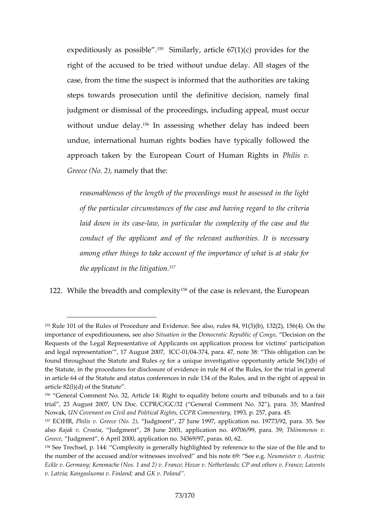expeditiously as  $1650$ S is mibilarlay rticle  $67(1)(c)$  provides for the state of  $1600$ right of the accused to be tried without undue delay. A case, from the time the suspect is informeack thome authorities and the state and the authorities are the authorities are the analyze and the analyze and the analyze and the analyze and the analyze and the analyze and the steps towards prosecution until the definitive decision judgment or dismissal of the proceedings, including app without undue<sup>15</sup> $\theta$ len ayssessing whether delay has indeed undue, international human rigahttys pilos and line the standard the  $\alpha$ approach taken by the European Court Poliil Hisumvan Right Greece ( $ManB$ ) y that the:

reasonableness of the length of the proceedings must of the particular circumstances of gtahred das the and rilheamian laid down in-latus, clanse articular the complexity of the c conduct of the applicant and of the relevant authori among other things to take account of the importance the pplicant in the  $57$  litigation.

122While the breadth and<sup>58</sup>o omplet at the case is relevant, the Europ

<sup>155</sup>Rule 101 of the Rules of Procedure and  $\texttt{deE}$  v8de recte (3) $\texttt{S}$ ( $\texttt{eb}$ , all  $\texttt{8}$  a(2r), 156(4). importance of expeditiou $S$ nieus astiostme donah soncrapiuch Rie of C $D$ engios, ion on the Requests of the Legal Representative of Applicants on application proce and legal representation,  $1\mathbb{C}$   $\bigoplus$   $1/\bigoplus$   $\bigoplus$   $204\mathbb{Z}$   $\bigoplus$   $204\mathbb{Z}$ ,  $47$ , note  $38$ : This obligation found througheous tatute and gRoulas unique investigative opportunity article the Statute, in the procedures for disclosure of evidence in rule 84 of th in article 64 of the Statute and status fc bhe e Remess and rumethe 4 right of appeal in the right of appeal in the right of appeal in the right of appeal in the right of appeal in the right of appeal in the right of appea article 82(l)(d) of the Statute .

<sup>156</sup> General Comment No. 32, Article 14: Right to equality before courts trial, 23 August 2007, UN Doc. CCPR/C/GC/32 ( Gener5al MC ammi meecht No. NowakU, N Covel noam Civil and Political Rights, 1909(3P, Pp. C 2051) Trim epopet rearly 45.

<sup>157</sup>ECtHRP, hilis v. Greece u(dNgome2n)t,, 27 June 1997, application no. 19773/9 alsoRajak v. Crouautoilagment , 28 Junkic 2001 (0.1h, naop.p 49706/999hlipmannae.n 619; v. Greece udgment,  $6$  April 2000, application no.  $34369/97$ , paras.  $60$ ,  $62$ .  $158$ See Trechsel, p. 144: Complexity is generally highlighted by reference the number of the a/coruwetch and soles involved tea  $60$  : his Neuemeister v. Austria; Eckle v. Germany; Kemmache (Nos. 1 and 2) v. France; Hozee v. Netherlands; v. Latvia; Kangasluo annadGvK FinPanhadn, d.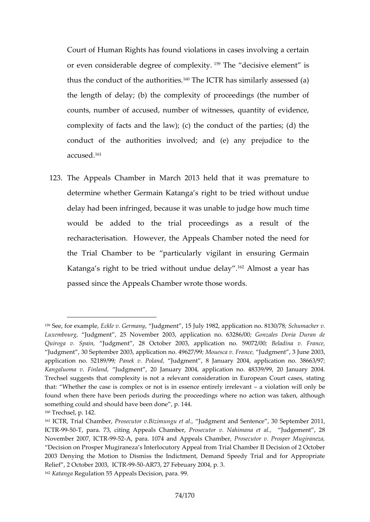Court of Human Rights has found violations in cases inv or even considerable degre<sup>s of</sup> the composition element is thus the conduct of the alterthorophic and in a similarly assessed the length of delay; (b) the complexity of proceedings counts, number of accused, number of witnesses, quant complexity of facts and the law) f; t(hough  $\theta$  the flows ond  $(\mu \alpha)$  the conduct of the authorities involved; and (e) any pre  $a$  c c u s<sup>1 $61$ </sup>d.

123The Appeals Chamber in March 2013 held that it was determine whether Germain Katanga s right to be tried delay had been intercompues to it was unable to judge how mu would bæddedto the trial proceedings as a result o recharacterisation. However, the Appeals Chamber note the Trial Chamber to be particularly vigilant in ensur Katanga st to the twitch the delay delay almost a year has passed since the Appeals Chamber wrote those words.

 $159S$ ee, for ex**a**mplee, v. Germuladagy metrol July 1982, application **6** crhou. m8a1c3n 0e/r78 . Luxembourgdgment, 25 November 2003, applicaGtoom zaheos Do02886/D0 ran d Quiroga v. Supuadignment, 28 October 2003, applica.Bioelmaadin no. F5r9a0n7c2e/00 Judgment , 30 September 2003, applMcantieosncanov.. JFGPon&o29n9t , 3 June 2003, applicatmion 52189P9a9 ek v. Poldegmonent, 8 January 2004, application no. Kangaluoma v. Fundlgament, 20 2004 argapplication no. 48339/99, 20 January Trechsel suggests that complexity is not a relevant consideration in European that: Whether the case is complex or not is in æsvsi**e ha**cteio ennivirelly nilry elbey foud when there have been periods during the proceedings where no actional something could and should have been done , p. 144. 160Trechsel, p. 142.

<sup>161</sup>ICTR, Trial ChParmobec, uBoizim.ungu eltudagiment and Sentence, 301Septembe ICTR9950T, par7a3, citing Appeals POrlossendouetror v. Nahimalund get meantt,, 28 November 20079, 951 PAT Roara. 10744 paeals Cha Phrtoesrecutor v. Prosper Mugiran Decision on Prosper Mugiraneza s Interlhoial t Cohama precent Dreomision of 2 Oc 2003 Denying the Motion to Dismiss the Indictment, Demand Speedy T Relief, 2 October 2095 GAR76, TR7 Februar 3. 2004, p.  $162K$  at an Regulation 55 Appeals and Dae c $9.90$ ion,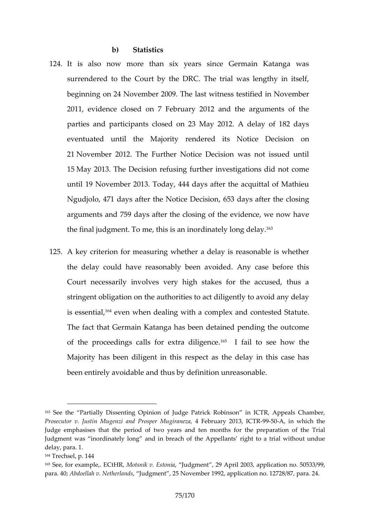b) Statistics

- 124.It is also now more than six years since Germain I surrendered to the Court by the DRC. The trial was le begimmi on 24 November 2009. The last witness testified 2011, evidence closed on 7 February 2012 and the ar parties and participants closed on 23 May 2012. A del eventuated until the Majority rendered ids Notice I 2 1November 2012. The Further Notice Decision was not 15May 2013. The Decision refusing further investigation until 19 November 2013. Today, 444 days after the acqu Ngudjolo, 471 days after the, NG 58 icoba Dece aifstieorn the closing arguments and 759 days after the closing of the evidene the final judgment. To me, this is an Imordinately long de
- 125A key criterion for measuring whether a delay is reason the delay coulde chas a whely been avoided. Any case befor Court necessarily involves very high stakes for the a string **ebligatoonthe** authorities to act diligently to avoid is essenteale, when dealing with a complex atmodecontested The fact that Germain Katanga has been detained pendi of the proceedings calls for<sup>65</sup> ektraild tho genee how the Majority has been diligent in this respect as the delay been entirely avoidable faim dititohnu sumbive alseonable.

164Trechsel, p. 144

<sup>163</sup>Se the Partially Dissenting Opinion of Judgein PaCTTTRk Ropherashon Chamber, Prosecutor v. Justin Mugenzi and 4 PFrobpueary Mu2. of 1 February 2015, Rn which the Judge emphasises that the period of two years padatticom montthe Toiralthe Judgment was inordinately long and in breach of the Appellants right delay, para. 1.

<sup>165</sup>See, for exampleMoEsChtiHRV, Estionoligament, 29 April 2003, application no. para. A @ pdoellah v. Netherdlgament , 25 November 1992, appplicatraatio 2n4 no. 127.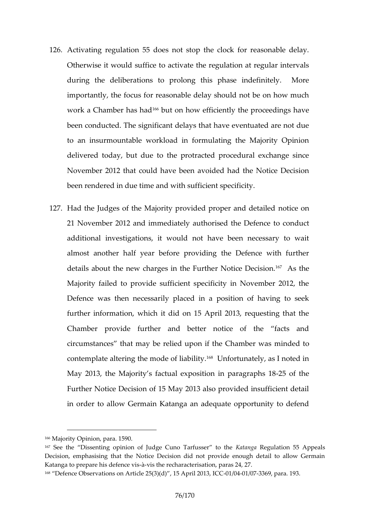- 126Activating regulation 55 does not stop the clock for re Otherwise it would suffice to activate the regulation at during the deliberations to prolong this phase indefi  $im$  portantly  $\alpha$  the formulation able delay should not be on how work a Chamber<sup>16</sup> as the how efficiently the proceedings been conducted. The significant delays that have eventu to an insurmountable workload in formulating the Majo delivered today, but due to the protracted procedural November 2012 that could have been avoided had the N been rendered in due time and with sufficient specificity.
- 127.Hadthe Judges of the Majority provided mortaperomand deta 21 November 2012 and immediately authoris and the Defence additional investigations, it would not have been nece almost another half year before providing the Defence details about the new chargresNothicteheDe<sup>r</sup>@insAhscenthe Majority failed to provide sufficient specificity in Nove Defence was then necessarily placed in a position of further information, which it did on 15 April 2013, requestion Chamber profid dender and better notice of the facts circumstances that may be relied upom infidented Chamber contemplate altering the m<sup>os</sup> due foot funately as I noted in May 2013, the Majority s factual expos $2t5$  on feith paragraphs 18  $-20t$ Further Notice Decision of 15 May 2013 also provided in in order to allow Germain Katanga an adequate opportu

<sup>166</sup>Majority Opinion5900ara

 $167$ See the Disso eprinting of Judg Tea Citums of the Antaba Regulation 55 Appeals Decision, emphasising the Libeision did not provide enough detail to a Katanga to prepare his defence existaracterisation, paras 24, 27.  $168$  Defence Observations on Article 25(3) $($ Od1)/ $\epsilon$ O415 $563$   $\epsilon$ O3 $\epsilon$ B $\epsilon$  2013., 193.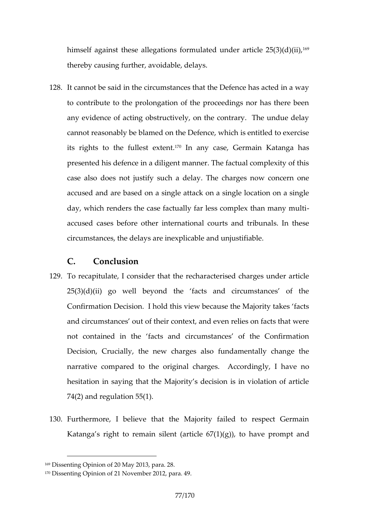himself against these allegations formulate $d<sup>69</sup>$ under artic thereby causing further, a woidable, del

128.It cannot be said in the circumstances that the Defence to contribute to the prolongation of the proceedings no anyevidence of acting obstructively, on the contrary. The cannot reasonably behblame bednoe, twhich is entitled to exe its rights to the full and  $\frac{1}{2}$  and  $\frac{1}{2}$  and  $\frac{1}{2}$  and  $\frac{1}{2}$  and  $\frac{1}{2}$  and  $\frac{1}{2}$  and  $\frac{1}{2}$  and  $\frac{1}{2}$  and  $\frac{1}{2}$  and  $\frac{1}{2}$  and  $\frac{1}{2}$  and  $\frac{1}{2}$  and  $\frac{1}{2}$  and  $\frac{1}{2}$  an presented his defence in a diligent manner. The factual case also does not justify such a delay. The charges i acused and are basine of bability and a single location on a single state at the single location on a single day, which renders the case factually far less complex to accused cases before other international courts and tr circumstances, the delayse  $\alpha$  arredinaly position and unital pole.

## C. Conclusion

- 129To recapitulate, I consider that the recharacterised cha  $25(3)(d)(ii)$  go well beyond the facts and circumsta Confirmation Decision. I hold this view because the Maj and cumcstances out of their context, and even relies on not contained in the facts and circumstances of the Decision, Crucially, the new charges also fundamental narrative compared to the original by hanges. Ancocording hesitation in saying that the Majority s decision is in v 74(2) and regulation 55(1).
- 130 Furthermore, I believe that the Majority failed to rest Katanga s right to remain silent (article  $67(1)(g)$ ), to h

 $169$ Dissenting  $\theta$  paral 20 May 2013, para. 28.

<sup>170</sup>Dissenting Opinion of 21 November 2012, para. 49.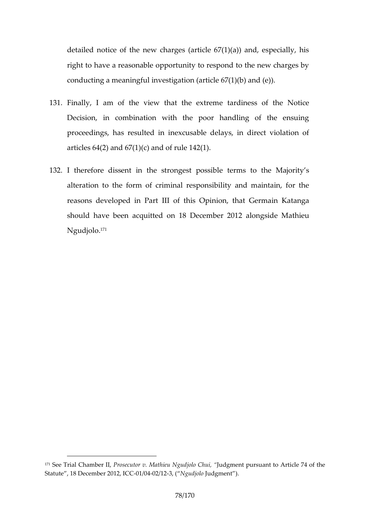detailed notice of the new charges (article  $67(1)(a)$ ) and right to have a reasonable opportunity to respond to the conducting a meaningful investigation (article  $67(1)(b)$ ) and  $(20, 0.00)$ 

- 131.Finally, I am of the view that at the estrem the Notice Decision, in combination with the poor handling of proceedings, has resulted in inexcusable delays, in di articles  $64(2)$  and  $67(1)(c)$  and of rule  $142(1)$ .
- 132. therefore dissent in the setro-enrognessitoposhseib Majority s alteration to the form of criminal responsibility and ma reasons developed llor Phaist Opinion, that Germain Katan should have been acquitted on 21 & ID negemolee Matchieu Ngudjd<sup>r</sup>o.

 $171$ See Trial Cha $R$ hboesre blutor v. Majtchlice uChulquigdon ent pursuant to Article 74 of Statute, 18 December 1  $20042$   $232$   $00Q$  udjolood gment).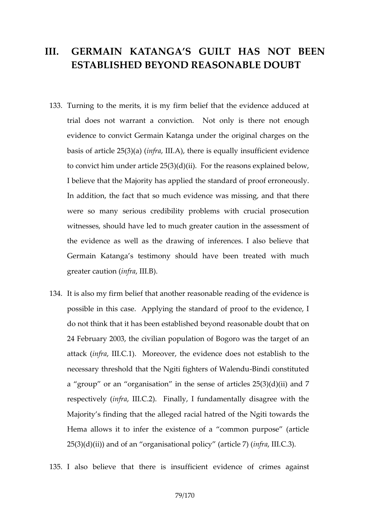## III. GERMAIN KATANGA ST GUAS NOT BEEN ESTABLISHED BEYEOANSDONRABLE DOUBT

- 133Turning the merits, it is my firm belief that the evidence trial does not warrant a conviction. Not only is ther evidentoe convict Germain Katanga under the original cha basis of articlein  $25(5, 48)$ , (there is equally insufficient ev to convict him under article  $25(3)(d)(ii)$ . For the reason I believe that the Majoed ty heastapplard of proof erroneou In addition, the fact that so much evidence was missing were so many serious credibility problems with crucia witnesses, should have led to much greater caution in t the indence as well as the drawing of inferences. I also Germain Katanga s testimony should have been treate greater cauntipartical.
- 134.It is also my firm belief that another reasonable reading possible in atheis Applying the standard of proof to the  $\epsilon$ do not think that id shablished and reasonable doubt that o 24 February 2003, the civilian population of Bogoro was attacikn  $f(railII.C.1)$ . Moreover, the new tdensitized lident to the necessary threshold that the Ngiti-Bigdtecon stit Wale ednou a group or an organisation in the sense of articles 2 respective fy a(II.C.2). Finally, I fundamentally disagree Majorith insting that the alleged racial hatred of the Ngiti Hema allows it to infer the existence of a common purpose  $25(3)(d)(ii)$  and of an organisation and  $f(x)$  article 7)

135. also believe that there estiding antion fermines against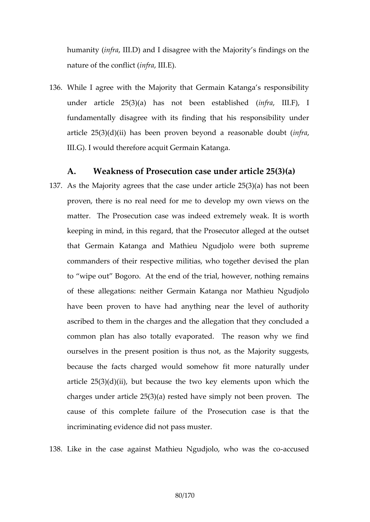humanity f(alll.D) and I disagree with the Majority s find nature of the  $\text{conf}_1$  fallet  $E()$ .

136While I agree with the Majority that Germain Katanga s under article  $25(3)(a)$  has noted biotema lots.tFa)glish fundamentally disagree with its finding that his respor article  $25(3)(d)(ii)$  has been proven beyoimdra reasonal III.G). I would therefore acquit Germain Katanga.

A. Weakness of Prosecution cas $\mathbf{\bar{c}}(3i)$ n $(\mathbf{\hat{a}\hat{e}})$ r article 137As the Majority agrees that the case under article 25(3) proven, there is no real need for me to develop my ow matter. The Prosecution case was indeed extremely weak. keeping in mind, in this hree cParrods, e that br alleged at the out that Germain Katanga and Mathieu Ngudjolo were bo commanders of their respective militias, who together d to wipe out Bogoro. At the end of the trial, however, of these aldega neither Germain Katanga nor Mathieu N have been proven to have had anything near the leve ascribed to them in the charges and the allegation that common plan has also totally evaporated. The reason ourselves in the present position is thus not, as the M because the facts charged would somehow fit more na article  $25(3)(d)(ii)$ , but because the two key elements charges under article  $25(3)(a)$  resteble bav per simply The cause of this complete failure of the Prosecution ca incriminating evidence did not pass muster.

138Like im ecase against Mathieu Ngudjolo, awbos wo as the c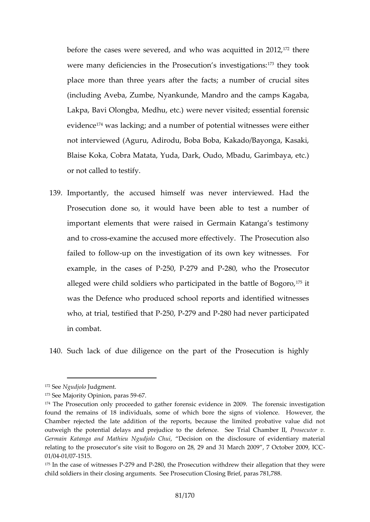before the cases were severed, and were who the cased uitted were many deficheme  $P$  sosecution s in $V$  et sheime attoinums: place more than three years after the facts; a number (including Aveba, Zumbe, Nyankunde, Mandro and the ca Lakpa, Bavi Olongba, Medhuneved.) wisited; essential fore eviden<sup>t</sup> weas lacking; and a number of potential witnesses not interviewed (Aguru, Adirodu, Boba Boba, Kakado/Bay Blaise Koka, Cobra Matata, Yuda, Dark, Oudo, Mbadu, G or notleal to testify.

139 Importantly, the accused himself was never interview Prosecutdon so, it would have been able to test a num important elements that were raised in Germain Katang and to ceasasnine the accused timeliye. effice Prosecution also failed to follown the investigation of its own key witnes example, in the  $c250.2709$  and  $280$ , who the Prosecutor alleged were child soldiers who participate din the battle was the eDee who produced school reports and identified who, at trial, test $-250, 270$  at  $R$   $280$  had never participated in combat.

140Such lack of due diligence on the part of the Prosec

<sup>172</sup>Se Ngudjol Ludgment.

 $173S$ ee Majority Oppaima $5s967$ .

<sup>174</sup>The Prosecution only proceeded to gather forensic evidence in 2009. found the remains of 18 individuals, some of which bore the signs of Chambe ejected the late addition of the reports, because the limited p outweigh the potential delays tanth protetion e arrial ChamPhoseldutor v. Germain Katanga and Mathieu Dolecuisdion on the diselvoid enetiary material relating to the prosecutor s site visit to Bogoro on 28, 29 and 31 March  $0.1 / 0041 / 017515$ .

 $175$ In the case of w $-2770$  same  $280$ , the Prosecution withdrew their allegation t child solsdiner their closing arg Pumosset tsutioSneeClospinaga Bri<sup>7</sup>e8f1,788.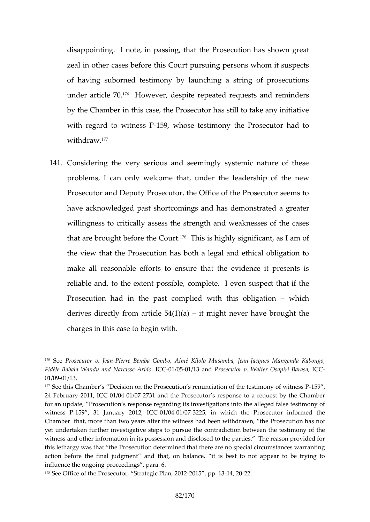disappointing. I note, in the assimate that the shown greating the  $P$ zeal oth exases before this Court pursuing persons whom of having suborned testimony by launching a string of under articleH70.ever, despite repeated requests and re by the Chambers case, the Prosecutor has still to take a with regard to witting ets as the stimony the Prosecutor had to the Hostel withdra $\overline{w}$ .

141 Considering the very serious and seemingly systemic r problems, I can only welcome tahdaet; sbinpoleorf tthhee loeew Prosecutor and Deputy Prosecutor, the Office of the Pro have acknowledged past shortcomings and has demonstrated and willingness to critically assess the strength and weakne that are broughth  $\oplus$   $G$  o' $\vec{u}$  $\theta$  This is highly significant, as I am the view that the Prosecution has both a legal and ethical make all reasonable efforts to ensure that the evidence reliable and, to the extent possible pecotmt  $\mathbf{p}$  at eif the even Prosecution had in the past complied www.tthichhis obligation states in the past complied www.tthichhis obliga derives directly from article ight  $(1)$   $\acute{e}$ a) er have brought the charges in this case to begin with.

 $176$ SeeProsecutobera Pinierre Bemba Gém Koiolo Ioni Mrusa no Jacqueesan Mangenda Kabong Fidèle Babala Wandu an,dICNG and B65 sé 1 & rindrood secutor v. sVa/pailtier B&DCaGsa,  $01/0091/13$ .

<sup>177</sup>See this Chamber s Decision on the Prosecution s renuncilation of the 24 February 200111/00410 027731 and the Prosecutor s response to a request for an update, Phrosse esupioonse regarding its investigations into the allege witness15P9, 31 January -00162941/79632225, in which the Prosecutor inform Chamber that, more than two years after the witness had nb been wothdraw yet undertaken further investigative steps to pursue the contradiction b witness ahd roinformation in its possession and disclosed to the parties. this lethargy was that the etermoniene out it ohnat there are no special circumstand action before the finalanid diment piton balance, it is best to not appear influence the ongoing proceedings , para. 6.  $178S$  ee Office of the Prosecutor  $0.1-20$  or last eg por  $1.20$  and  $2.2$ .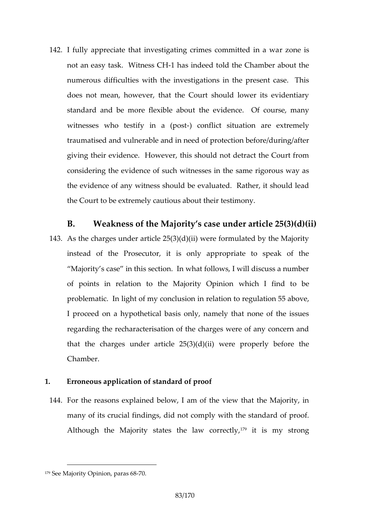142. fully appreciate that investigating crimes noeomsmitted i not an eask Witness Gas indeed told the Chamber about numerous difficulties with the investigations in the pre does not mean, however, that the Court should lower standard and be more fltehxeible wide bout Of course, man witnesses who testify-) incompflictuation are extreme traumatised and vulnerable and in need of protection bef giving their evidence. However, this should not detract considethe evidence of such witnesses in the same rigo the evidence of any witness should be evaluated. Rather the Court to be extremely cautious about their testimony.

B. Weakness of the Majority s case under articl 143As the arges under article  $25(3)(d)(ii)$  were formulated b instead of the Prosecutor, it is only appropriate to Majority s case in this section. In what follows, I will of points in relation to the Mwahaicinty I Ofpinindiono be problematic. In light of my ebeath interpretional in  $\mathfrak{so}$  regulation  $\mathfrak{so}$  ve, I proceed on a hypothetical basis only, namely that no regarding the recharacterisation of the charges were of that the chandes article  $25(3)(d)(ii)$  were properly be Chamber.

- 1. Erroneous application of standard of proof
- 144 For the reasons explained below, I am of the view that many of its crucial findings, did not comply with the standard of proof. Alhough the Majority states the litawis compresting and  $\mathbf{A}$

 $179S$  ee Majority Opiania8s71  $6.85$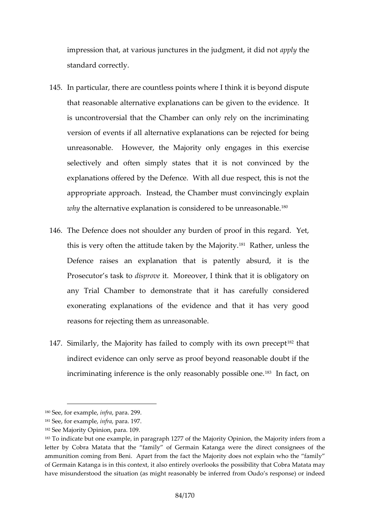impression that, at various junctures in apptheedgment, it standard correctly.

- 145In particular, there are countless points where I think it that reason ab heat ave explanations can be given to the event is uncontroversial that the Chamber can only rely on th versione of nits all alternative explanations can be rejecte unreasonable. However, the Majoritty is new ecclossed es in selectively and often simply states that it is not cor explanations offered by the Defence. With all due respe appropriate approach. Instead, the Chamber must convi whythe alternative icapisa mansidered to be<sup>180</sup> nreasonable.
- 146The Defence does not shoulder any burden of proof in this this is very often the attitude ta $\Re$  eRhably euth lee s  $\Delta$  as indepty. Defence raises an explanation that is patently absurd Posecutor s task to Moreover, I think that it is obligat any Trial Chamber to demonstrate that it has careful exonerating explanations of the evidence and that it reasons for rejecting them as unreasonable.
- 147 $S$  milarly, the Majority has failed to comp<sup>18</sup> $\partial f$  hwaith its own indirect evidence can only serve as proof beyond reason incriminating inference is the only re<sup>1</sup> a<sup>3</sup>  $\sinh$  factor  $\sinh$  factors in the one.

 $180$ See or fe x a mindifer, ap a r $2a9.9$ 

 $181S$  e e, for exampling  $\approx$  r, al.  $9.7$ 

 $182S$  ee Majority Oppaineal O.19.

 $183$ To indicate but one example, in paragraph 12,7 $t$ ne fMtahjeon Wita $\phi$ jroom ithe sopinion  $t$ letter by Cobra Matata that the family of Germain Katanga were the ammunition coming from Beni. A plaset Minagionrittly edfoescst not explain who the of Germain Katanga is in this context, it also entirely overlooks the poss have misunderstood the situation (as might reasonably be inferred from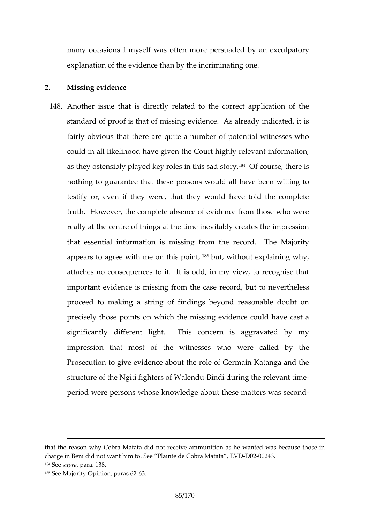many occasions I myself ewapse rosfut ademotory an exculpatory explanation of the evidence than by the incriminating on

## 2. Missing evidence

148Another issue that is directly related to the correct ap standard of proof is that of missing evidence. As alrea fairly obvious that there are quite a number of potentia could in all likelihood have given the Court highly relev as they ostensibly played key ro<sup> $\eta$ e</sup>  $\Theta$  finc othis es atch sation rive. nothing to quarantee ethese the would all have been willing testify or, even if they were, that they would have tol truth. However, the complete absence of evidence from really at the centre of things at the time inevitably creates that essential information is missing from the record. appears to agree with  $m e^{i\delta}$  that this itheoint explaining why, attaches no consequences to it. It is odd, in my view, important evidence is missing edord, thust descrevertheless proceed to making a string of findings beyond reasona precisely those points on which the missing evidence co significantly different light. This concern is aggrated impression that mhoest with  $ets$  ses who were called by  $t$ Prosecution to give evidence about the role of Germain structure of the Ngiti fight **Be** inside for What heap of the relevant time period were persons whose knowledge about these matte

that ethreason why Cobra Matata did not receive ammunition as he wante charge in Beni did not Sveant Phimintos de Cobra MD al 22a 0224,3EVD  $184S$  e seup, ration r al  $.3.8$ 185See Majority o par a 263.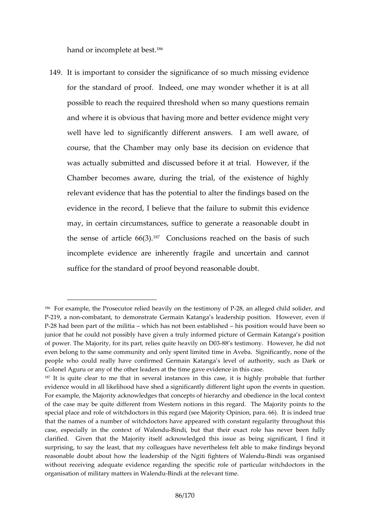hand ion rcomplete  $a^{8}f$  best.

149.It is important to consider the significance of so much for the standard of proof. Indeed, one may wonder whe possible to reach the required threshold when so many c and where intiosuso that having more and better evidence m well have led to significantly different answers. I am course, that the Chamber may only base its decision on was actually submitted and discussed beeft met it hat trial. Chamber becomes aware, during the trial, of the exist relevant evidence that has the potential to alter the find evidence in the record, I believe that the failure to sub  $may$ , in certain  $m$  crecsums ta altice to generate a reasonable the sense of articleono CI(UBS) ions reached on the basis of incomplete evidence are inherently fragile and uncertain suffice for the standard of proof beyond reasonable doub

<sup>186</sup> For example, the Prosecutor relied heavi-20,8, onenthed lengsetd modinily dosfol Pider, and the  $\frac{1}{2}$ P-219, a mombatant, to demonstrate Germain Katanga s leadership positi P-28 had been part of whhe immiliats anot been esht as blips betd on would have been junior that he topuolsds inboly have given a truly informed picture of Germain of power. The Majority, for its part, rel<del>i</del>eses squi<del>e</del>ts immecan yily **led and wide Ounse** ont, he even belong to the same community and only spent limited time in Aveba people who could really have confirmed Germain Katanga s level of au Colonel Aguru or any of the othergla evand eris daeth the eintimiheis case. 187It is quite clear to me that in several instances in this case, it is  $\vert$ evidence would in all likelihood have shed a significantly different light For example, thity Makonowledges that concepts of hierarchy and obedience of the case may be quite Weefsteerent in of tooms in this regard. The Majority special place and role of witchdoctors in **Opisioma** and 66 be Maijs ningleed tru that the names of a number of wpipehadedtowrishhave stant regularity through case, especially in the con-Beixatdiof bWtaltehmedtu their exact role has never clarified. Given thoartity hets Metafi acknowledged this issue as being signi surprising, to say the least, that my colleagues have nevertheless felt reasonable doubt about how the leadership of theBi**Ngi**itiwafi**ggahon**ties resd of Wal without receiving adequate evidence regarding the specific role of par organisation of military mat-Beimsdina Wtahlee moe ule vant time.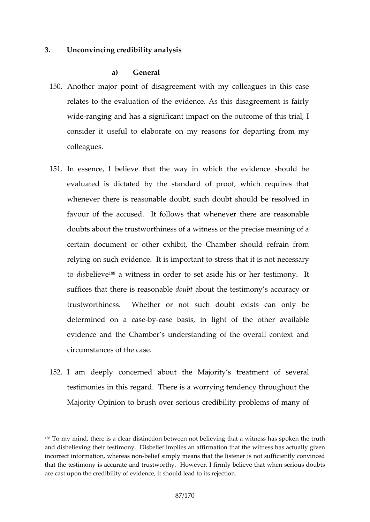3. Unconvoiim g credibility analysis

a) General

- 150Another major point of disagreement with my colleague relates to the evaluation of the evidence. As this disad wideanging and has a significant impact on the outcome consed it useful to elaborate on my reasons for depart colleagues.
- 151.In essence, I believe that the way in which the evide evaluated is dictated by the standard of proof, which whenever there is reasonable dschuckutl,d showe hredscoulbred in favour of the accused. It follows that whenever there doubts about the trustworthiness of a witness or the pre certain document or other exhibit, the Chamber should relying on such eevicte is important to stress that it is not todisselie va witness in order to set aside his or her test suffices that there i**s one and sound about** testimony s accuracy trustworthiness. Whether or not sunchondloyub the exists determined on-bay-caseebasis, in light of the other available evidence and the Chamber s understanding of the overally circumstances of the case.
- 152L am deeply concerned about the Majority s treatmer testimonies is a worrying tendency through Majority Opinion to brush over serious credibility proble

 $188$ To my mind, there is a clear distinction betwees snbasbelpiekem othe at rath and disbelieving their Disbeliminofnymplies an affirmation that I the giwet mess ha incorrect information, -behle ee assimply means that the listener is not suffici that the testimocomy aitse aand trustworthy. However, I firmly believe that wh arecast upon the credibility of evidence, it should lead to its rejection.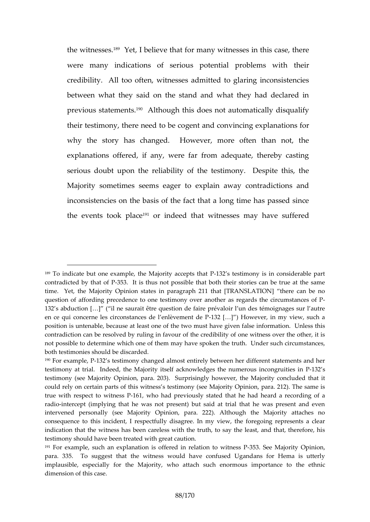the witness best, I believe that for many witnesses in this were many indications of serious potenttibatirproblems credibility. All too often, witnesses admitted to glaring between what they said on the stand and what they had previous stat@mAdthosugh this does not automatically disquality their testimony, there gneemented atrod boeo rovincing explanations why the story has changed. However, more often the explanations offered, if any, were far from adequate, serious doubt upon the reliability of the testimony. D Majority somestiseems eager to explain away contradict inconsistencies on the basis of the fact that a long time the events to Noplance ed that witnesses may have suf

 $189$ To indicate but one example, the Ma1j $\partial$  2itsy tærs terp banythiss tip considerable contadicted by the 35.3 of Pt is nothupsossible that both their stories can be tru time.Yet, the Majority Opinion states in [ph & rand Solp Ah In 1201 Ni] that re can be not question of affording precedence to one alesting and so the er cain out mestances of 132 s abduction il [& b saurait être question de faire prévaloir l un des tér en ce qui concerne les circonstances 1 de la entièvement indeny P view, such a position is unbencabulsee, at least one of the two must have given false info contradiction can be resolved by ruling in favour of the credibility of on not possible to determine which one of them mlany dheave uspockie nuth metainuctehs, both testimonies should be discarded.

<sup>190</sup>For examp182 B testimony changed almost entirely between her different testimony at trial. Indeed, the Majority itself acknowledges32he numero testimony (see Majoiro tyara. 258). Drisingly however, the Majority conclud could rely on certain parts of this witness s testimony (see Majority Opi true with respect to 1 evitness Phardiopusly stated that he had heard a reco radiontercept (implying that he was not present) but said at trial that I intervened personally (see Majority Opinion, para. 222). Although th consequentheistoincident, I respectfully disagree. In my view, the forego indication that the witness has been careless with the truth, to say the testimony should have been treated with great caution.

 $191$ For examp such an explanation is offered in 3563. at  $\text{S}$  on Moa wointint gs  $\text{\O}$  p  $\text{P}$  nion para. 353. To suggest that the witness would have confused Ugandans implausible, especially for the Majority, who attach subceh eethnominaous i dimension of this case.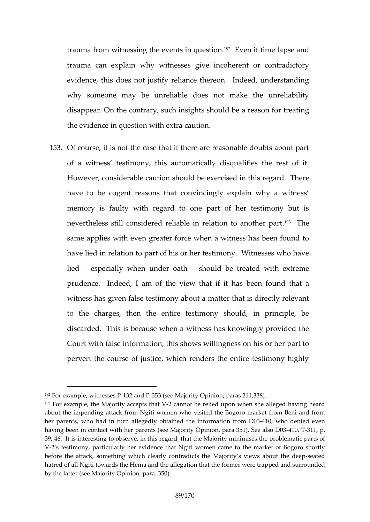trauma from witnessing the ev $\mathscr C$  Ectose initial possee daand trauma can explain why witnesses give incoherent or evidence, this does not justify reliance thereon. Indee why someone may be unreliable does not make the disappear. On the contrary, sdcheimasights is houltreating the evidence in question with extra caution.

1530f course, it is not the case that if there are reasonable of a witness testimony, this automatically disqualifies However, considerats he caution showercised in this regard. have to be cogent reasons that convincingly explain v memory is faulty with regard to one part of her test nevertheless still considered reliable in<sup>19</sup><sup>8</sup> ellation to ano same papes with even greater force when a witness has been force when a witness has been found to the found to have lied in relation to part of his or her testimony. Wi lied especially when und $\mathbf x$  when  $\mathbf y$  and  $\mathbf x$  treated with extreme  $prudence.$  Indeed, I am of the vbioes own thoauthing this has been found that as a series of the solution of the  $prude$ witness has given false testimony about a matter that is to the charges, then the entire testimony should, in discarded. This is because when a witness has knowing Court with false dnfotrhists hows willingness on his or her pervert the course of justice, which renders the entire

 $192F$  or exam powlietness1e3s2 Pan-815B3 (see MaDjpoimitoyn, par,  $3382$ ).11

 $193$ For example, the Majority-2 acceamptost thheatreVlied upon whhean vishing haelale of ed about the impending attack ferromwhologivilis with the Bogoro market from Beni her parents, who had in turn allegedly onbtfarion the dB40138e, inn fformoteantied even having been in contact with her parents (see Majority -@p0n3dn, para 351 39, 416. is interesting to observe, in this regard, theat ptrobellel an jao trict yp anritrs in ofs V-2 s testimony, particularly her evidence that Ngiti women came to the before the attack, something which cMeaning yit gosst wained was sabloeste at heed deep hatred of all Ngiti towards the Hema and the allegation that the former w by the latter (see Majority Opinion, para. 350).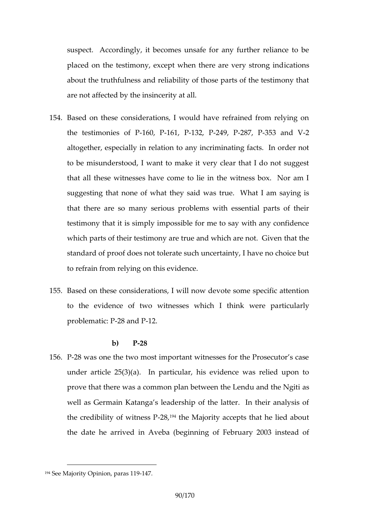suspect. Accordingly, it becomes unsafe for any furthe placed on the testimony, except when the edians very st about the truthfulness and reliability of those parts of t are not affected by the insincerity at all.

- 154Based on these considerations, I would have refrained the testimonies  $60,11$  EP  $1, -12, 249, -287, -353$  and V altogether, especially in relation to any incriminating fa to be misunderstood, I want to make it very clear that that all these witnesses have come to lie in the witnes suggesting that what they said was true. What I am sa that there are so many serious problems with essentia testimony that it is simply impossible for me to say with which parts of their testimony are true and daw hinceh are not standard of proof does not tolerate such uncertainty, I h to refrain from relying on this evidence.
- 155Based on **these**deratilows II now devote some specific atte to the evidence of two witnesses whird find the were problemat $2 \otimes$ : aPnd  $2P$ .

## b) P-28

156P-28 was one the two most important witnesses for the P under article  $25(3)(a)$ . In particular, his evidence was prove that there was a common plan betweemshe Lendu and the  $\alpha$ well as Germain Katanga s leadership of the latter. In the credibility of-2n8194thess MPajority accepts that he lied a the date a threw eid Aveba (beginning of February 2003 instead of

 $194S$ ee Majority Opiania 09-11417.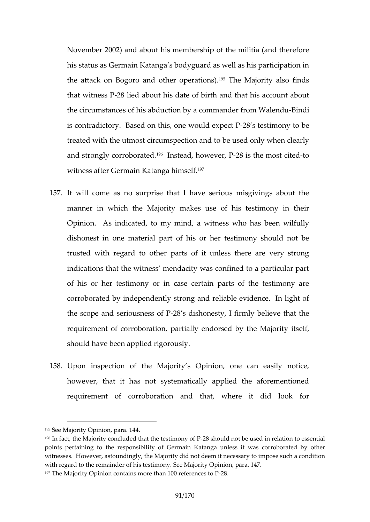November 2002) and aboutiphins for the end meinistria (and the refore his status as Germain Katanga s bodyguard as well as hi the attack on Bogoro and other heople and the most positions also finds thaw itnes  $28$  P lied about his date of birth and that his ac the rociumstances of his abduction by a com-Bolanndder from W is contradictory. Based on this,-208 n**e web sullion expect b** be treated whitehtmost circumspection and to be used only wh and strongly corribol as a tead, how  $\ell$  being the mo-soluted witness after Germain Katanga himself.

- 157.It will come as no surprise that I have serious misgive manner in which the Majority makes use of his testin Opinion. As indicated, to my mind, bae ewnit nweis faully who has dishonest in one material part of his or her testimony trusted with regard to other parts of it unless there a indications that the witness mendacity was confined to of his or her testimonarsye coreritrain parts of the testimony corroborated by independently strong and reliable evide the scope and serio- $28$  nses dissubs of Pesty, I firmly believe that the theorem is the theorem in the scope requirement of corroboration, partially endorsed by the should have been applied rigorously.
- 158Upon inspection of the Majority s Opinion, one can however, that it has not systematically applied the a requirement of corrabditation where it did look for

 $195S$ ee Majority Opianda#In

 $196$ In fact, the Majority concluded tha $2t8$ ths the lead immoding eous Ped in relation to es ponits pertaining to the responsibility of Germain Katanga unless it was witnesses. However, astoundingdlyn, othe ebelmajourinty cobissary to impose such a with regard to the remainder of his te $\mathcal Q$  piim  $\mathsf{icor}_N$ .  $\mathsf{cSgen}$  Maiority  $197$ he Majority Opinion contains more th $28.100$  references to P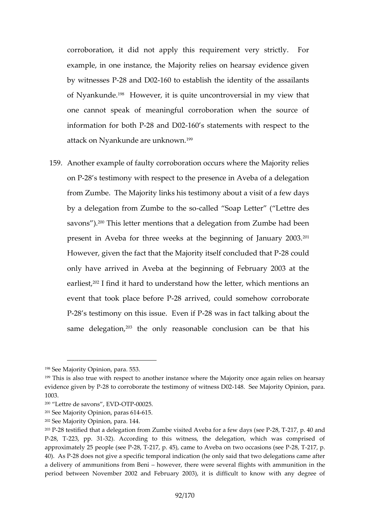corroborationd itotd apply this requirement very strictly example, in one instance, the Majority relies on hearsa by witnes $\triangle$ es a Phd -D62 to establish the identity of the ass of Nyanku<sup>n a</sup>d theowever, it is quite uncontroe wershind tin my v one cannot speak of meaningful corroboration when t information for  $28$  oalm  $d$   $P$  -D  $@$  s statements with respect to attack on Nyankunde a<sup>re</sup> unknown.

159Another example of faulty corroboration occurs where the on  $-28$  tsestimounith respect to the presence in Aveba of a delegation. from Zumbe. The Majority links his testimony about a vi by a delegation from Zumcheleto the apoletter (Lettre designed and  $\frac{1}{2}$ savon $\mathbb{S}^{0}$ This letter mention**s** gthat a del man del had been present in Aveba for three weeks at the beginning of. However, given the fact that the Majorit $\mathcal P$  8 tself donclude only have arrived in Aveba at the beginning of Februa earlie<sup>o</sup>sit, fich it hard to understand how the letter, which m event that took plac2e8 beerfrowedP could somehow corrobor P-28 s testimony on this is  $280$  ewas E vie match thalking about the same deleg<sup>o</sup> attihoven, only reasonable conboelushi**an** hoiasn

- $200$  Lettre de savon GST, FOED VD  $25$ .
- $201S$ ee Majority Opian 62054615.
- $202S$ ee Majority Oppaimaion1,44.

<sup>198</sup>See Majority Opiant5a5.n3.

 $199$ This is also truess pweidth to another instance where the Majority once again evidence give2n8 to P Porrobhoeratteestimony of witt  $A$  8 S e D M 2 jority Opinion, para. 1003.

 $203P-28$  testified that a delegation from Zumbe visited  $\alpha$ ,  $\sqrt{20}$   $\alpha$ , for  $40$  few ddays  $P-28$ ,  $-2T23$ , pp. 3231  $A$  cording to this witness, the delegation, which was approximately 2 \$spe DB | e2T1 7, p. 45), came to Aveba on t-208, e2Td  $\vec{q}$  apsions (see 40). A 288 Podes not give a specific temporal indication (he only said that t a delivery of ammunitionshofwoemxe.Benthere were sseweithal afrhinghlunition in the period between November 2002 and February 2003), it is difficult to I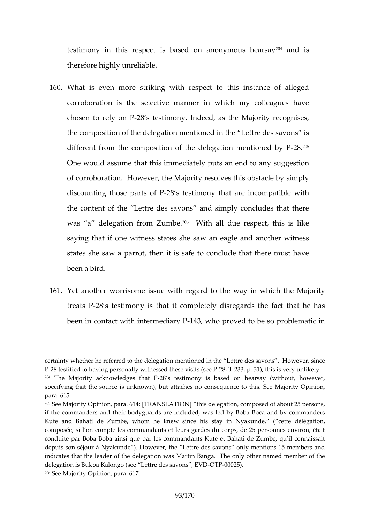testimony in this respect is based on  $0<sup>4</sup>$  and nymous hear therefore highly unreliable.

- 160What is even more striking with respect to this insta corroboration is the selective manner in which my co chosen to  $r = 42/8$  csn testimony. Indeed, as the Majority re the composition of the delegation mentioned in the Lettre different from the composition of the dele2o82 fion mention One would assume that this immediately  $u$   $\phi$   $\phi$   $\phi$   $\phi$   $\phi$  and to of corroboration. However, the Majority resolves this ob discounting those -28 arss test Pmony that are incompatible the content of the Lettre des savons and simply concl was a delegation fe $\mathfrak{B}^{\text{m}}$ WZtumball due respect, this is like saying that if one witness states she saw an eagle and states she saw a parrot, then it is safe to conclude that been a bird.
- 161Yet another worrisome issue with regald the the journaly in treats 28 s testimony is that it completely disregards th been in contact with infelf3m, ewdhiary rPoved to be so problem

certainty whether he referred to the delegation mentioned in the Lettre P-28 testified to having ipreerssendally evse vi $28$ ts  $27$  \$ see P P 31), this is very unlike  $204$ The Majority acknowled  $200$ es the atimPony is based on hearsay (without specifying that the source is unknown), but atta Sheees Mhaojocroinys ne Oppulennio e to para. 615.

 $205$ See Majority Opin $6d$ A:  $\oint \overline{a}$ RANSLATH  $C$ s Ndelegation, composed of about 25 ifthe commanders and their bodyguards are included, was led by Boba E Kute and Bahati de Zumbe, whom he kinew Nysai houndests tadyélégation, composée, si l on compte les commandants et leurs gardes du corps, de conduite par Boba Boba ainsi que par les commandants Kute et Bahati d depuis son séjour à )NHycawkeuwedr, the Lettre des savons only mentions 15 indicates that the leader of the delegation was Martin Banga. The only delegation is Bukpa Kalongo (see Le-QTED0025s)avons, EVD  $206S$  ee Majority on  $D$  parmet and  $7.7$ .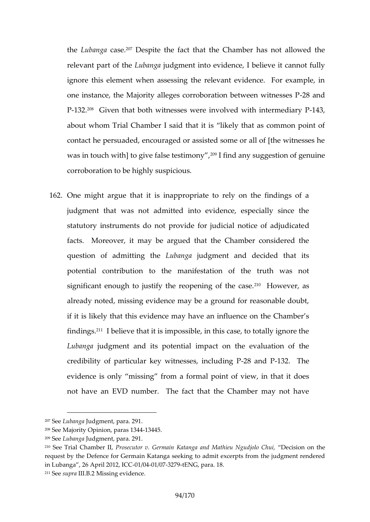the Lubang  $\alpha$   $\beta$ <sup>2</sup>. Despite the fact that the Chamber has not relevant opfattLeubanjound gment into evidence, I believe it cannot fully ignore this element when assessing the relevant eviden one instance, the Majority alleges corroboration between P-13 $2^{\circ}$  Given that both witners words explored weith intermined  $6$  jary P about whom Trial Chamber I said that it is likely that contact he persuaded, encouraged or assisted some or a was in touch with] to give f<sup>2</sup>8. Its feintde satining o snuyg of egsetinounince corroboration to be highly suspicious.

1620ne might argue that it is inappropriate to rely on the judgmentatwas not admitted into evidence, especially since statutory instruments do not provide for juddcial notice facts. Moreover, it may be argued that the Chamber question of admittiuning antiqued gment and decided that its potential contribution to the manifestation of the tr significant enough to justify the reoptheon integration case. already noted, missing evidence may be a ground for re if it is likely that this evidence may have an influence on findin<sup>2</sup>d<sub>S</sub>. believe that it is impossible, in this case, to to Lubanguad gmemtd aits potential impact on the evaluation credibility of particular key witn-28 sased BFP2cludTimeg P evidence is only missing from a formal point of view, not have an EVD number. The fact that the Chamber

- $208$ See Majority Opinion, 1 $\frac{1}{2}$   $\frac{1}{2}$   $\frac{1}{3}$   $\frac{1}{4}$
- $209S$ ebuban Jouad oment, para. 291.

 $207S$  e bu b a n louad g m emat r a  $. 291$ .

<sup>&</sup>lt;sup>210</sup>See Trial ChamPlboesreblytor v. Germain Katanga and Monaetchiseion Ngudtiho eo Ch request by the Defemaen fostatanga seeking to admit excerpts from the jud in Lumboga, 26 April 2012, 2004 09:372 7-9 ENG, para. 18.  $211S$  esuptal. BM2ssing evidence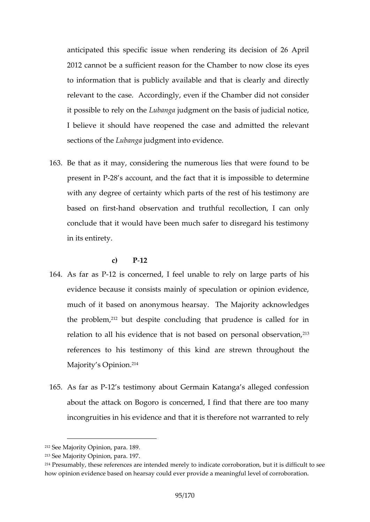anticipated this specific issue when rendering its decis 2012 cannot be a sufficient reason for the Chamber to r to information that is publicly available and that is cle relevant to the case.  $e$   $\&$   $e$   $\alpha$  oifd  $t$   $\sin \phi$   $\int$   $\sqrt{G}$   $h$  amber did not considered in the case. it possible to relly banigtal genent on the basis of judicial no I believe it should have reopened the case and admitt sections  $\Delta$ ubagga gment into evidence.

 $163Be$  that as it miaulg, riggenthe numerous lies that were found present  $-2\omega$  B accoundtthe fact that it is impossible to det with any degree of certainty which parts of the rest of h based on-hfansot bservation and truthfullreanllention, conclude that it would have been much safer to disregal in its entirety.

c) P-12

- 164As far als Ps concerned, I feel unable to rely on large evidence because it consists mainly of speculation or o muchof it based on anonymous hearsay. The Majority a the prob<sup>en</sup> ebout despite concluding that prudence is call relation to all his evidence that is not based on person references to his testimony of thishroungchoaute therewn t Majorit $Q$ psinio<sup>2</sup> $h^4$ .
- 165As far als R testimony about Germain Katanga s alleged about the attack on Bogoro is concerned, I find that the incongruithes evidence and that it is therefore not warra

 $212S$  ee Majority Opiani & 9.1

 $213S$  ee Majority Opiarian. 1

 $214$ Presumably, these references are intended merely to indicate corroboration,  $214$ how opinion evidence based on hearsay could ever prroovhidea a immeaningful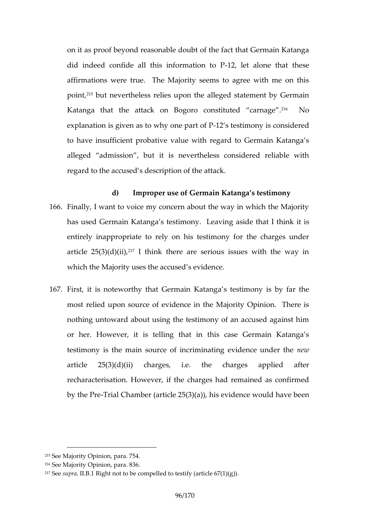on it as proof beyond reasonable doubt of the fact that did indeed confide all this information to Phat these affirmations were true. The Majority seems to agree w poin<sup>t</sup>, but nevertheless relies ged onstathe machte by Germain Katanga that the attack on Bogoro  $c\vartheta$  hs Not the carn explanation is given as to  $w \land w \land w$  sorte spant of Ps considered to have insufficient probative value with regard to Ger alleged admissidh is but vertheless considered reliable regard to the accused s description of the attack.

- d) Improper use of Germain Katanga s testimon 166Finally, I want to voice my concern about the way in wh has used Germain Katanga s tgsaismide ythal elathinnk it is entirelly appropriatedly on his testimony for the charges article  $25(3)$  (d)t(hink there are serious issues with the which the Majority uses the accused s evidence.
- 167.First, it is noteworthy that tangear meatestimony is by far the most relied upon source of evidence in the Majority Op nothing untoward about using the testimony of an accus or her. However, it is telling that in this case Germ testimony eismatin source of incriminating enewence under article  $25(3)(d)(ii)$  charges, i.e. the charges applied at  $a$ recharacterisation. However, if the charges had remaine by the Prieal Chamber (article  $25(3)(a)$ ), his enidence would

<sup>215</sup>See Majority Opinion, para. 754.

 $216S$  ee Majority Opin8 $\alpha$ 6. para.

 $217S$ esuprid, BR tight not to be compelled to testify (article  $67(1)(g)$ )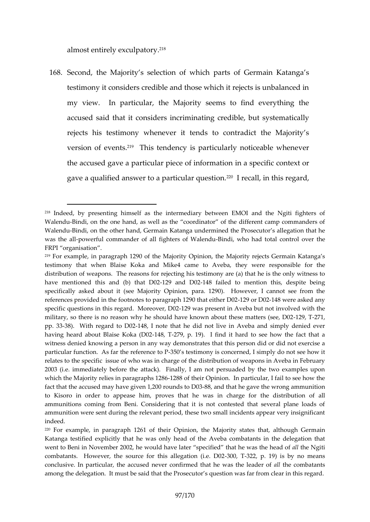almost entirely ex $\mathcal{E}^{\text{e}}$ ulpatory.

168Second, the Majority s selection of which parts of Ger testimony it considers credible and those which it reject my view. In particular, the Majority seems to find e accus ead ds that oint siden sriminating credible, but systemati rejects his testimony whenever it tends to contradict version of  $e^{\theta}$  ethis tendency is particularly noticeable w the accused gave a particular pime cae sopfeionificor mean intensition gave a qualified answer to a  $p^2$  a<sup>o</sup>rition thail, question. egard,

<sup>218</sup>Indede by presenting himself as the intermediary between EMOI and WalendBundi, on the othe ashaw rell as the coordinator of the different camp Walen Buindi, on the other hand, Germain Katanga unsdeal heignætd oth ethalt ofseec was the pall erful commander of all figh-BeinsdiofwlW allendu total commetrol over FRPI organisation .

<sup>219</sup>For example, in paragraph 1290 of the Majority Opinion, the Majority rejects Germain Katanga s testimony that Blwahien Koka and Mike4 came to Aveba, lethelogr where responsible distribution of weapons. The reasons for rejecting his testimony are (a) have mentioned this and  $-1/29$  that DNOS2 failed to mentionethbiosing despit specifically asked about it (see Majority Opinion, para. 1290). Howey references provided in the footnotes to paragraph 10249220 what a stheed ano p specific questions in this regard 29 Whas paress nD02 Aveba but not involved military, so there is no reason why he should have known  $2.92 \times 271$  t, these m pp. 3338). With regard 48g D0n2ote that he did not live in Aveba and simp having rhdeaabout Blaise Kb4&a, 709,2 p. 19). I find it hard to see how the witness denied knowing a person in any way demonstrates that this pers particular function. As far the orse feerence to preferenced, I simply do not see how relates to the specific issue of who was in charge of the distribution of 2003 (i.e. immediately before the attack). Finally, I am not persuaded which the Majedietsy in paragraphens 10218 their Opinion. In particular, I fail to fact that the accused may have give-881,, 200 than the to a De 3 he wrong ammunition of to Kisoro in order to appease him, proves that the helist and intion that gall fo ammunitions coming from Beni. Considering that it is not contested th ammunition were sent during the relevant period, these two small incider indeed.

 $220$ For example, in pa $266$ fapheOpinion, the Majorihy atstate hsough Germain Katanga testified explicitly that he was only head of the Aveba combat went to Beni in November 2002, he would have later spældthfeiend gitthiat he was the meaning of allthe Ngitith combatants. However, the source for t $t$ 3060,  $a$ 3De $2$ gapion 9() i.es D $\not\!\psi$  2no mean conclusive. In particular, the accused never confirmanded the the wass the among the delegation. It must cosse said rthe actual set in rom clear in the P rosecutor state in the P rosecutor s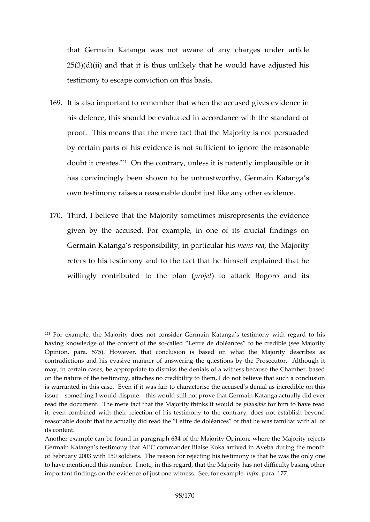that Germain Katanga was not aware of any charges  $25(3)(d)(ii)$  and that it is thus unlikely that he would h testimony chapes conviction on this basis.

- 169.It is also important to remember that when the accused his defence, this should be evaluated in accordance wit proof. This means that the mere fact that the Majority by chear in parts  $e^{i\theta}$  becomes interested in the reasonable is not interested in the reasonable value of  $\theta$ doubt it cre<sup>a</sup>n the contrary, unless it is patently implaust doubt has convincingly been shown to be untrustworthy, Germ own testimony raises a reason a be and pubting unidence.
- 170 Third, I believe that the Majority sometimes misreprese given by the accused. For example, in one of its cruc Germain Katanga s responsibilitym, e nns , pr**a**habid Mulaqiorhitys refers itso the stimony and to the fact that he himself explaint willingly contributed to prtchile ttplant tack Bogoro and its

 $221$ For example, the Majorctoyndoloore Senormain Katanga s testimony with regard to his hegard to his mediation of  $\alpha$ having knowledge of the comatelnetd of Letter es ode doléances to be credible ( Opimoin, para. 575). However, thabased cloussio whaits the Majority describe contradictions and his evasive manner of answering the questions by the may, in certain cases, be appropriate to dismies cause dibeli Cilsamiber, witt anses on the nature of the testimony, attaches no credibility to them, I do not is warranted in this case. Even if it was fair to characterise the accuse issuesomething ould disputie would still not prove that Germain Katanga ac read the document. The mere fact that the Mostaioursinithogine in himk stoith avould be shown it, even combined with their rejection of hisy, tedsoteisnomoyt teos ttahbelish b nibreay ron reasonable doubt that he actually did read the Lettre de doléances or that its content.

Another example can be found in paragraph 634 of the Majority Opinion, GermaintaKnaga s testimony that APC commander Blaise Koka arrived in Av of February 2003 with 150 soldiers. The reason for rejecting his testimo to have mentioned this number. I note, inrthyishassgrand, dihfat they Massiong ot important findings on the evidence of just one morth parasts. The section example, in the example, in  $\mathbf{r}$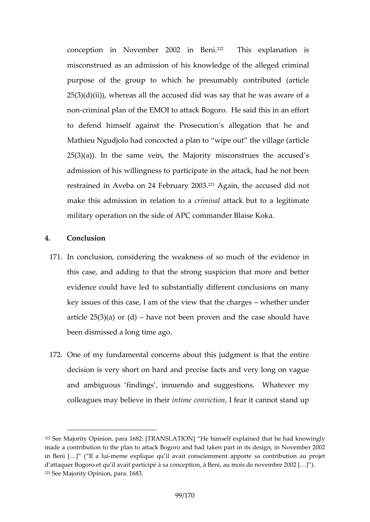conception in November  $2^{2}002$  Thins Beexpilanation is misconstrued as an admission of his knowledue of the a purpose of the group to which he presumably contrib  $25(3)(d)(ii)$ , whereas all the accused did was say that noncriminal plan of the EMOI to attack Bogoro. He said to defend himself againstionhe Princessenation that he and Mathieu Ngudjolo had concocted a plan to wipe out the  $25(3)(a)$ ). In the same vein, the Majority misconstrues admission of his willingness to participate in the attack restrainmed Aveba on 24 Feb $4$ <sup>2</sup> $4$ Agguain,  $2,008$ e accused did not make this admission in greimation that at to a legitimate military operation on the side of APC commander Blaise

- 4. Conclusion
- 171.In conclusion, considering the wearth the second some union this case deding to that the strong suspicion that more evidence could have led to substantially different concl key issues of this case, I am of the wheew hte hrat the rcharge article  $25(3)$ d a have not been proven and the case shoul been dismissed a long time ago.
- 1720ne of my fundamental concerns about this judgment is decision is very short on hard and precise facts and ve and ambiguous fimmdunengsdq and suggestions. Whatever colleagmas believe immtime eircon, viction it cannot stand up

 $222S$ ee Majority Opinion, para 1682: H  $\overline{\mathbf{F}}$  RhAinh SelAT dopN hainead outh heaving that  $h$ made a contributipolmant ot othe ettack Bogoro and had taken part in its design, in Beni [ & ] I a -mhueime explique qu il avait consciemment apporte sa cont d attaquer Bogoro et qu il aavasion praeptticoi pé à Biseni, au mois de novembre 20  $223S$  ee Majority Oppairmaio 813.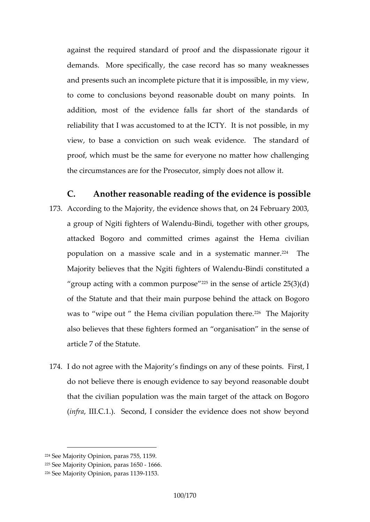against the required standard of proof and the dispass demands. More specifically, the case record has so m and presents such an incomplete picture that it is imposs to come to conclusions beyond reasonable doubt on ma addition, most of the evidence falls far short of the reliability that I was accustomethits and the estability in my view, to base a conviction on such weak evidence. The standard of proof, which must be the same for everyone no matter h the circumstances are for the Prosecutor, simply does no

- C. Another reasonable or fe the evidence is possible. 173Accordit mothe Majority, the evidence shows that, on 24 F a group of Ngiti fighter $\bigoplus$  ionfd M, a begned ther with other group attacked Bogoro and committed crimes against the H population on saivme scale and in a systementheic manner. Majority believes that the Ngiti f-Bighter intes of the Muslim constituted and the Indian and Muslim to all a group acting with a comm<sup>2</sup> for phusips of article  $25(3)(d)$ of the Statute and that their main purposegbebind the a was to wipe out the Hema civilian photomation there. also believes that these fighters formed an organisation article 7 of the Statute.
- 174. do not agree with the Majority s findings on any of the do not believe there is enough evidence to say beyond r that the civilian population was the main target of the a  $(inffall. C.1.)$ . Second, I consider the evidence does no

 $224S$  ee Majority nO paras 755, 1159.

 $225S$  ee Majority Oppainaisfor  $5.01666$ .

 $226S$  ee Majority Opian (bob 89153.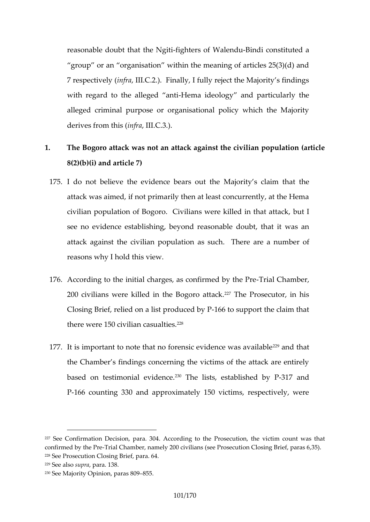reasonable doubt the it in the CT Ngiti e-mBd ndi constituted a group or an organisation within the meaning of articles 7 respectined all (I.C.2.). Finally, I fully reject the Majorit with regard to the allHeegread idendiogy and particularly the alleged criminal purpose or organisational policy which derives from  $n$  f  $n$  also  $l$  ( $C.3$ .).

- 1. The Bogoro attack was not an attack against the civiliar 8(2)(b)(i) and article 7)
	- 175L do not believe the evidence abeaity sout a he that the attack was aimed, if not primarily then at least concurre civilian population of Bogoro. Civilians wheue killed in that see no evidence establishing, beyout that a solven a slean attack a langst the civilian pass polled theore are a number of reasons why I hold this view.
	- 176.According to the initial charges, as-Tcrojafi Comment bound the Present of  $\overline{I}$ 200 civilians were killed in t<sup>a</sup> fel **BeogPorrooseedtatock**, in his Closing Bried, one la list prod-d 66dt by P pport the claim that there were  $150$  civili $\mathcal{C}$ <sup>8</sup> casualties.
- 177.It is important to note that no forensic<sup>22</sup> eavid et mas was available 229and that that was available 229and that that was available 2014. the Chamber s findings concerning the victims of the at based on bensitalm evid<sup>eo</sup>nTchee. lists, establi-\$11 e7d aboud P P-166 counting 330 and approximately 150 victims, resp

 $227S$ e  $\&$  onfirmation Decision,  $A$ comandin3004 o the Prosecution, the victim count confirmed by -ThreaPr $C$ chamber, namely  $(2s@c$   $C$ ivoisie amustion Closing  $3B$ ) ief, paras 228See Prosecution Closing Brief, para. 64.  $229S$  e e as so p rpaard 3.8.  $230S$  ee Majority Opian 2009 855.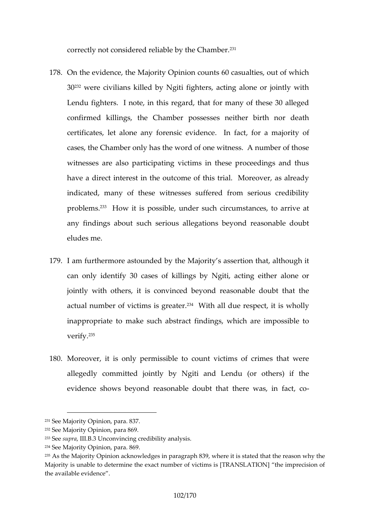correctly not considered reliab<sup>13</sup> by the Chamber.

- 1780n the evidence, the Majority Opinion counts 60 casualt  $30^{32}$ were ivalians killed by Ngiti fighters, acting alone or Lendu fighters. I note, in this regard, that for many of confirmed killings, the Chamber possesses neither bi certificates, let alone any forefrastic evidenmonation in of cases, the Chamber only has the word of one witness. A witnesses are also participating victims in these proce have a direct interest in the outcome of this trial. Mor indicated, y morth these witnesses suffered from serious of proble m<sup>3</sup>s How it is possible, under such circumstances, any findings about such serious allegations beyond re eludes me.
- 179. am furthermore astounded by trhteomMathoanti, tyalsthao suscephit can only identify 30 cases of killings by Ngiti, acting jointly with others, it is convinced beyond reasonable actual number of victim<sup>3</sup> wist hgræd at deue respect, it is wholl inappropriame the such abstract findings, which are impo verif<sup>36</sup>.
- 180Moreover, it is only permissible to count victims of cr allegedly committed jointly by Ngiti and Lendu (or o evidence shows beyond reasonable doubacth-adothere was

<sup>231</sup>See Majority Opinion, para. 837.

 $232S$ ee May Orpinion, para 869.

 $233S$  esuprial. BU $\Re$  conving credibility analysis

<sup>234</sup>See Majority Opinion, para. 869.

<sup>235</sup>As the Majority Opinion acknowledges in paragraph 839, where it is sta Majority is unable to determine the exact number of victims is [TRANSLA the a waakile evidence.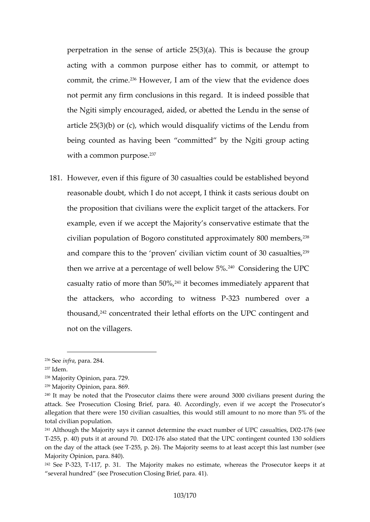perpetration in the sense of article  $25(3)(a)$ . This is b acting with a common purpose either has to commit, commit, the  $236$ Hionweever, I am of the view that the evidence not permit any firm conclruesgions intithsisindeed possible that the Ngiti simply encouraged, aided, or abetted the Lend article  $25(3)(b)$  or (c), which would disqualify victims of being counted as having been committed by the Ngiti with  $a$  common purpose.

181.However, even if this figure of 30 casualties could be est reasonable doubt, which I do not accept, I think it casts the proposition that civilians were the explicit target of example even if we accept the Majority s conservative estimate civilian population of Bogoro constituted ap $\hat{p}^3$ Poximately and compare this to the proven civilian victim count of then we arrive at a percentage  $40^\circ$  comsidering the UPC casualty ratio of morteit the and  $\theta$  of  $\theta$  and  $\theta$  immediately apparent that the attackers, who according 32t3o numint he essent P over a thousand, 242concentrated their lethal efforts on the UPC contingent and not on the villagers.

237Idem.

 $236S$  e ien frap a  $r2a8.4$ 

<sup>&</sup>lt;sup>238</sup>Majority Op, impiaon7a29.

 $239M$ ajority Opipnaino a $69.$ 

<sup>240</sup>It may be noted that the Prosecutor claims there were around 3000 c atack. See Prosecution Closing Brief, para. 40. Accordingly, even if v allegation that there were 150 civilian casualties, this would still amour total civilian population.

 $241A$ lthough the Majorictayn saby sdiettermine ntoh en beexact UPC casu-ta  $T$ t6 e (ss, e D02 T-255, p. 40) puts it at a-10 $\overline{a}$ b also stated that the UPC contingent counted 130 soldiers on the day of the a-215a5ck p(se2e6)T The Majority seems stloas at rheemsb te a q sseemt th Majority Opinion, para. 840).

 $242$ See-3 $72$ 3, -177, p. 31. The Majority makes no estimate, whereas the P several hundred (see Prosecution Closing Brief, para. 41).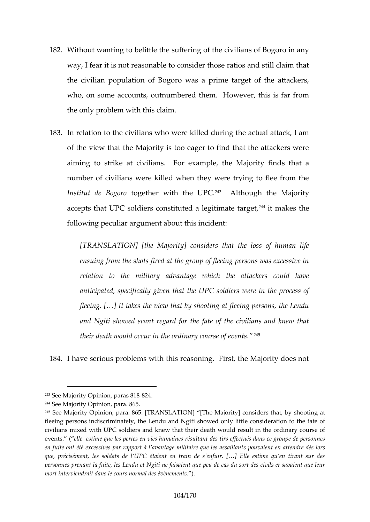- 182Withuot wanting to belittle the suffering of the civilians o way, I fear it is not reasonable to consider those ratios the civilian population of Bogoro was a prime target of who, on some accounts, tchuetmumble weedver, this is far from the only problem with this claim.
- 183.In relation to the civilians who were killed during the ad of the view that the Majority is too eager to find that the aiming to strike at cividian pole, Flore Majority finds that number of civilians were killed when they were trying to Institut de Boogpeothoer with the AUPhCo.ugh the Majority accepts that UPC soldiers constitut& ditamlækge bimblee target following up is argument about this incident:

[TRANSLATION] [the Majority] considers that the los ensuing from the shots fired at the group of fleeing  $p_1$ relation to the military advantage which the attac antiction a, specifically given that the UPC soldiers were fleeing. [&] It takes the view that by shooting at fleeing. and Ngiti showed scant regard for the fate of the civ their death would ocnoaury in the eor ording vents.

184. have serious problems with this reasoning. First, the

 $243S$  ee Majority Opian 2058-8824.

 $244S$ ee Maj $Q$ rpiinion ar $8a65$ .

 $245S$ ee Majority Opinion, para. 865: [JTThReAMIS ] LoAr To that, combine the material  $245S$ ee Majority Opinion, para. 865: [JTThReAMIS ] LoAr To the rs that the obine to

fleeing persons indiscriminately, the Lendu and Ngiti showed only little civilians mixed with U&nC kselw ithrat their death would result in the ordina event sellestime que les pertes en vies humaines résultant des tirs effectués dans conne en fuite ont été excessives par rapport à las apnotualgaeienmitliotanin aettoeponderles solèass que, précisément, les soldats de l UPC étaient en train de s enfuir. [a] personnes prenant la fuite, les Lendu et Ngiti ne faisaient que peu de ca mot interviendrait dans le cours normal des évènements.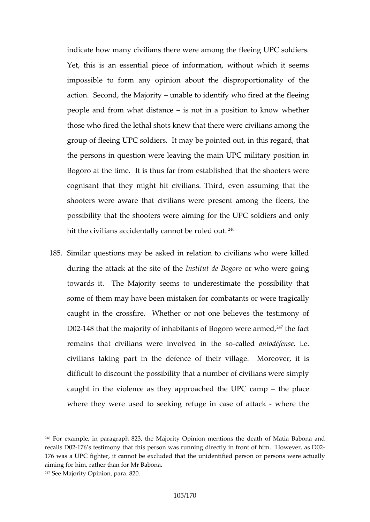indicate how many civilians there were among the fleein Yet, this is an essential piece of information, without impossibde form any opinion about the disproportionality action. Second, the  $n$  also identify who fired at the flee people and from whatisdistot nione a position to know wheth those who fired the lethal shots knew iahat at the neg where c group of fleeing UPC soldiers. It may be pointed out, in the persons in question were leaving the main UPC mili Bogoro at the time. It is thus far from established that cognisant they t might hit civilians. Third, even assuming shooters were aware that civilians were present among possibility that the shooters were aiming for the UPC so hit the civilians accidentally cannot be ruled out.

185Similar questions may be asked in relation to civilians who during the attack at the ssite to detheo who were going towards it. The Majority seems to underestimate the some of them may have been mubilisant the or of them contractly caught in the crossfire. Whether or not one believes D02148 that the majority of inhabitants  $\mathfrak{D}^{f}$ fthe  $\mathfrak{g}$  act were arm remains that civilians were involved ution défenesses. civilians to the defence of Moreover, lages difficult to discount the possibility that a number of civil caught in the violence as they approad the dpiace UPC ca where they were used to seeking treafoukg we he ctabsee of a

 $246$ For example, in paratghreap Mhaj 80 $224$ , the mentions the death of Matia Bab recalls -D708 s testimony that this person was running directly in front of 176 aws a UPC fighter, it cannot be excluded that the unidentified person aiming for him, rather than for Mr Babona.  $247S$  ee Majority Opian  $220$ .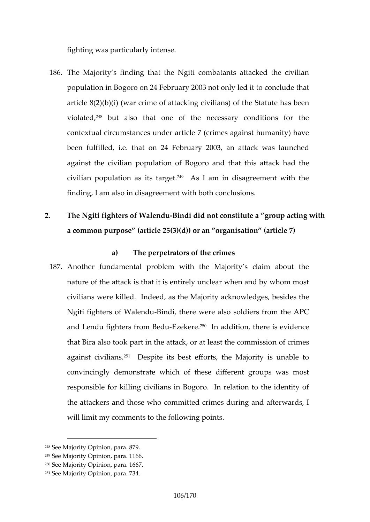fighting was particularly intense.

- 186The Majority s finding that the Ngiti combatants attack population in Bogoro on 24 February 2003 not only led it article  $8(2)(b)(i)$  (war crime of ather Stangu covilians) and t violat<sup>2</sup> but also that one of the necessary condition contextual circumstances under article 7 (crimes agains been fulfilled, one 24 h Fatebruary 2003, an attack was launched against the civilian poof  $p$  Bload  $p \circ q$  and that this attack had civilian popualations tapped. 24 am in disagreement with the finding, I am also in disagreement with both conclusions.
- 2. The Ngiti fighters of B Whole in the not constitute a group acting the Middle with an analysis of the Nighters and With an action of the Nighters of B Whole India results and a group action of the Nighters of B Whole In a commount pose (article  $25(3)(d)$ ) or an organisation (a

a) The perpetrators of the crimes

187Another fundamental problem with the Majority s clair nature of the attack is that it is entirely unclear when a civilians were not also the Majority acknowledges, best Ngiti fighters of -BNadendu are were also soldiers from the and Lendu fighters -Erzoenke Breddu addition, there is evidence that Bira also took part in the attack, proatchemets the commit against civilibespite its best efforts, the Majority is unable to the Majority is unable to the Majority is unable to the to the Majority is unable to the Majority is unable to the Majority is unable to the Majority is un convincingly demonstrate which of these different group responsible for killing civilians in Bogoro. In relation the attackers and **those it who** crimes during and afterward will limit my comments to the following points.

 $248S$  ee Majority Opiania<sup>3</sup> 79.

 $249S$  ee Majority Opiand. 166.

 $250S$ ee Mbarity Opinpion mang 67.

 $251S$ ee Majority Opian  $7334$ .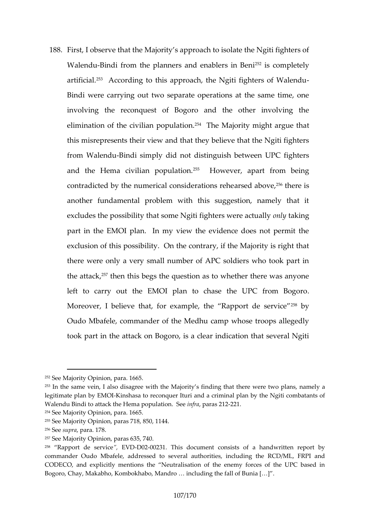188.First, I observe that the Majority s approach to isolate the WalendBundi from the planners and  $264$  is bolomsplicate Beni artificial. 253 Accoring to this approach, the Ngiti fighters of Bindi were carrying out two separate operations at the involving the reconquest of Bogoro and the other in elimination of the civilia<sup>5</sup> The polation is might argue tha this misrepresents their view and that they believe that from WaleBhichudi simply did not distinguish between UPC and the Hema civilian<sup>25</sup> $\beta$  oh due tween, apart from being contradicted by the numerical caomsseiderationshed as reshed as  $\alpha$ another fundamental problem with this suggestion, na excludes the possibility that some Ngito of literal were actually only only that some Ngito filters and part in the EMOI plan. In my view the evidence does exclusion of thillst  $p$  os  $\mathsf{D}$  into the contrary, if the Majority is r there were only a very small number of APC soldiers who the att<sup>2</sup> a then this begs the question as to whether there left to carry out the EMOI plan to chase the UPC f Moreover, I believe that, for example, the by Rapport de Oudo Mbafele, commander of the Medhu camp whose tro took part in the attack on Bogoro, is a clear indication

 $252S$  ee Majority Opianiab 665.

<sup>253</sup>In the same alsidhi, sagree with the Majority s finding that there were two legitimate plan KKyinEs MaQsla to reconquode arlitmoirmiad plan by the Ngiti combatar Walendu Bindi to attack the Hemian for a pound ant \$20201. See

 $254S$  ee Majority Opiarion 6.5.

 $255S$  ee Majorpiitry i **Op** arsa  $718$ ,  $850$ ,  $1144$ .

 $256S$  e seup, rpaar al. 7.8.

 $257S$  ee Maj $Q$ rpinion, paras 635, 740.

 $258$  Rapport de s, e Fe Wild De 0 20023 This documents is to fa handwritten report commander Oudo Mbaés bee, datobd several authorities, including the RCD/ CODECO, and explicitly mentions the Neutralisation of the enemy fore Bogoro, Chay, Makabho, Kombokhabo, Mandro & including the fall of Buni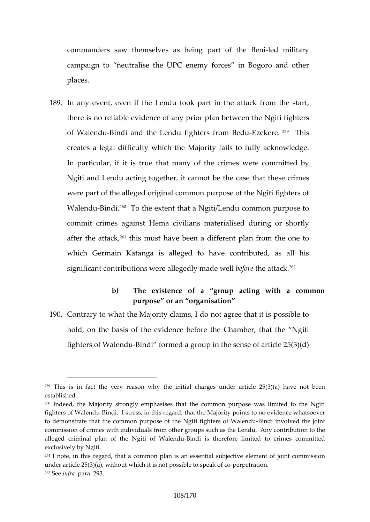commanders saw themselves ashebe-Broekengerid partnering type of the  $\mathfrak{g}$ campaign to neutralise the UPC enemy forces in Bog places.

189.In any event, even if the Lendu took part in the attack there is no reliable evidence of any prior plan between of WalenBonudi and the Lendu fighte-Eszefkoe?me. Bloeicsu creates a legal difficulty which the Majority fails to full In particular, if it is true that many of the crimes wer Ngiti and Lendu acting together, it had numbets be ectime esase were part of the alleged original common purpose of the Walen Bund<sup>9</sup>? To the extent that a Ngiti/Lendu common pur commit crimes against Hema civilians materialised dur after the  $\hat{\mathbf{e}}$ <sup>6</sup> thick, must been a different plan from the one which Germain Katanga is alleged to have contribute significant contributions were a**ble fore that vanitaged** well

> b) The existence of aactoin**g**uith a common purpose or an organisation

190Contrary to what the Majority claims, I do not agree tha hold, on the basis of the evidence before the Chamber fighters of W-**Biedd**u formed a group in the sense of article

 $259$ This is in facty the asen why the initial charges a) not aveantoicle e  $25(3)$  ( established.

<sup>260</sup>Indeed, the Majority strongly emphasises that the common purpose v fighters of W-Binedid.ul stress, in this regard, thaot ntio ee Minaljeonroitey wphoainst setver to demonstrate that the common purpose of the BNing dii ining onliteerds the Wipliand commission of crimes with individual psfrom tho take the Lendu. Any contribut alleged criminal plan ooff twealeundualid is the refore limited to crimes com exclusively by Ngiti.

 $261$  note, in this regard, that a common plan is an essential subjective under article  $25(3)(a)$ , without which it is poetpred sastibole to speak of co  $262$ Seenfraar $29.3$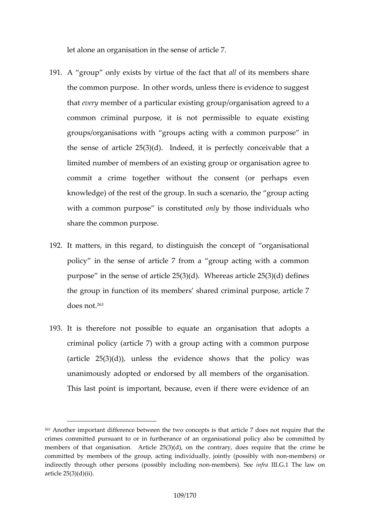let alone an organies asteinse in tharticle 7.

- 191.A group only exists by virtue ad bithes fracem bleats share the common purpose. In other words, unless there is evidence thast ven yem ber of a particular  $e$  oxisy tain igs agatrojoon on a behavior a common craim ipour poiste is not permissible to equate exist groups/organisations with groups acting with a common the sense of article  $25(3)(d)$ . Indeed, it is perfectly  $d$ limited number of members of an existimg aggreeup tor organ commit a crime together without the consent (or pe knowledge) of the rest of the group. In such a scenario, with a common purpose iond to matthing the dindividuals who share the common purpose.
- 192.It matter sthis regard, to distinguish the concept of org policy in the sense of article  $7$  from a group acting  $\sqrt{ }$ purpose in the sense of  $d$ *N* the te  $ab$ 5( $d$ ) $b$ ( $d$ ) $d$ ) defines the group in function of its members usphased acrimule 7  $d$   $o$   $e$   $s$   $h$ <sup> $66$ </sup> $t$ .
- 1931t is therefore not possible to equate an organisation criminal policy (article 7) with a group acting with a com-(article  $25(3)(d)$ ), unless the evidence shows that t unanimous by at add or endorsed by all members of the organisation. This last point is important, because, even if there wer

<sup>263</sup>Another important difference between the two concepts is that article crimes committed pursuant to or in furtherancey of lean boorgaoninsmation chalopo members of that organisation. Article  $25(3)(d)$ , on the contrary, does committed by members of the group, and individually diprovident independent on  $\alpha$ indirectly through other peyrsi**ons in the mossime or in** insteading The law on article  $25(3)(d)(ii)$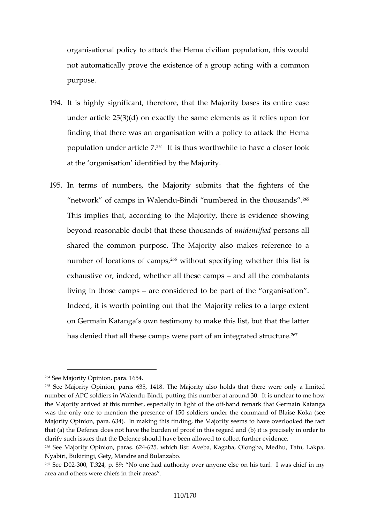organisational policy to attack the Hema civilian popula not automatically prove the existenweth fa acq monument acting purpose.

- 1941t is highly significant, therefore, that the Majority base under article  $25(3)(d)$  on exactly the same elements as finding that there was an organisation with a policy to a populati under ar<sup>agid</sup> thus worthwhile to have a closer at the organisation identified by the Majority.
- 195.In terms of numbers, the Majority submits that the fi  $n$ etwork of camps in BiM diemdum bered in the  $265h$  ousands. This phies that, according to the Majority, there is evid beyond reasonable doubt that the see thip feed onds all shared the common purpose. The Majority also makes number of locations<sup>66</sup>without specify eithout whis list is exhaustive or, indeed, whether and  $d$  the steed composition ts living in those **a ampo**nsidered to be part of the organis Indeed, it is worth pointing out that the Majority relies on Germain Kaatsa own testimony to make this list, but tha has denied that all these camps were part  $2\sigma f$  an integrate

 $264S$ ee Maj $Q$ rpinion, para. 1654.

 $265$ See Majority Opinion, partahse 6N35, ionis 4Gd Baolds that there were only a limited  $265$ number of APC soldiers Biim dW, a peurt diung this number at around 30. It is unc the Majority arrived matterhies pecially in ling ant dofet the refthat Germain Katan was the onely toom en the nptesence of 150 soldiers under the command of B Majority Opinion, para. 634). In making this finding, the Majority seems that (a) the Defence does not have the burden (bo) fiptrics opine cibes yreng a cricle and clarify such issues that the Defence should have been allowed to collect <sup>266</sup>See Majority Oppian *i* \$ 25, which list: Aveba, Kagaba, Olongba, Medhu, Nyabiri, Bukiringi, Gety B Mamdrasboa.nd

 $267$ See D30 $20$ , T.324, No 89e had authority over anyone else on his turf. I area and others were chiefs in their areas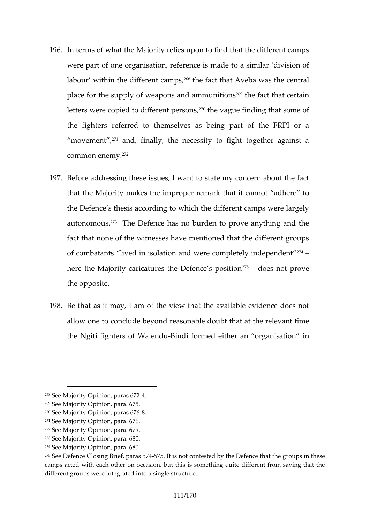- 196In terms of what the Majority relies upon to find that the were part of one organisation, peaesemmidearis dimivaidse on of labour within the diff $\mathscr{C}$ ftdmet foa $\mathscr{C}$ mhous and aveba was the central place for the supply of weapons<sup>es</sup> the fame that identical that consect a in letters were copied to differment appeares of innsoling that some of the fighters fred to themselves as being part of the movementa, nd, finally, the necessity to fight together  $common$  en $R^2$ my.
- 197Before addressing these issues, I want to state my conc that the Majority makes the immentoptecarremontricadhere to the Defence s thesis according to which the different ca autonomdushe Defence has no burden to prove anything fact that none of the witnesses have mentioned that the of combatanted in isolation and were completely indepen here the Majority caricatures the  $75D$  does  $\alpha$  cost proves when  $\alpha$ the opposite.
- 198Be that as it may, I am of the view that the available e allow one to conclude beyondbtrelast math the droadevant time the Ngiti fighters oBi Wailendum ed either an organisation

- $273S$  ee Majority Opiani 30.6
- $274S$ ee Majority Opianian. 6

<sup>268</sup>See MajoOrpiinion paras-4672

<sup>269</sup>See Majority Opinion, para. 675.

 $270S$ ee Majority Opransi667786.

 $271S$ ee Majority Opiarria 6.6

 $272S$ ee Majority OpianGeo7.69.

 $275S$ eDefencesCndg Bpiærfas 574. It is not contested by the Defence that the camps acted with each other on occasion, but this is something quite d different groups were integrated into a single structure.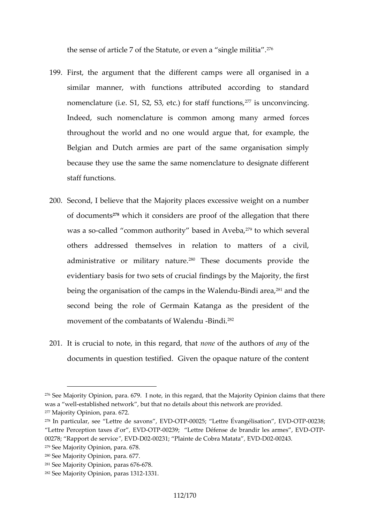the sense of article  $7$  of the Statute,  $\mathfrak{F} \mathfrak{f}$  even a single m

- 199.First, the argument that the different camps were all similar mannieh, fwnctions attributed according to sta nomenclature (i.e. S1, S2, S3, efc<sup>7</sup>i) funconation funnations, Indeed, such nomenclature is common among many a throughout the world and no one would argue that, for Belan and Dutch armies are part of the same organis because they use the same the same nomenclature to de staff functions.
- 200Second, I believe that the Majority places excessive we of docum<sup>2</sup> e<sup>s</sup> which it consed  $\rho$  rs of rof the allegation that the was a-csadled common authority b<sup>2</sup>d<sup>3</sup>stoe dwimic Anvebaeral others addressed themselves in relation to matters administrative or milit&rTyhenseetudeo.cuments provide the evidentiary baws os fects to f crucial findings by the Majority, being the organisation of the camBpins diin are the man, W at heard u second being the role of Germain Katanga as the pre movement of the combatan-Beino  $\mathbb{R}^3$ ? Walendu
- $201$ lt is crucimal tet p in this regnamine fith that authors of the documents in question testified. Given the opaque nature

- 279See Majority Opinion, para. 678.
- 280See Majority Opiariao. 7h.6
- $281S$  ee Majority Oppairmais  $n6786$
- $282S$ ee Majority Opiania3sh $-21331$ .

 $276$ See Majority Opinion, para. 679. I note, in this regard, antanethe Major was a westhablished network, but that no details about this network are p  $277M$ ajority Opinio $0.720$ ara.

 $^{278}$ In particular, see Lettr**e Vd-OD TsPa0025**;, Lettre Évan**gé/IDO aTPD**o0n238;

Lettre Perception  $t$  **E**  $\sqrt{x}$  **CO** TdP00r239; Lettre Défense de brand OrT Pes armes 00278; Rapport de GEODO 200: Plainte de Cobb VaDD 020164243.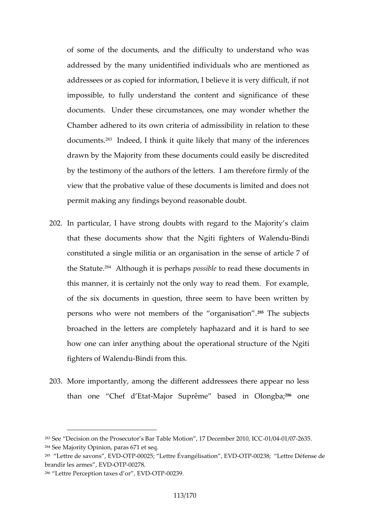of some of the documents, and the difficulty to unders addressed by the many unidentified inmedition ads awsho are addressees or as copied for information, I believe it is v impossible, to fully understand the content and signifi documents. Under these circumstances, one may wonder Chamber adhered to riittes ignored admissibility in relation to documents and eed, I think it quite likely that many of the drawn by the Majority from these documents could easily by the testimony of the authors of the irentiverss. theam therefore  $\mathbf r$ view that the probative value of these documents is limit permit making any findings beyond reasonable doubt.

- 202.In particular, I have strong doubts with regard to the M that these documents show thætrsthoef NAgaitBeinnfoddgiht constituted a single militia or an organisation in the se the Sta<sup>re</sup>d. Ad though it is **peshsatholser** ead these documents in this manner, it is certainly not the only way to read the of the sto xuments in question, three seem to have been persons who were not members of  $26$  hTeheos quanities assion. broached in the letters are completely haphazard and i how one can infer anything about the optehreatNiognital struct fighters of W-Biaddufrom this.
- 203More importantly, among the different addressees there than one Chef-Mej $E$ tat $S$ uprême based  $\frac{386}{8}$ o $\Omega$ eongba;

286 Lettre Perception ,taxes To PO on 239.

 $283$ See Decision on the Prosecutor s Bar Table Mot00640064116276D365cember 2010  $284S$ ee Majorin, politic opparas 671 et seq.

 $^{285}$  Lettre de sa EV Morta , FD 0025L; ettre Évangélisat $\overline{0}$ OTnF0,0 $\overline{28}$ VD Lettre Défense de brandir les arme $\mathbf{C}$ T, POE 208.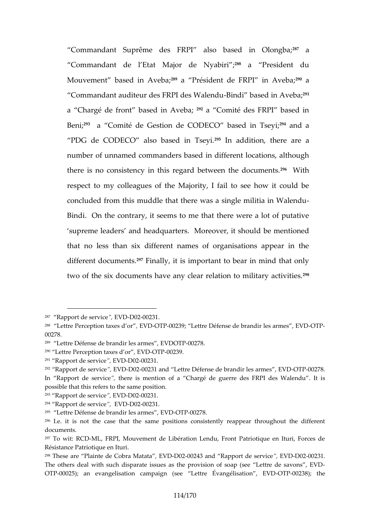Commandant Suprême des FRPI also <sup>2</sup>87 ased in Old Commandant de Matitoar de N $\hat{v}$ <sup>8</sup> a bairi President du Mouvement based <sup>3</sup> Pra Averté a; ident de FRP<sup>1290</sup> an Aveba: Commandant auditeur des FR-Blinddeis BMassleech die <sup>91</sup>A veba; a Chargé de front basè<sup>9</sup> da in CA meibéa; des FRPI based in Ben<sup>?</sup>? a Comité edsetioSn de CODECO bas<sup>ed</sup> danich alls eyi; PDG de CODECO also ba<sup>2</sup>9<sup>9</sup>eloh iand dlistieoyni, there are a number of unnamed commanders based in different locat there is no consistency in this regard  $b^{\circ}e$  for the documents. respect too hy aques of the Majority, I fail to see how it concluded from this muddle that there was a-single mili Bindi. On the contrary, it seems to me that there were supreme leaders and headquartersd be meation eid should should be meating that the meath of the mentioned shou that no less than six different names of organisations different documentsly, it is important to bear in mind the two of the six documents have any clear rel<sup>2</sup>ation to mili

- <sup>289</sup> Lettre Défense de brandEiM DeOsTOROr2017e8s ,
- <sup>290</sup> <code>Lettre Perception</code> ,the <code>SG</code> To P0 of 239 .
- $291$  Rapport de s, Er WDD @  $200231$ .

 $293$  Rapport de s, Er WDD  $\oplus$  200231.

 $294$  Rapport de service  $200231$ .

 $295$  Lettre Défense de brand VDG  $\overline{3}$  Pa0 $\overline{2}$ 8.

 $287$  Rapport de s, ErWDD @ 200231.

<sup>&</sup>lt;sup>288</sup> Lettre Perception ,t**& X &© TcP**Oo0239; Lettre Défense de brandOrT Pes armes 00278.

<sup>&</sup>lt;sup>292</sup> Rapport dveicse ErV DD 0 200231 and Lettre Défense de bran CITrP0082738r.mes, E In Rapport dee, stehre vrie is mention of a Chargé de guerre dets iERPI des possible that this refers to the same position.

<sup>2961.</sup>e. it is not the case that the same positions consistently reappea documents.

<sup>297</sup>To wit: RVOLD FRPI, Mouvement de Libération Lendu, Front Patriotique Résistance Patriotique en Ituri.

 $298$ These aPrleaindice Cobra MatElo2002-02-0243 and Rapport,  $E$ eVSDe092062831.

The others deal with such disparate issues as the provision of soap (s  $OTP00025$ ); an evangelisation campaign (see Let $OTPDE2$  a8the isation,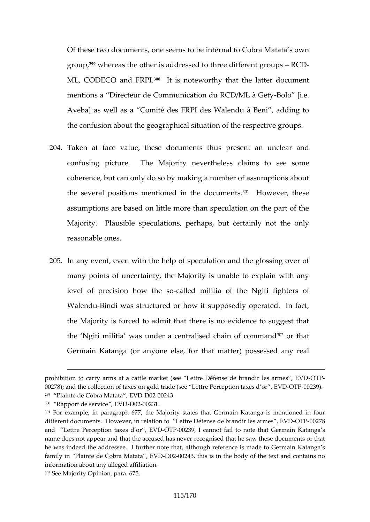Of these two documents, and to be internal to Cobra Matata group,  $9\%$  whereas the other is addressed to the  $\epsilon$  different  $\epsilon$ ML, CODECO an  $\mathbb{S}^0$  FtR Psl. noteworthy that the latter docum mentions a Directeur de Communication Bodlo  $RIC.B/ML$  à G Avedaas well as a Comité des FRPI des Walendu à Ber the confusion about the geographical situation of the rest

- 204Taken at face value, these documents thus present a confusing picture. The Majority newes the loss and claims coherence, but can only do so by making a number of as the several positions mentioned<sup>3q1</sup>nHtchweeveloncumheenstes. assumptions are based on little more than speculation o  $M$ ajority. Plausible spectual psion but certainly not the or reasonable ones.
- 205.In any event, even with the help of speculation and the many points of uncertainty, the Majority is unable to  $e$ : level of precision hoow let dem sbitia of thosh the Igstioff Walen Bundi was structured or how it supposedly operate the Majority is forced to admit that there is no evidence the Ngiti militia was under a centrali<sup>sg</sup> end that n of command 3020 that 3020 that 3020 that 3020 that 3020 that 3020 that 3020 that 3020 that 3020 that 3020 that 3020 that 3020 that 3020 that 3020 that 3020 that 3020 th Germain Katanga (or any ontehaed smeatter) possessed any

 $300$  Raport de serb $V$ d-D0200231.

prohibition to carry arms at a cattle market (see Lettre DeTEAse de brandiers 00278); and the collection of taxes on gold trade ( $\frac{1}{2}$ EeVDDEF00023P $\frac{1}{2}$ ).ception 299 Plainte de Cobra EM **adata** 0243.

 $301$ For example, in paraghæp Magd $\overline{a}$ Tity states that Germain Katanga is men different documents, in cree bate on to Lettre Défense de b-CaTnPo Dr2 l'e8s armes and Lettre Percespotion EMBO DET F00239, I cannot fail to note that Germain name does not appear and that the accused has never recognised that he he was indeed the addressee. I further note that, altho **Kathanegfae reence is** family Phainte de Cobra MaDa0ta 0,2 El3, Dthis is in the body of the text and information about any alleged affiliation. 302See Majority Opinion, para. 675 .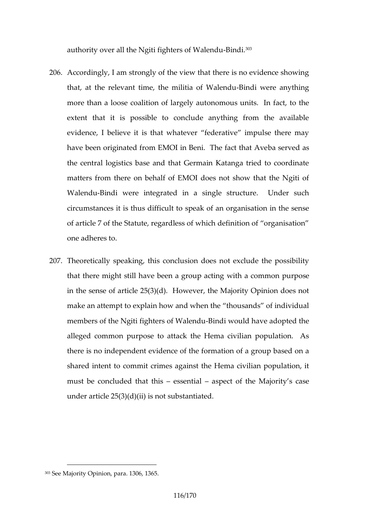authority over all the Ngiti fight  $\mathbf{B}$  and  $\mathbf{S}$ ? of Walendu

- 206Accordingly, I am strongly of the view that there is no e that, at the relevant time, the -Binidia woefre Wanney to bling more than selocalition of largely autonomous units. In extent that it is possible to conclude anything from evidence, I believe it is that whatever federative imp have been originated from EMOI in BebnasieTrived facet that the central logistics base and that Germain Katanga tri matters from there on behalf of EMOI does not show the Walen Bundi were integrated in a single structure. U circumstances it is thus pectantion that organisation in the sense in the sense of  $\alpha$ of article 7 of the Statute, regardless of which definition one adheres to.
- 207Theoretically speaking, this conclusion does not exclud that there might still have beewith a rowm machimourpose in the sense of article  $25(3)(d)$ . However, the Majority make an attempt to explain how and when the thousands members of the Ngiti fight $\bigoplus$ indi Woulled bave adopted the alleged commonseptopattack the Hema civilian populatio there is no independent evidence of the formation of a c shared intent to commit crimes against the Hema civilia must be concluded that the interest of the Macjans ety under article 25(3)(d)(ii) is not substantiated.

 $303S$ ee Majority Opin1606, para. 5.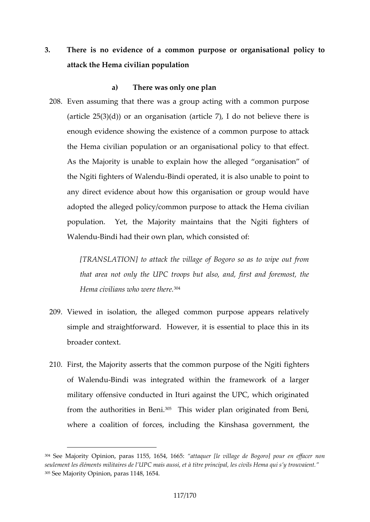3. There is no evidence of a common purpose or organis attack the Hema civilian population

a) There was only one plan

208Even assuming that there was a group acting with a com-(article  $25(3)(d)$ ) or an organisation (article 7), I do no enough evidence showing the existence of a common pu the Hema civilian population or an organisational policy As the Majority is unablew to hexplesing ebo organisation of the Ngiti fighters of time apportuned, it is also unable to point to the total one of the total method of the N any direct evidence about how this organisation or gro adopted the alleged policy/common purpose to attack the population Yet, the Majority maintains that the Ngiti f Walen Bundi had their own plan, which consisted of:

[TRANSLATION] to attack the village of Bogoro so as that area not only the UPC troops but also, and, fir Hema civilians wh $\mathfrak{v}^4$  were there.

- 209Viewed in isolation, the alleged common purpose appe simple and straightforward. However, it is essential to broader context.
- 210.First, the Majority asserts that the commoon peurspose of the Ngiti fighters of WalenBdudi was integrated within the framework of military offensive conducted in Ituri against the UPC, when from the authorities  $\overline{\mathbf{a}}$  in  $\mathbf{B}$  emider plan originated from Be where a coalition of forctehse, Kinnosthasionary government, the

<sup>304</sup>See Majority Oppiania 55, 115 54, : 1& 65 aquer [le village de Bogoro] pour en seulement les éléments militaires de l UPC mais aussi, et à titre principa 305See Majority Opinion, paras 1148, 1654.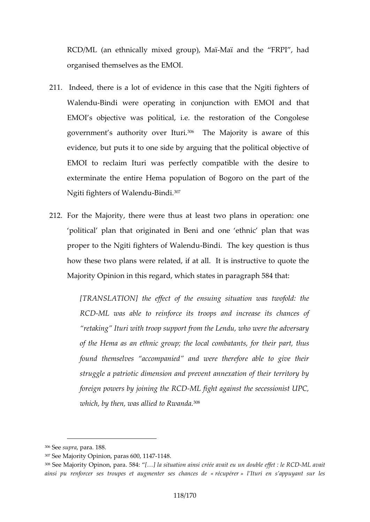RCD/ML (an ethnically mixe-**M**agiroaungol), the Neaï FRPI, had organised themselves as the EMOI.

- 211 Indeed, there is a lot of evidence in this case that the WalendBuindi were operating in conjunction whitcht EMO EMOI s objective was political, i.e. the restoration of government s authority<sup>06</sup> over Majority is aware of this evidence, but puts it to one side by arguing that the pol EMOI to reclaim Iturictwhes comepfectible with the desire exterminate the entire Hema population of Bogoro on t Ngiti fighters of-BNadendu
- 212For the Majority, there were thus at least two plans in political plan that originatende ine t**Bend** and danothat was proper to the Ngiti fighte-Bsinodfi. WaThe endsuey question is thu how these two plans were related, if at all. It is instru Majority Opinion in this regard, which states in paragrap

[TRANSLANT]Ito be effect of the ensuing situation was RCEML was able to reinforce its troops and increas retaking Ituri with troop support from the Lendu, who of the Hema as an ethnic group; the itopatt combatant found themselves accompanied and were therefore struggle a patriotic dimension and prevent annexation foreign powers by jo-MhLin figth the aRg Q D at the secessionist which, by the alhie was  $R$ wanda.

 $306$ Sesupraara 8.8

 $307S$  ee Majority Opinion, partas 600, 1147

 $308$ See Majority Opin5 $\alpha$ 94[&} arlaa. situation ainsi créée avale eRMZ Dna doutble eff ainsi pu renforcer ses troupes e**s degéncementéerreirs élus**richeann seappuyant sur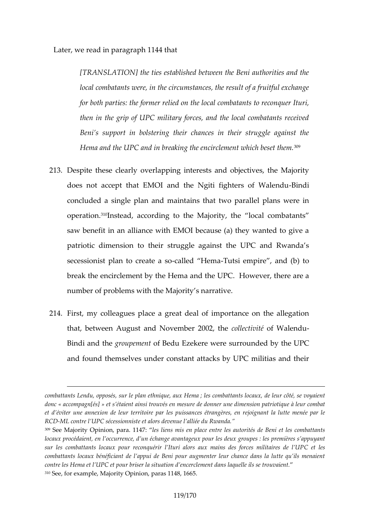Later, we read in paragraph 1144 that

[TRANSLATION] the ties established between the Beni local combatants were, in the circumstances, the result for both parties: the formal relief and sthe leconquer It then in the grip of UPC military forces, and the local Beni s support in bolstering their chances in their struggle and the struggle against the struggle and the struggle against the struggle against the struggle against the struggle against the struggle against the struggle a Hema and the UPC and in breaking the  $e^{3n}$ tirclement w

- 213Despe these clearly overlapping interests and objective does not accept that EMOI and the Ngit-Bindhters of \ concluded a single plan and maintains that two paralle operationstead, according to the IM canador cto, m btahteants saw benefit in an alliance with EMOI because (a) they v patriotic dimension to their struggle against the UPC secessionist plan to carlee a the Tustusi empire, and (b) to break the encircleen elnetm bay at the UPC. However, there number of problems with the Majority s narrative.
- 214 First, my colleagues place a great deal of importance that, between August and Novemolbect & Collemedu Bindi and gribe pet mothe nBedu Ezekeser ween reded by the UPC and found themselves under constant attacks by UPC mi

combattants Lendu, opposés, sur le; pleanc**e**tmibnaiqtuaen, tsaul ochelenn, a de leur côté donca « compagn pés si étaient ainsi trouvés en mesure de dao hen une do abitmension patriotique à et d éviter une annexion de leur territoire par les puissances étrangère RCEML contre I UPC sécessionniste et alors devenue l alliée du Rwanda.  $309$ See Majority Opinion, pearaient samis entre langes autorités de Beni et les locaux procédaient, en l occurrence, d un échangeleasv**ane angèuex s psourp peus** a sur les combattants locaux pour reconquérir l Ituri alors Cauex heasins de combattants locaux bénéficiant de l appui de Beni pour augmenter leur contre les Hema et I UPC et pour briser la situation d encerclement dans  $310$ See, for example, Majopratrya  $\Omega$   $\phi$  in Ali & n, 1665.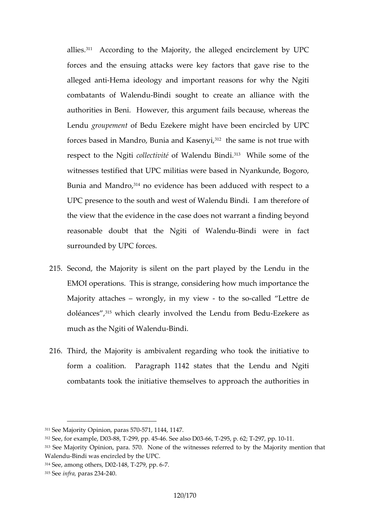allie<sup>1</sup>s. According to the Majority, the alleged encircleme forces and the ensuing attacks were key factors that aleged antima ideology and important reasons for why combatants of WB and disdught to create an alliance with authorities in Beni. However, this argument fails becaus Lendgroupement  $B$ edu Ezekere might hracvled been UPCC i forces based in Mandro, Bun<sup>1</sup> a haen da Knass es a ynigt true with respect to the  $o$  N ettion it of alendu  ${}^{3}B^{3}$  if While some of the witnesses testified that UPC militias were based in Nyan Bunia and Mandorogvide theas been adduced with respect to UPC presence to the south and west of Walendu Bindi. the view that the evidence in the case does not warrant reasonable doubt that the Ng-Brindoif wheateenidhu fact surround  $\neq d$ UPC forces.

- 215Second, the Majority is silent on the part played by the EMOI operations. This is strange, considering how much Majority attawhengly, in my twietwhe-called Lettre de doléanc<sup>e s</sup>swhich clearoly vend w the Lendu frEoznek Beer**e**luas much as the Ngiti  $\theta$ BiW dailendu
- 216Third, the Majority is ambivalent regarding who took the form a coalition. Paragraph 1142 states that the Le combatants took the initiative ptrhoean bethes a to the rities in

 $311$ See Majority Oppaimeb $\sqrt{37}$ n $\sqrt{37}$ , 1144, 1147.

 $312$ See, for ex**ample**,  $2799$ , pp. 4645 See also **DO3**, p.  $-297$   $\bar{p}$  p. 401.

 $313$ See Majority Oppian  $\tan 5270$ . None of the witnesses referred to nbthathe Major Walen Bundi was encircled by the UPC.  $314S$ ee, among D022e48, 279, pp. 6

 $315S$ e en fra a ra2s 342 4.0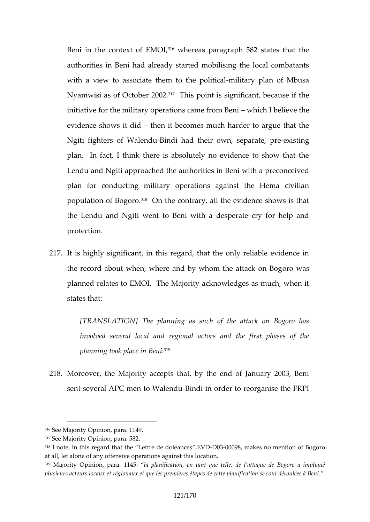Beni in the contex<sup>316</sup>whe EME add, paragraph 582 states that authorities in Beni had already started mobilising the I with a view to associate them thilotahye poloalnitiocfal Mbusa Nyamwisi as  $\phi \in \mathcal{O} \otimes \mathcal{O} \otimes \mathcal{I}$ his point is significant, because i initiative for the military operations in amebient investment evidence shows the did tbecomes much harder to argue the Ngiti fighters of -BN a blein blad their own, prese poins rtaing, plan. In fact, I think there is absolutely no evidence Lendu and Ngiti approached the authorities in Beni with plan for conducting military operations against the F population of  $B^8$  $Q$  n the ntrary, all the evidence shows is the Lendu and Ngiti went to Beni with a desperate cry protection.

217.It is highly significant, in this regard, that the only rel the record about when, where and by who m whas attack on planned relates to EMOI. The Majority acknowledges as states that:

[TRANSLATION] The planning as such of the attack involved several local and regional actors and the planning took place in Beni.

218Moreover, the Majority accepts that, by the end of Jan sent several APC men-Briand Wailme not der to reorganise the F

<sup>316</sup>See Majority Opinion, para. 1149.

 $317S$  ee a $M$ ority Opinion, para. 582.

 $318$ I note, in this rega**t** de tithret diehed ol $\text{E}$  aVnDDe0s300098 makes no mention of Bogor at all, let alone of any offensive operations against this location.

 $319$ Majority Opinion, palma. plania  $6$ ication, u entetalet de l attaque de Bogoro a plusieurs acteurs locaux et régionaux et queidension mesmeiès roenst édiéanpous édess dèe E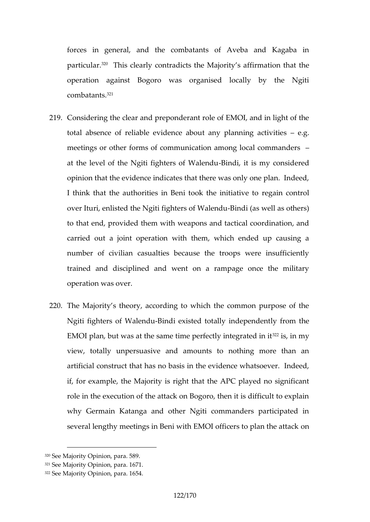forces in general, and the combatants of Aveba and particul<sup>8</sup> This clearly contradicts the ermMasti**on** tyhat athe operation against Bogoro was organised locally by  $combat\hat{\alpha}$ <sup>1</sup>ts.

- 219Considering the clear and preponderant role of EMOI, ar total absence of reliable evidence about æng planning meetings orfortmer of communication among local comman at the level of the Ngiti fighBendiofit Walennydu considered opinion that the evidence indicates that there was only on I think that the authorities in Beni too ainheomiticative to over Ituri, enlisted the Ngiti fi-Binnidis (and Wealllene duothers) to that end, provided them with weapons and tactical co carried out a joint operation with them, which ended number of civilian escabseucaluse the troops were insuffic trained and disciplined and went on a rampage once operation was over.
- 220The Majority s theory, according to which the common Ngiti fighters of-BN adeined xuisted totally liyndfepennid heart EMOI plan, but was at the same time  $p^3$ ens in it and the grated view, totally unpersuasive and amounts to nothing m artificial construct that has no basis in the evidence wh if, for example, the Mandritthyai the APC played no signif role in the execution of the attack on Bogoro, then it is why Germain Katanga and other Ngiti commanders participate several lengthy meetings in Beni with EMOI omificers to p

<sup>320</sup>See Majority Opinion, para. 589.

<sup>321</sup>See Majority Opinion, para. 1671

 $322S$ ee Majority nO ppiania. 1654.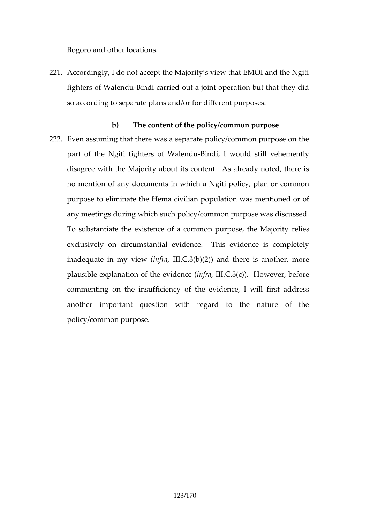Bogoro and other locations.

- $221A$ ccordingly, I do not accept the Majority s view that  $EM$ fighters of W-Biaddu arried out a joint operation but that so according to separate plans and/or for different purpo
- b) The content antic policy/common purpose  $222$ Even assuming that there was a separate policy/common part of the Ngiti fighter Biatily alewnoduld still vehemently disagree with the Majority about its content. As alread no mentioan pfdocuments in which a Ngiti policy, plan or purpose to eliminate the Hema civilian population was m any meetings during which such policy/common purpose To substantiate the existence of a commonelperspose, the exclusively on circumstantial evidence. This evidence inadequate in minity and  $( C.3(b)(2))$  and there is another, plausible explanation of the evidence ( infra , III.C.3(c)). However, before commenting on the insuffice encidence, I will first address another important question with regard to the nature policy/common purpose.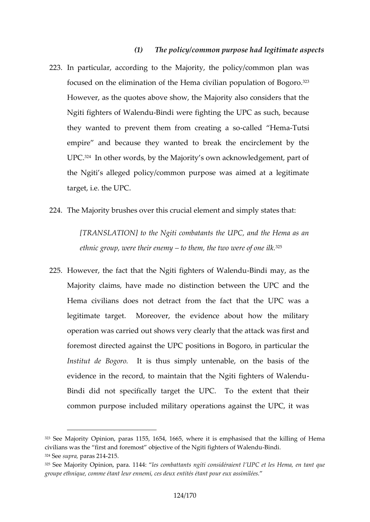$(1)$  The policy/common purpose had legitima

223In particular, according to the Majority, the policy/com focused onlithmenation of the Hema civilian population of However, as the quotes above show, the Majority also  $c_1$ Ngiti fighters of BNadenwe ere fighting the UPC as such, because  $\theta$ . they wanted to prevent them freerallend emiage taiso empire and because they wanted to break the encircl UPC<sup>2.4</sup>In other words, by the Majority s own acknowledgen the Ngiti s alleged policy/common purpose was aimed at target, i.e. the UPC.

224The Majority sbrowse trethis crucial element and simply state

[TRANSLATION] to the Ngiti combatants the UPC, and ethnic group, were tto the tem, etch  $\psi$  two w<sup>265</sup>re of one ilk.

 $225H$ owever, the fact that the Ngiti f-Boihntdeirsm any hole as leteral u Majority claims, have made no distinction between the Hema civilians does not detract from the fact that the legitimate target. Moreover, the evidence about how operation was carried out shows vetax  $k$  we as  $\psi$  it at the at foremost directed against the UPC positions in Bogoro, Institut de Blatgosothus simply untenable, on the basis evidence in the record, to maintain that the -Ngiti fighters Bindi did not siby ectial regart the UPC. To the extent that common purpose included military operations against the

<sup>323</sup>See Majority Opinion, paras 1155 , 165 4, 1665, where it is emphasised that the killing of Hema civilians weasfithst and foremost objective of the N-Bilinidfinghters of Walendu  $324S$  e seup road r a2s1  $-421.5$ 

 $325$ See Majority Opinion, para. 1984; para. 1144: ngiti considéraient l UPC et les groupe ethnique, comme étant leur ennemi, ces deux entités étant pour e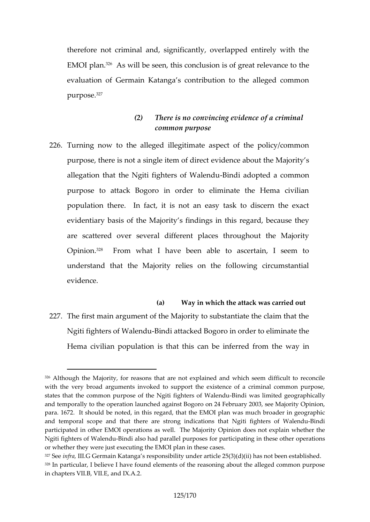therefore not criminal and, significantly, overlapped er  $EMO1$  plan.  $\mathbb{R}$  will be seen, this conclusion is the great relevance to the seen, this conclusion is the great relevance to the  $\mathbb{R}$ evaluation of Germain Katanga s contribution to the all  $p$ urpo $\mathcal{F}$ e.

- (2) There is no convincing evidence of a cri common purpose
- 226Turning now to the alleged illegitimate aspect of the purpose, there is not a singelveidie enmoe of bobine othe Majority s allegation that the Ngiti figh-Beinsdio ad Waleddau common purpose to attack Bogoro in order to eliminate the F population there. In fact, it is not an easy task to d evidentiary basis Majority s findings in this regard, bec are scattered over several different places throughout  $Opini\vartheta\vartheta\vartheta$ . From what I have been able to ascertain, I understand that the Majority relies on the following evdence.
- (a) Way in which the attack was carried of 227The first main argument of the Majority to substantiate t Ngiti fighters of-BNabenadu acked Bogoro in order to elimin Hema civilian population is that this cheen wheey inferred from

 $326$ Although the Majority, for reasons that are not explained and which s with the very broad arguments invoked to support the existence of a c states that the common purpose of the NgBitdifing anterism otfedW agle eango haicall and temporally to the operation launched against Bogoro on 24 February para. 1672. It should be noted, in this regard, that the EMOI plan was and temporal scopethaennde tahnæt strong indtic**hltgio**tnisfi**ghhat**ers of-BWhadliendu participated in other EMOI operationsitas Owpehlion Tohoee & Manjot explain wheth Ngiti fighters of BNadenaduso had parallel purposes for parbipce pationsin the or whether they were just executing the EMOI plan in these cases.  $327S$ e enfral, I. Germain Katanga s responsibility under article  $25(3)$ (d)(ii) has  $328$ In particular, I believe I have found elements of the reasoning about the alleged common purpose  $1$ in chapters VII.B, VII.E, and IX.A.2.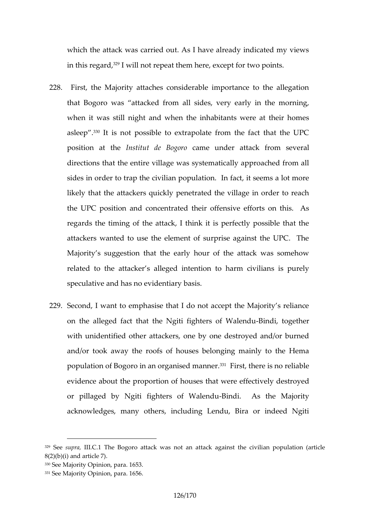which the attack was carried out. As I have already ind in this regarmed, I not repeat them here, except for two poi

- 228.First, the Majority attaches considerable importance t that Bogoro was attad keddes om ealy early in the morning when it was still night and when the inhabitants were asle $e^{\beta} \hat{p}^0$ . 3.1. is not possible to extrapolate from the fact that position at Intentut de Bammerounder attack from several directions to the entire village was systematically approached from all from all from all from all from all from all from all from all from all from all from all from all from all from all from all from all from all from a sides in order to trap the civilian population. In fact, it likely that the attackers quickly penetrated the village the UPC position and concentrativeed ether on this. As regards the timing of the attack, I think it is perfectly attackers wanted to use the element of surprise agains Majority s suggestion that the early hour of the attack related to atthe acker s alleged intention to harm civilians speculative and has no evidentiary basis.
- 229Second, I want to emphasise that I do not accept the M on the alleged fact that the Ngiti Bigmhotierstogeth Wearlendu with unidfeet other attackers, one by one destroyed and and/or took away the roofs of houses belonging mainly population of Bogoro in an org<sup>an</sup> finist, dthearrenes no reliable evidence about the proportion of houses deatroyed effectively or pillaged by Ngiti fighter-Binodi. Wa Assnotthe Majority acknowledges, many others, including Lendu, Bira or

 $329$ Sesupral, I.C.The Bogoro attack was not an attack against the civilian  $8(2)(b)(i)$  and article 7). 330See Majority Opinion, para. 1653.  $331S$ ee Majority Opianda656.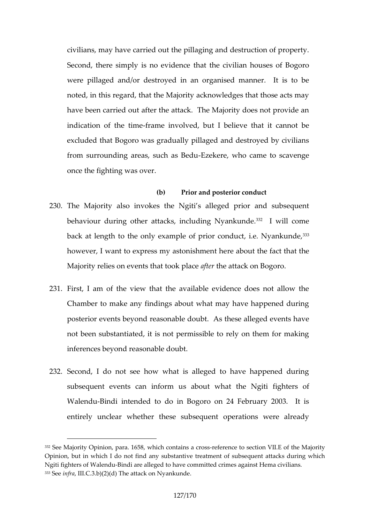civilians, may have carried out the pillaging and destruc Second, there simply isthact the encidian houses of Bogo were pillaged and/or destroyed in an organised manne noted, in this regard, that the Majority acknowledges that have been carried out after the attack. The Majority do indciation of th-eratminee involved, but I believe that it can excluded that Bogoro was gradually pillaged and destroy from surrounding areas, -Esaekeas, Borehdou came to scaveng once the fighting was over.

 $(b)$  Prior and posdeduction

- 230The Majority also invokes the Ngiti s alleged prior and behaviour during other attacks, ine<sup>3</sup> abiwell Nyoam kunde. back at length to the only example of prior  $336$  onduct, i.e. however, I want to express myreas at thought that the fact the fact the fact the fact the fact the fact that the  $\frac{1}{2}$ Majority relies on events athtatheto aothe applia com Bogoro.
- 231 First, I am of the view that the available evidence doe Chamber to make any findings about what may have hap posterior evem to r the associative doubt. As these alleged events in  $\mathbf{r}$ not been substantiated, it is not permissible to rely on inferences beyond reasonable doubt.
- 232Second, I do not see how what is alleged to have happened subsequent events cas aibonofun what the Ngiti fighters Walen Bundi intended to do in Bogoro on 24 February 20 entirely unclear whether these subsequent operations

 $332$ See Majority Opinion, wheirah  $6668$ ain-seate contains to svéldti $E$  of the Majority Opinion, ibuthich I do not find any substantive treatment of subsequent Ngiti fighters of BNabenadue alleged to have committed crimes against Hema  $333S$ e enfrall.C.3.b) $\overline{T}$ 2h)e(da) ttack on Nyankunde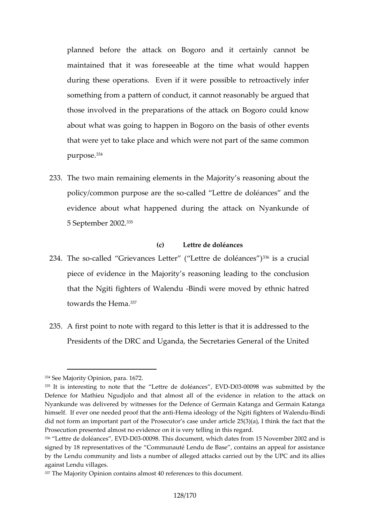planned before the attack on Bogoro and it certainl maintained that ite swe as a bilo at the time what would hap during these operations. Even if it were possible to re something from a pattern of conduct, it cannot reasonab those involved in the preparations of the attack on Bog about what was going to happen in Bogoro on the basis that were yet to take place and which were not part of the  $p$ urpo $\mathcal{S}^3$ ê.

233The two main remaining elements in the Majority s rease policy/common purposecælied the estore de doléances and t evidence about what happened during the attack on N  $5S$  eptember<sup>33</sup> $2002$ .

(c) Lettre de doléances

- 234The scalled Grievances Letter (Let<sup>336</sup>ies dae odroulœiannces) piece of evidence in the Mi**a**jgorliets dsinge aloothe conclusion that the Ngiti fighters-BoifndWaweerretumoved by ethnic hatre towards the  $3$  $H$ ema.
- 235A first point to note with regard to this letter is that it i Presidents of the DRC and Uganda, the f Steer eltrainties  $ds$  General densities  $\epsilon$

<sup>334</sup>See Majority Opinion, para. 1672.

 $335$ It is interesting to note that the  $LEV$ tB $De0$  30e0098 évaans essubmitted by the Defence for Mathiou Nagnudd that almost allnoof the reelvaitdion to the attack Nyankunde was delivered by witnesses for the Defence of Germain Kata himself. If ever one needed pHroema tindætotology aomtithe Ngiti fighterinds of Wale did not form an important part of the Prosecutor s case under article 25( Prosecution presented almost no evidence on it is very telling in this reg 336 Lettrdee doléan, EeVSD 030009T8his document, awtehsich rodm 15 November 2002 and signed by 18 representatives of the Communauté Lendu de Base, conta by the Lendu community and lists a number of alleged attacks carried of against Lendu villages.

<sup>337</sup>The Majority Opinion contains almost 40 references to this document.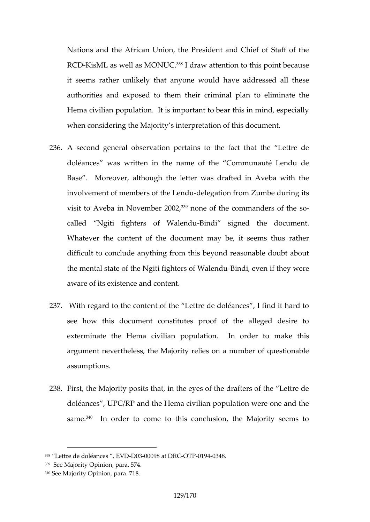Nations and the African Union, the President and Chief RCEXisML as well as <sup>3</sup>MONU@.attention to this point beca it seems rather unlikely that anyone would have addre authorities and exposehdeitocthem and plan to eliminate the Hema civilian population. It is important to bear this in when considering the Majority s interpretation of this do

- 236A second general observation pertains to the fact that doléascewas written in the name of the Communauté Base. Moreover, although the letter was drafted in A involvement of members-obelehometlicendfuom Zumbe during its visit to Aveba in November  $20002$ he commanders of the called  $N$ giti fighters  $e$  Efin Whalesnight and the document. Whatever the content of the document may be, it seer difficult to conclude anything from this beyond reasonal the mental state of the Ngiti fi-Bindie, rse we fin With the medyu were aware of its existence and content.
- 237. With regard to the content of the Lettre de doléances, see how this document constitutes proof of the alleg exterminate the Hema civilian populatizou. this order argument nevertheless, the Majority relies on a number assumptions.
- 238 First, the Majority posits that, in the eyes of the drafter doléances, UPC/RP and the Hema civilian population we sam<sup>3</sup> e. In der to come to this conclusion, the Majority

 $^{338}$  Lettrolee do léanc**és/-D**0300098 at -ODTRPC1904348.

 $339S$ ee Majority Opians  $\overline{a}$ .

 $340S$ ee Majority Opin7d $\delta$ , para.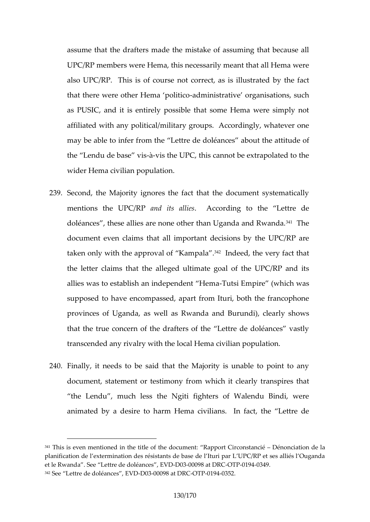assume that the drafters made the mistake of assuming UPC/RP members were Hema, this necessarily meant that also UPC/RP. This is of course not coyrehce, fastis illus that there were other Hema inpost interveduper organisations, su as PUSIC, and it is entirely possible that some Hema w affiliated with any political/military groups. Accordingly may be able to infeer Liertimethe doléances about the attitude of the Lendu de  $b$  as ies this UPC, this cannot be extrapolated wider Hema civilian population.

- 239Second, the Majority ignores the fact that the document mentions the UaPrOd/Ripes salli According to the Lettre de doléances, these allies are none other thanhbiganda and document even claims that all important decisions by t taken only with the approva<sup>342</sup>d fid **Kem**pthe very fact that the lettarms that the alleged ultimate goal of the UPC/ allies was to establish an indTeupt**es** in dempire embanich was supposed to have encompassed, apart from Ituri, both t provinces of Uganda, as well as Rwandya  $s$ ahnodw $s$ urundi), that the true concern of the drafters of the Lettre de do transcended any rivalry with the local Hema civilian pope
- 240 Finally, it needs to be said that the Majority is unable document, statement oromes wthmon by tfrelearly transpires that the Lendu, much less the Ngiti fighters of Walendu animated by a desire to harm Hema civilians. In fact,

 $341$ This is even mentioned tilmet ble entithing approport Circons  $\Omega$  énoinéciation de la planification de l extermination des résistants de base de l Ituri par L U et le RwanSoneaeLettre de doléaneDe0s-30,0Els 920 at ODTRP021994349.  $342S$  e e Lettre de sdo  $E$ 2000 $0098$  at  $-$ ODTRF00194352.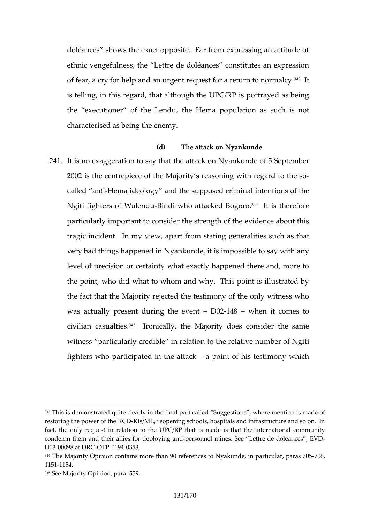doléances shows the exact opposite. Far from expressi ethnic veunlomess, the Lettre de doléances constitutes and of fear, a cry for help and an urgent requestior a return is telling, in this regard, that although the  $\mathsf{UPC}/\mathsf{RP}$  is p the executioner of the Lendpulathies of the surface of the order as  $p$ characterised as being the enemy.

(d) The attack on Nyankunde

241.It is no exaggeration to say that the at  $\mathcal{S}$  apkeombely ankund 2002 is the centrepiece of the Majority s reasoning with called -Hema ideology the supposed criminal intentions Ngiti fighters of BN aldeindulo attacke<sup>3</sup>d<sup>4</sup> Brogsonton.erefore. particularly important to consider the strength of the evidence tragic incident. In my view, apart from b tas inhageneralities and the meral very bad things happened in Nyankunde, it is impossible level of precision or certainty what exactly happened th the point, who did what to whom and why. This point is the fact that the Meaterdity heetestimony of the only witnes was actually present during  $0.2h$ 48 ewhen it comes to civilian cas<sup>3</sup>d<sup>5</sup> Iltioensically, the Majority does consider the witness particularly credible in relation to the relative fighters who participated an ptohion tabilar and testimony which

 $343$ This is demonstrated quite clearly in the final part called Suggestions restoring the power-KeisthMeL, RCeD pening schools, hospitals and infrastructu fact, they onequest in relation to the UPC/RP that is made is that the in condemn them and their allies fooersdoephoeyinSogionenstLiettre de doléances , EV D0300098 at -ODTRF001944353.

 $344$ The Majority Opinion conta $90$  srefferentheas to Nyakunde, in par $0.66$  cular, par 1151154.

 $345S$  ee Majority Opians  $65.9$ .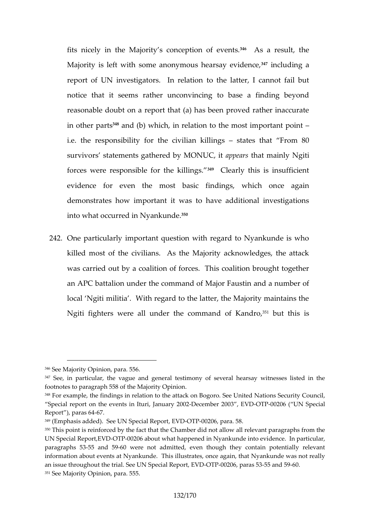fits nicely in the Majority s con<sup>erg</sup>e Apstion roe fsuely, entities. Majority is left with some anonymou<sup>s f</sup>inelaurds any eavidence report of UN investigatorsto the realtatein, al cannot fail but notice that it seems rather unconvincing to base a f reasonable doubt on a report that (a) has been proved in other  $\mathcal{P}$  and  $\mathcal{S}$  (b) which, in relation to the most important point point point point point point point point point point point point point point point point point point point point point point point point p i.e. the pornessibility for the civiliasimatleis lithopest From 80 survivors statements gatherealp**pe almi @tNrd &i**, holigiyiti forces were responsible f<sup>34</sup> Cheakliy lithis. is insufficient evidence for even the most basic friediangesin which demonstrates how important it was to have additional into what occurred in  ${}^{3}N$  y ankunde.

2420ne particularly important question with regard to Nyan killed most of the civilians. As the Majority acknowled was a cried out by a coalition of forces. This coalition b an APC battalion under the command of Major Faustin and and a number of a number of local Ngiti militia. With regard to the latter, the Majo Ngiti fighters were all unded othe Kacno of the communities is

 $346$ See Majo $\Phi$ iptiynion, para. 556.

<sup>347</sup>See, in particular, the vague and general testimony of several hears footnsteparagrha 558 of the Majority Opinion.

<sup>348</sup>For example, the findings in relation to the attack on Bogoro. See Unit Special reporthe events in Ituri, Danamaby 2000 30, THB 0006 ( UN Special Report ),  $pa6\overline{a} s64$ 

 $349$ (Emphasis added). See UN, $\mathbf{E}\psi$ B $\mathbf{Q}$ cT $\mathbf{R}0$  OP2 $\mathbf{\Theta}\rho$  para. 58.

<sup>350</sup>This point is reinforced by the fact that the Chamber did not allow all r UN Special RepOrt, FLEON2LD 6 about what happened in Nyankund bidult are videnc paragraph 555 and 659 were not admitted, even though they contain pote information about events at Nyankunde. This illustrates, once again, that an issue throughout the trial. See VLDPO BFD0@iQa6, Reeap6aa5staa5hBd6599  $351S$ ee Majority Opians $65.5$ .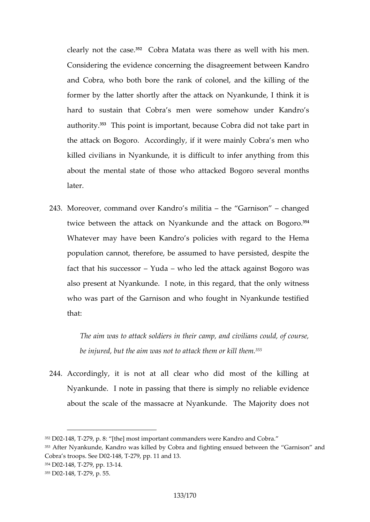clearly not the Cooabsrea. Matata was there as well with his Considering the evidence concerning the disagreement b and Cobra, who both bore the rank of colonel, and the former by the batterasher the attack on Nyankunde, I thin hard to sustain that Cobra s men were somehow und author<sup>358</sup>y. This point is important, because Cobra did not the attack on Bogoro. Accordingly, if it were mainly Co killed civilians in Nyankunde, it is difficult to infer any about the mental state of those who attacked Bogoro later.

243 Moreover, command over Kantohneo sG anrinitia a hanged twice between the attack on Nhyeanaktut adle am dBogoro. Whatever may have been Kandro s policies with regard population cannot, therefore, be assumed to have persi fact that his sule as wo led the attack against Bogoro also present at devankunte, in this regard, that the only who was part of the Garnison and who fought in Nyanke that:

The aim was to attack soldiers in their camp, and civi be injured, but the aim was nbthto the them or kil

244Accordingly, it is not at all clear who did most of the kill Nyankunde. I note in passing that there is simply no reliable to the evidence of about the scale of the massacre at Nyankunde. The M

 $352D02148.279$ , p.  $[$ the] most important commanders were Kandro and Cobra. 353After Nyankunde, Kandro was killed by Cobra and fighting ensued betw Cobra  $\infty$ oprs. See  $\infty$ -279p. p. 11 and 13.  $354D02148, 279$ , pp  $34$  $355D02148, 279$ , p. 55.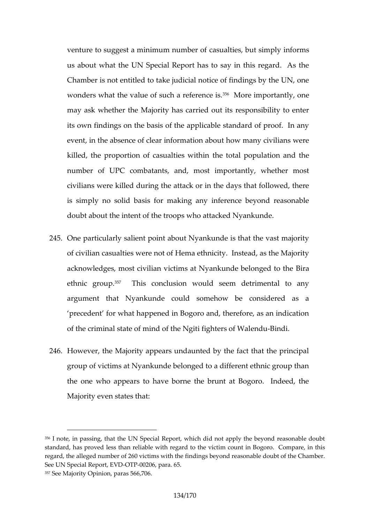venture to suggest a minimous unaut mibes to but simply informs us about what the UN Special Report has to say in this Chamber is not entitled to take judicial notice of finding wonders what the value of su<sup>36</sup>th Mand reeference mistly, one may awhether the Majority has carried out its responsib its own findings on the basis of the applicable standard event, in the absence of clear information about how ma killed, the proportion of catshuealtto easl wondthation and the number of UPC combatants, and, most importantly, w civilians were killed during the attack or in the days that is simply no solid basis for making any inference beyo doubt about the the troops who attacked Nyankunde.

- 245One particularly salient point about Nyankunde is that t of civilian casualties were not of Hema ethnicity. Instea acknowledges, most civilian victims at NyaBikuande belon ethnic  $q \hat{p} \tilde{v}$ up.  $\tilde{a}$ . 357  $\tilde{a}$  and  $\tilde{a}$  and  $\tilde{a}$  and  $\tilde{a}$  are any detrimental to any determination would seem detrimental to  $argument$  that Nyankunde could somehow be considered as  $q$ precedent for what happened in Bogoro and, therefore, of the criminal state of mind of the Mot Billinghters of Wal
- $246$ However, the Majority appears undaunted by the fact the group of victims at Nyankunde belonged to a different et the one who appears to have borne the brunt at Bogor Majority even states that:

 $356$ I note, in passing, that the UN Special Report, which did not apply the standard, has proved less than reliable mwiddouned gian dBologo othose victom pare, in regard, the alleged number of 260 victims with the findings beyond reaso See UN Special Re OD FRO 2E00D pS 5.a.  $357S$ ee Majority Opinion7,06aras 566,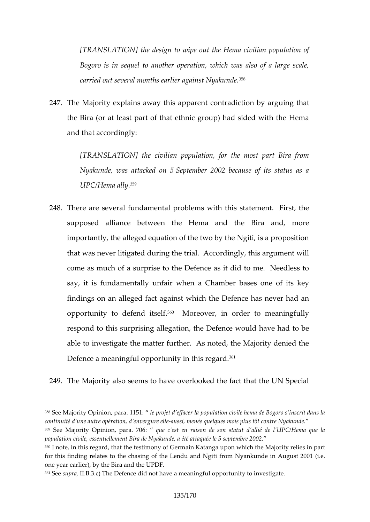[TRNSLATION] design to wipe out the Hema civilian p Bogoro is in sequel to another operation, which was carried out several months eail<sup>9</sup> er against Nyakunde.

247The Majority explains away this apparenting on the adiction the Bira (or at least part of that ethnic group) had side and that accordingly:

[TRANSLATItON] civilian population, for the most part Nyakunde, was at $S$ acc $rk$ ted on  $\infty$  002 because of its status as a as a status as a as as as as  $\infty$  as a status as  $\infty$ UPC/Hemâ<sup>59</sup>ally

248There are several fundamental problems with this state supposed alliance between the Hema and the Bira importantly, the alleged equation of the two by the Ngiti that was never litigated durionng timbogely tritablis **ac** opument will come as much of a surprise to the Defence as it did to say, it is fundamentally unfair when a Chamber bases findings on an alleged fact against which the Defence h opportunity efend its<sup>o</sup> e Moreover, in order to meaningfull respond to this surprising allegation, the Defence would able to investigate the matter further. As noted, the Ma Defence a meaningful opportum<sup>p<sub>pty</sub> in this regard.</sup>

249The Maijtoy also seems to have overlooked the fact that the

<sup>358</sup>See Majority Opin1650:1 peapaojet d effacer la population civile hema de B continuité d une autre opérations, id menéegque le lles mois plus tôt contre l' 359See Majority Opinion, peraste7e0r6: raison de ds antiliétadteut l UPC/Hema que population civile, essentiellement Bira dæe Nyearkbned e2,082 été attaquée le 5 360 note, in this regard, that the testimony of Germain Katanga upon whic for this finding relahtæssing ohethce Lendu and Ngiti from Nyankunde in August 2001 one year earlier), by the Bira and the UPDF.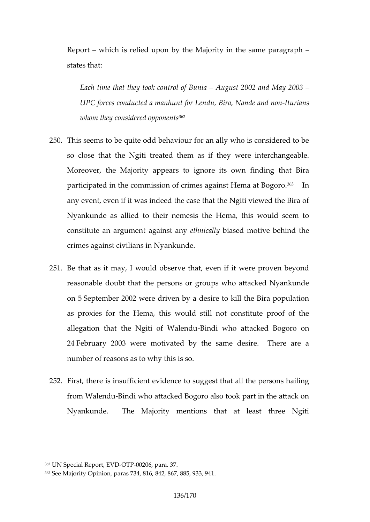Report which is relied upon by the Majority in the same states that:

Each time that they took **kagursot 2002** unaminal May 2003 UPC forces conducted admandament non duetmamid non -Iturians -Iturians -Iturians -Iturians -Iturians -Iturians whom they conside  $\mathbf{f}^{\text{eq}}$  d opponents

- 250This seems to be quite odd behaviour for an ally who is so close that the Ngiti treated them as if they were in Moreover, the Majority appears nto fing unique that as obviral participatende in ommission of crimes agains<sup>es</sup> Himema at Bog any event, even if it was indeed the case that the Ngiti Nyankunde as allied to their nemesis the Hema, this v constitute an anguamines antest matching is allowed motive behind the crimes against civilians in Nyankunde.
- 251Be that as it may, I would observe that, even if it were reasonable doubt that the persons or groups who attack on September 2002 veer by daidesire to kill the Bira popul as proxies for the Hema, this would still not constitut allegation that the Ngiti-Bionfdi W  $\omega$  heandauttacked Bogoro on  $24$ February 2003 were motivated by the same desire. number ead sons as to why this is so.
- 252.First, there is insufficient evidence to suggest that all t from Wale Bindudi who attacked Bogoro also took part in the Nyankunde. The Majority mentions that at least the

<sup>362</sup>UN Special RepoOrt, POED 20 Dp6ara. 37.

<sup>363</sup>See Majority Opinion, paras 734, 816, 842, 867, 885, 933, 941.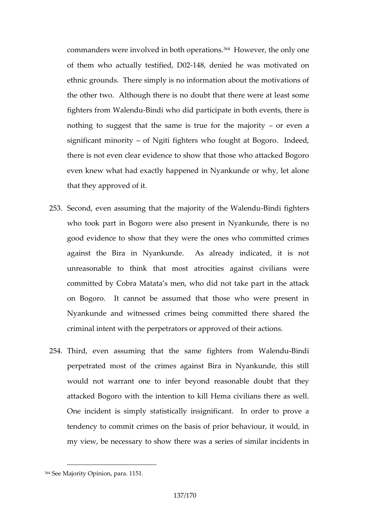commanders nwent weid in both optheline were reproduced only one of them who actually telstifiedde, nile @d2 he was motivated only ethnic grounds. There simply is no information about the the other two. Although there is no doe ast the there we fighters from WaBinechid who did participate in both events, nothing to suggest that the same is troure efvoernible major significant minodrind waiti fighters who fought at Bogoro. In there is not even clear elabod rather those who attacked Bog even knew what had exactly happened in Nyankunde or that they approved of it.

- $253S$  econd, even assuming that the maj-Bonintovi of figthter Walend who took part in Bogoro were alsondees the erroris when ku good evidence to show that they were the ones who cor against the Bira in Nyankunde. As already indicate unreasonable to think that most atrocities against do committed by Cobra Matata s ontetra, key ho ardid nnthe attack on Bogoro. It cannot be assumed that those who we Nyankunde and witnessed crimes being committed ther criminal intent with the perpetrators or approved of their
- 254Third, even assuming mtheatfightheerssa from -BIM ableindu perpetrated most of the crimes against Bira in Nyanku would not warrant one to infer beyond reasonable doubt attacked Bogoro with the intention to kill Hema civilian One incident mass is tatistically insignificant. In order to tendency to commit crimes on the basis of prior behaviour, my view, be necessary to show there was a series of sim

 $364S$ ee Majority Opiand 51.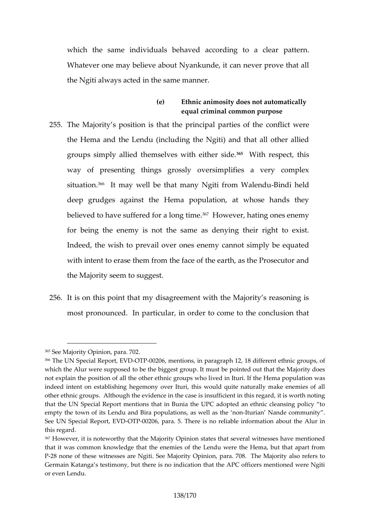which the same individuals behaved apauteling to a c Whatever one may believe about Nyankunde, it can neve the Ngiti always acted in the same manner.

- (e) Ethnic animosity does not automaticall equal criminal common purpose
- 255The Majority s position is that the prcioncipinal powerrteies of the Hema and the Lendu (including the Ngiti) and that groups simply allied themselves<sup>65</sup> which enter semectid  $\phi$  his way of presenting things grossly oversimplifies a v situati $\mathfrak{b}$ n.  $t$  may well be th $\mathfrak{b}$ atit many MaBeinnoldiu held deep grudges against the Hema population, at whose believed to have suffered<sup>36</sup>7d to a doeg, then teing ones enemy for being the enemy is not the same as denying their Indeed, the wish atio over ones enemy cannot simply be with intent to erase them from the face of the earth, as the Prosecutor and  $P$ the Majority seem to suggest.
- 256.It is on this point that my disagreement with the Majorit most pronounced. Iam, piantaicoler to come to the conclusion

## 365 See Majority Opian 7a0 2.

 $366$ The USN pecial Repo- $Q$ THBV  $D$ Orfientions, in paragraph 12, 18 different ethni which the Alur were supposed to be the biggest group. It must be pointe not explain the position of all the othere dethnlitour girolufptshew H-be hive a psopulation indeed intent on establishing hegemony over Ituri, this would quite nat other ethnic groups. Although the evidence in the case is insufficient in that the UN Special Report menthiothes that Ciad Buted an ethnic cleansing empty the town of its Lendu and Bira popula-titournisanas Noveme dile a contrime unriour. See UN Special Re $\varphi$  THO  $\varphi$   $\varphi$  of  $\varphi$  para. 5. There is no reliable information a this redgar

<sup>367</sup>However, it is noteworthy that the Majority Opinion states that several that it was common knowledge that the enemies of the Lendu were the I P-28 none of these witnesses are Ngith., SeeaMajOority TOpi Miagority also re Germain Katanga s testimony, but there is no indication that the APC of or even Lendu.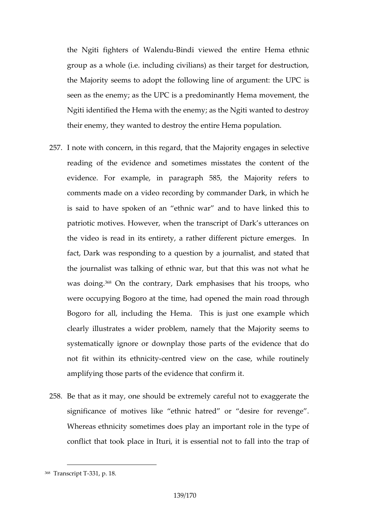the Ngiti fighters o-Bi Wobilevnide wed the entire Hema ethn group as a whole (i.e. including civilians) as their targe the Majority seems to adopt the following line of argum seen as the enemy; as the UPC is a predominantly Hema Ngiti identified the Hema with the enemy; as the Ngiti wanted to destroy the to destroy and the Ngiti wanted to their enemy, they wanted to destroy the entire Hema pop

- 257. note with concern, in this ræjopartdy,  $\theta$ hatades M selective reading of the evidence and sometimes misstates the evidence. For example, in paragraph 585, the Major comments made on a video recording by commander Dark is said to have spokehnic waar and to have linked this patriotic motives. However, when the transcript of Dark the video is read in its entirety, a rather different pict fact, Dark was responding to a question by a tjournalist the journalist was talking of ethnic war, but that this w was doiff On the contrary, Dark emphasises that his tro were occupying Bogoro at the time, had opened the main Bogoro for all, including the Hstemane dThais in pilse jurhich clearly illustrates a wider problem, namely that the Ma systematically ignore or downplay those parts of the ev not fit within its-ceethtme colit wiew on the case, while rout amplifying those pharts vidence that confirm it.
- 258Be that as it may, one should be extremely careful not significance of motives like ethnic hatred or desire Whereas ethnicity sometimes does play an important rol conflit took place in Ituri, it is essential not to fall

<sup>368</sup>Transcri**B81T**, p. 18.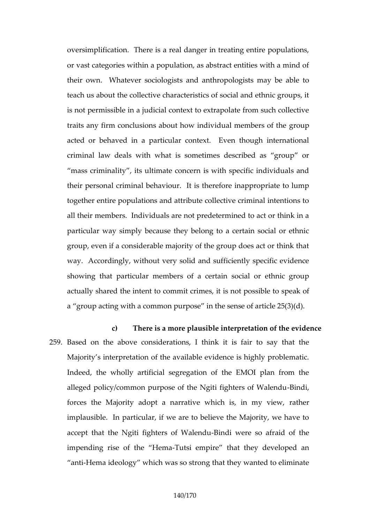oversimplification. There is a real danger in treating e or vast categories within a population, as abstract entition their own. Whatevers saoncologination pologists may be able teach us about the collective characteristics of social and is not permissible in a judicial context to extrapolate from traits any firm conclusions about how indigviodupal member acted or behaved in a particular context. Even though criminal law deals with what is sometimes described a mass criminality, its ultimate concern is with specific their personal criminal behave oure intappropriate to lump together entire populations and attribute collective crim all their members. Individuals are not predetermined to particular way simply because they belong to a certain group, even if a considerable majority of the group does way. Accordingly, without very solid and sufficiently sp showing that particular members of a certain social or actually shared the intenthes, commissimit out possible to speak a group acting with a common purpose in the sense of a

c) There is a more plausible interpretation of t 259Basednthe above considerations, I think it is fair to s Majority s ienttaetriporn of the available evidence is highly problematic. Indeed, the wholly artificial segregation of the EMOI alleged policy/common purpose of the Ng-Bindinghters of forces the Majority adopt a narrative whathers, in my implausible. In particular, if we are to believe the Maj accept that the Ngiti fighteBrisn do if whe allenge afraid of the  $im$  pending rise of  $t$ - $\overline{H}$   $\overline{e}$  at  $H$   $\overline{e}$  and  $\overline{e}$  and  $\overline{e}$  and  $t$  hat they developed an thile maideology which was atshosto that they multiple to eliminate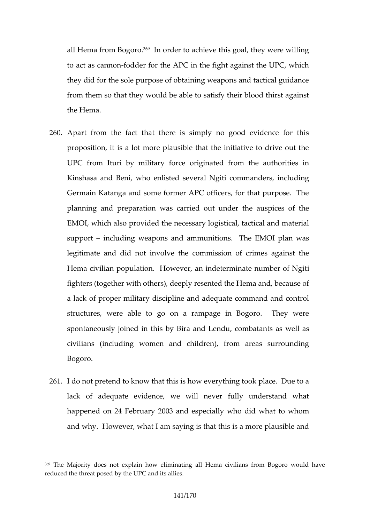all Hema from  $389$ d goorder to achieve this goal, they were to act as efand redder for the APC in the fight against the UI they did for the sole purpose of obtaining weapons and t from hem so that they would be able to satisfy their blood the Hema.

- 260Apart from the fact that there is simply no good evid proposition, it is a lot more plausible that the initiative  $UPC$  from Ituri by miliotaingyinfacted trom the authorities in Kinshasa and Beni, who enlisted several Ngiti command Germain Katanga and some former APC officers, for that planning and preparation was carried out under the au EMOI, which produsied the necessary logistical, tactical and support ncluding weapons and ammunitions. The EMOI legitimate and did not involve the commission of crime Hema civilian population. However, an indeterminate number fighters (together with others), deeply resented the Hem a lack of proper military discipline and adequate comma structures, were able to go on a rampage in Bogoro. spontaneously joined in this by dBoinnab aatmandit be and uwell as civilians (including women and children), from areas Bogoro.
- 261. do not pretend to know that this is how everything took lack of adequate evidence, we will never fully unde happened on  $24rF = 20003$  and especially who did what to and why. However, what I am saying is that this is a mo

<sup>369</sup>The Majority does not explain how eliminating **Biblg blieom avo cuil vail libeanse** fro reduced the threat posed by the UPC and its allies.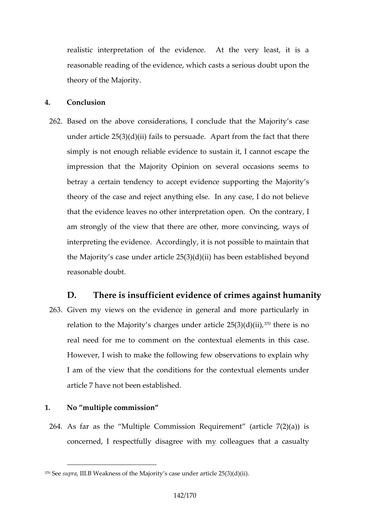realistic interpretation of the evidence. At the very reasonable reading of the evidence, which ncalses a serious theory of the Majority.

- 4. Conclusion
- 262Based on the cabside erations notude that the Majority s c under article  $25(3)(d)(ii)$  fails to persuade. Apart from simply is not enough reliable evidence to a pseust than it, I d impression that the Majority Opinion on several occas betray a certain tendency to accept evidence supportin theory of the case and reject anything else. In any case that the evidence leawnets riportation open. On the contrary am strongly of the view that there are other, more conv interpreting the evidence. Accordingly, it is not possibl the Majority s case under article  $25(3)(d)$  beigonals been established beyond be an established beyond between  $s$ reasonable doubt.
- D. There is insufficient evidence of crimes against 263Given my views on the evidence in general and more particular relation to the Majority s charges un<sup>3</sup> d'@une aretics en  $\alpha$  5(3)(d) real need for me tooncotrhen eandnitextual elements in this However, I wish to make the following few observations I am of the view that the conditions for the contextual article 7 have not been established.
- 1. No multiple commission
	- 264As faars the Multiple Commission Requirement (article concerned, I respectfully disagree with my colleagues

 $370S$ esup,rld I. Weakness of the Majority s case under article  $25(3)(d)(ii)$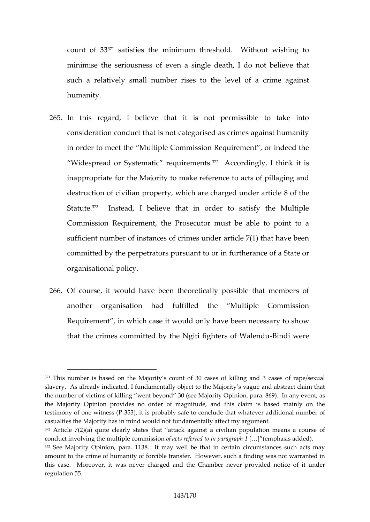count  $o^{471}$  Satisfies the minimum threshold. Without wi minimise the seriousness of even a stinglie dependent. I do such a relatively small number rises to the level of a humanity.

- 265In this regard, I believe that it is not permissible consideration conduct that is not categorised as crimes in order to meeut the M ultiple Commission Requirement, or inde Widespread or Systematic  $374$  According on think it is inappropriate for the Majority to make reference to acts destruction of civilian property, which are combarged under Statute. Instead, I believe that in order to satisfy the Commission Requirement, the Prosecutor must be able sufficient number of instances of crimes under article 7( committed by the perpetrtators rpur stude therance of a State organisational policy.
- 266Of course, it would have been theoretically possible that another organisation had fulfilled the Multiple C Requirement, in which case it would only hoawe been need that the crimes committed by the Ngit-Bifming hit were eof Wale

 $371$ This numbebaised on the Majority s count of 30 cases of killing and 3 slavery. As already indicated, I fundamentally object to the Majority s v the number of victims of killing went beyoindo, npo ar (ase 66M9 a jointy and you event, the Majority Opinion provides no order of magnitude, and this claim testimony of one with a sit (in probably safe to conclude that whatever add casualties the Major inty was id not fundamentally affect my argument.  $372$ Article 7(2)(a) quite clearly states that attack against a civilian po conduct involving the multipolie accot snm esterio end to  $[i\delta_a]$  p (ae mangin and shadded).  $373$ See Moait $\Omega$ piniomara. 138. It may well be that in certain circumstances amount to the crime of humanity of forcible transfer. However, such a fi this case. Moreover, it was never charged and deblen Chiam boefr interned epro regulation 55.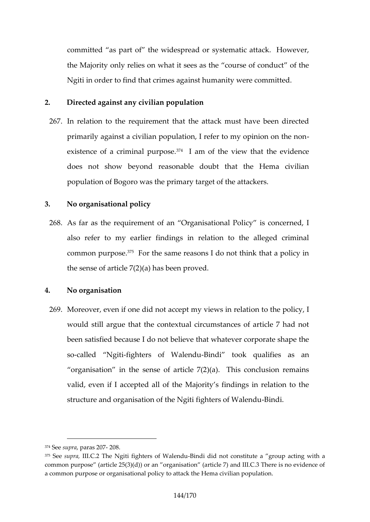committed as part of the widespread or systematic att the Majority only relies on what it sees as the course of Ngiti in order to find that tchimmes an atgrame region mitted.

- 2. Directed against any civilian population
- 267In relation to the requirement that the attack must have primarily against a civilian population, I refer to my opi existence of a crimi $\tilde{r}$  al pourcofosiee view that the evidence does not show beyond reasonable doubt that the  $He$ population of Bogoro was the primary target of the attac
- 3. No organisational policy
- 268As far as the requirement of an Organisational Policy als refer to my earlier findings in relation to the all common purp<sup>5</sup>o Fscer. the same reasons I do not think that a the sense of article 7(2)(a) has been proved.
- 4. No organisation
- 269 Moreover, even if one did not accepunt moy the expolicy rellation to the policy of the policy of the policy of the policy of the policy of the policy of the policy of the policy of the policy of the policy of the polic would still argue that the contextual circumstances of a been satisfied because I do not believe that whatever co socalled Nfggthiters of W-**Biedd**u took qualifies as an organisation insehefsarticle  $7(2)(a)$ . This conclusion valid, even if I accepted all of the Majority s findings structure and organisation of the Ngi-Biindichters of Walen

 $374S$  esupraparas  $2008$ .

<sup>375</sup>Sesuprbl, I.C.T. 2 e Ngiti fighters o-BibMobiled rid unot constitute a group acting commonurpose (article 25(3)(d)) or an organisation  $\alpha$  article  $\alpha$ ) dence of a common purpose or organisational policy to attack the Hema civilian po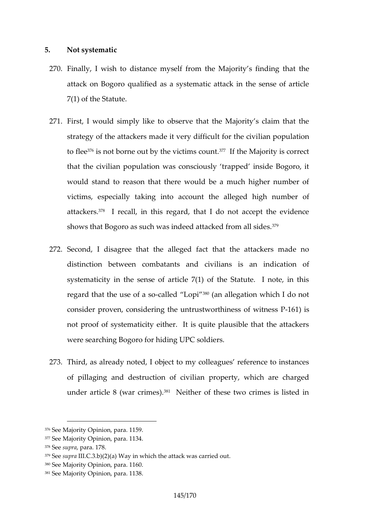## 5. Not systematic

- 270.Finally, I wish to distance mysell fy fsomin dhine g Mtanjat the attack on Bogoro qualified as a systematic attack in th 7(1) of the Statute.
- 271.First, I would simply like to observe that the Majority s strategy of the attackers made it velrivandipfolincullation the c to fl<sup>ee</sup> is not borne out by the <sup>3</sup> Vild time May atity is correct that the civilian population was consciously trapped in would stand to reason that there would be a much high victims, especimadly intualiaccount the alleged high numb attack<sup>3</sup> as a recall, in this regard, that I do not accept the evidence shows that Bogoro as such was indeed  $32^{\circ}$ ttacked from all
- 272Second, I disagree that the alleged fact that the atta distincti between combatants and civilians is an ind systematicity in the sense of article  $7(1)$  of the Statut regard that the  $\psi$ s alloefd a  $\mathbb{R}^3$  and allegation which I do not consider proven, considering the outnutruster of the insess not proof of systematicity either. It is quite plausible were searching Bogoro for hiding UPC soldiers.
- 273Third, as already noted, I object to my colleagues refe of pillaging and destrulctain on roofpectivi, which are charge under article 8 (war Norimes) of these two crimes is liste

 $380S$  ee Majority Oppained  $\triangle$  6.0.

<sup>376</sup>See Majority Opinion, para. 1159.

 $377S$  ee Majority Oppainmai  $\theta$   $\hbar$  34.

 $378S$  e seup road r al. 7.8

 $37\%$ esupral.C.3.b) $\sqrt{2a}$  $\sqrt{2a}$  ain which the attack was carried out

<sup>381</sup>See Majority Oppained d \$38.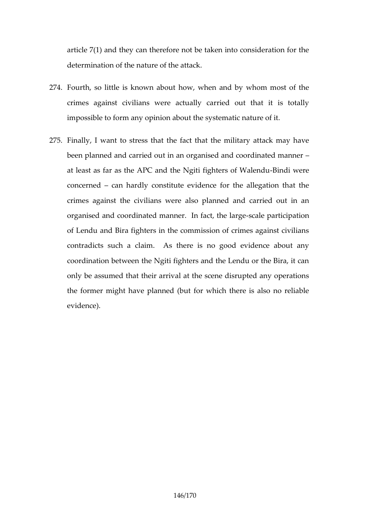article 7(1) and they can therefore not be taken into constant determination of the nature of the attack.

- $274$ . Fourth, so little isouktnown, awhen and by whom most of crimes against civilians were actually carried out that impossible to form any opinion about the systematic nature of
- 275.Finally, I want to stress that the fact that the military been ap ned and carried out in an organised and coordination at least as far as the APC and the Ng-Bitin filig huteernes of Wal concerned an hardly constitute evidence for the allegati crimes against the civilians werde caalsroiepllaonunted n aann organised and coordinated mannerscalle fraactitic threatliarnge of Lendu and Bira fighters in the commission of crimes contradicts such a claim. As there is no good evide coordination beew  $\phi$  and the Lendu or the Bira, it can be when  $\phi$  and the Lendu or the Bira only be assumed that their arrival at the scene disrupte the former might have planned (but for which there is a evidence).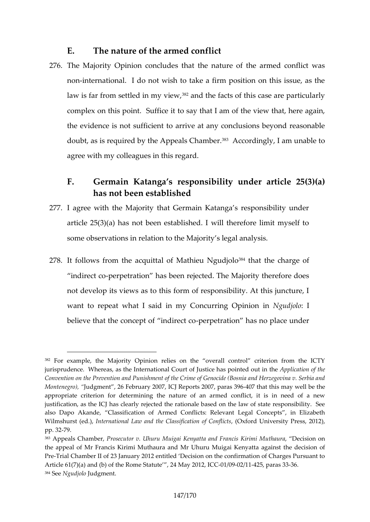E. The nature of the armed conflict

- 276The Majo@intion concludes that the nature of the arme nonnternational. I do not wish to take a firm position on law is far from settle d<sup>82</sup>am om yh ei e w qts of this case are particular complex on this pointo  $S$ au ffilt at it am of the view that, here against that the evidence is not sufficient to arrive at any conclusions doubt, as is required by the  $A^s\beta A$ eadsd $C$ mang beram unable agree with my colleagues in this regard.
	- F. Germain Kopatas responsibility under article has not been established
- 277L agree with the Majority that Germain Katanga s respo article  $25(3)(a)$  has not been established. I will therefore some observations in relatiito nst det the Majorsis.

 $278$ lt follows from the acquittal of  $3$ Mitchtahtietuhe Ngrundajrogleo of

indirect  $x$  copetration has been rejected. The Majority the not develop its views as to this form of responsibility.  $\lambda$ want to rtepweheat I said in my Concurring uno jpoilhoion in believe that the concept-poetrpientd arteion chas no place unde

 $382$ For example, the Majority Opinion relies on the overall control c jurisprudence. Whernetæsr, naatsiot minel I Court of Justice has Appolinct aet do on uno fint htehe Convention on the Prevention and Punishment of the Crime of Genocide ( Monteneguroodgment, 26 February 2007, plaCrua Resportents 12h0687may well be the appropriate criterion for determining the nature of an armed conflict, justification, as the ICJ has clearly rejected the rationale based on the also Dapo Akande, iChasosifacanted Conflicts: Relevant Legal Concepts, Wilmshurst (retobe.r), pational Law and the Class (Doctorion University Conflicts: 20 pp. 3729.

 $383A$ ppeals ChamPhrboesne, cutor v. M. UulikquaKrieun yatta ancids FKriarnimtih aMuura Decision on the appeal of Mr Francis Kirimi Muthaura and Mr Uhuru Muigai Kenyatta PreTrial Chamber II of 23 January 2012 entitled Decision on the confirmation Article  $61(7)(a)$  and (b) ad tutuent B. R204 m Med a Syt  $2001/0.092/0.4025$ , par  $33$ 384Seblgudjollodgment.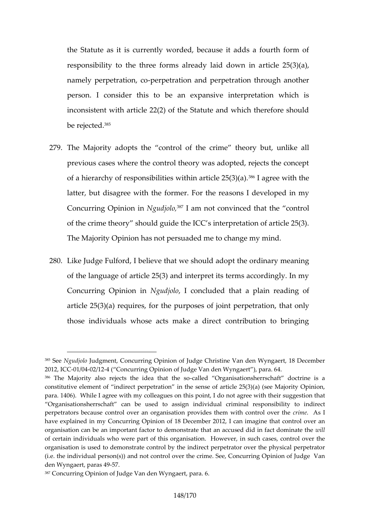the Statute as it is currently worded, because it adds responsibility to the three forms almetical  $\ell$  25( $d$ 3) $d$ (an), in namely perpetraction and perpetration through and person. I consider this to be an expansive interpretation inconsistent with article  $22(2)$  of the Statute and which be reje $e^{\theta}$ eed.

- 279.The Majord by a the control of the crime theory but, unlike  $\alpha$ previous cases where the control theory was adopted, re of a hierarchy of responsibilities  $\mathbf{\hat{w}}$ <sup>p</sup>itherique time ithe 2t $\mathbf{\hat{s}}$ (e3)(a). latter, but disagree with the forms of forme the ender  $m$  y Concurring OpiNicound jith is am not convinced that the control of the crime theory should quide the ICC s interpretation The Maj $\mathbf 0$ pinion has not persuaded me to change my mine
- 280Like Judge Fulflorde Ithban we should adopt the ordinary m of the language of article  $25(3)$  and interpret its terms a Concurring OpinNgudjolo concluded that a plain reading article  $25(3)(a)$  requires, for the purposes and form interpending perpetration on  $25(3)(a)$ those individuals whose acts make a direct contribution

<sup>385</sup>Se Ngudjoludgme@oncurring Opinion of Judge Christine Van den Wyngae 2012, ICC 6042/442 ( Concurring Opinion of Judge Van den Wyngaert ), para.  $386$ The Majority also rejects the -cialle ad the Dtrigt and is sa orionsherrschaft doctrine is a  $60$ constitutive element of indirect perpetration in the sense of article 25 para. 1406). While I agree with  $\mathbf s$ n yo coionltl, eagulous  $\mathbf s$  cootnatghriee with their suggestion that is  $\mathbf s$ Organisationsherrschaft can be used to assign individual criminal r perpetrators because control over an organisation provide enset A sml with c have expediin my Concurring Opinion of 18 December 2012, I can imagir organisation can be an important factor to demonstrate that willaccused of certain individuals who were part of this morguan is a a soens, cholon where over t organisation is used to demonstrate control by the indirect perpetrator o (i.e. the individual person(s)) and not control over the crime. See, Conc den Wyngaert,  $9 - 5a$ ras 4

<sup>387</sup>Concurring Opinion of Judge Vapmandae.n6Wyngaert,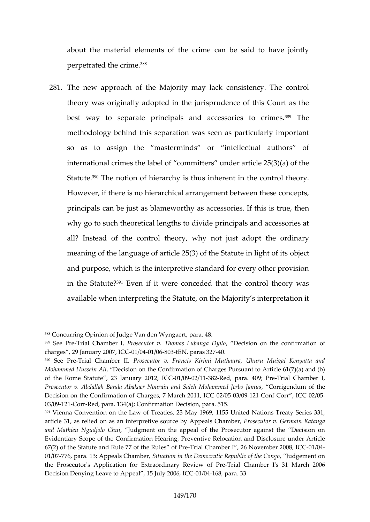about the material elements of the crime can be said  $p$ erpetrated the  $e$  crime.

281The new approach of the Majority may lack consistenc theory was natig adopted in the jurisprudence of this Co best way to separate principals and a<sup>so</sup> cTebes ories to methodology behind this separation was seen as particu so as to assign the masterminds or intellectual international crimes the label of committers under artic Statute. he notion of hierarchy is thus inherent in the co However, if there is no hierarchical arrangement between principals can be just thas botame extrasories. If this is true, why go to such theoretical lengths to divide principals a all? Instead of the control theory, why not just adopt meaning of the language of article  $25(3)$  odbibet Statute in and purpose, which is the interpretive standard for every in the St $e^{i\theta}$ Elvee? if it were conceded that the control th available when interpreting the Statute, on the Majority

<sup>388</sup>Concurring Opinion of Judge Vapmandae.n418Y.yngaert,

 $389$ Se $\oplus$  reTrial Chamb $\oplus$ ernoslecutor v. Thomas, LuDbeanigs ao Dyoiho the confirmation charges, 29 Januar  $\sqrt{912000}$   $\sqrt{70.80030}$  N, para-s 03.27

<sup>390</sup>SeePreTrial Chamber oblecutor v. Francis Kirimi Muthaura, Uhuru Muig Mohammed HusseDiencAslion on the Confirmation of Charges Pursuant to Art of the Rome Statute ,  $212$  JaO  $0.4902$   $/21308$   $R$  ed, para. 4-07  $9$ ial Pr $Q$ ehamber I, Prosecutor v. Abdallah Banda Abakaer Nourain and C Sarlighen Mohamamof mehde Je

Decision on the Confirmation of Charge02/0753M0492e10o2m00tr, ICHO2C/05

<sup>03/092-</sup>CorRed, para. 134(a); Confirmation Decision, para. 515.

 $391$ Vienna Convention on the Law of Treaties, 23 May 1969, 1155 United artic 31 das relied on as an interprAtpipve also u $\Omega$  be Photopes requentor v. KGaetam gaan

and Mathieu Ngudjolod  $G$  ment on the appeal of the Prosecutor against Evidentiary Scope of the Confirmation Hearing, Preventive Relocation and 67(2) of the Statute and Rule 77-TaifalthCeh & mabes lof Profensovem-06/02008, ICC 01/07776, para. 13; AppeasSist Centra on robein, the Democratic Republic of the onCongo and the Congo , Judgement on the oncongo  $1/107776$ , para. 13; AppeasSituation of the oncongo and the  $1/107776$ , para. the Prosecutor's Application for Extraordinaalry Chame beew of Bine March 20 Decision Delneyaing to Appeal, 15 J-01/y/ $@4686$ , pb $@6.33$ .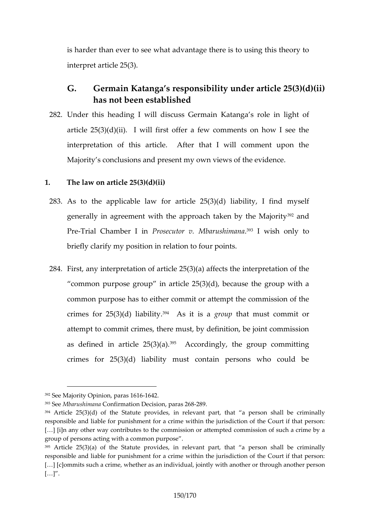is harder than ewehratoad ventage there is to using this the interpret article 25(3).

- G. Germain Katanga s responsibility under artic has not been established
- 282Under this heading I will discuss Germain Katanga s r article  $25(3)(d)(i)$  fifirst lowfier a few comments on how I see interpretation of this article. After that I will comm Majority s conclusions and present my own views of the
- 1. The law on article 25(3)(d)(ii)
- 283As to the applicable law for  $l$ iarbiiditey,  $25(3i)\eta$ d) myself generally in agreement with the approach<sup>92</sup>anden by the PreTrial Chambe-PrbsiencutMrbavrushim?alnavish only to briefly clarify my position in relation to four points.
- 284.First, any interpretatio( $\alpha$ ) of a at fifed et  $\mathcal Q$  and interpretation of common purpose group in article  $25(3)(d)$ , because the common purpose has to either commit or attempt the cor crimes for  $25(3)(d)$  Aisabiit its a utchat must commit or attempot commit crimes, there must, by definition, be joint as defined in artic<sup>op</sup>e  $A2c5c(3s)$  denotally, the group committing crimes for  $25(3)(d)$  liability must contain persons w

 $392S$ ee Majority Oppaimai 6 1161642.

<sup>393</sup>Se MbarushinQen fairmation Depcias book 228698

 $394$ Article 25(3)(d) of the Statute provides, in relevant part, that a p responsible and liable for punishment for a crime within the jurisdiction of [&] [i]n any other way contributes to the commission or attempted commi group of personsit a caincom w mon purpose.

 $395$ Articl $25(3)(a)$  of the Statute provides, in relevant part, that a person responsible and liable for punishment for a crime within the jurisdiction  $[8]$   $[**c**]$  om mits such a crime, whether as anainnod hyeid walth pointly and bither person in the  $n$  $[8]$ .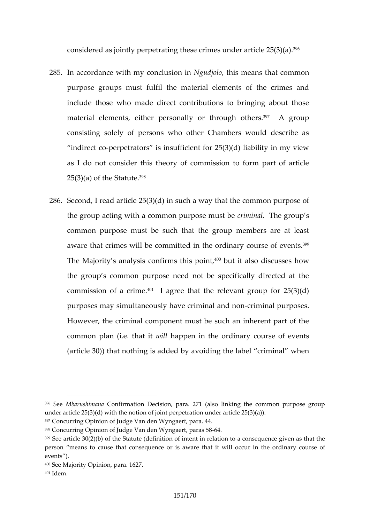considered as jointly perpetrating these  $\mathfrak{D}(\mathfrak{m})$  (as under article 25)

- $285$ .In accordance with my dNonucdiunst himies in that common purpose groups must fulfil the material elements of the include those who made direct contributions to bringin material elements, eitheorpehrsoomgahl<sup>3</sup>O<sup>7</sup>thAergroup consisting solely of persons who other Chambers woul indirect cometrators is insufficient for  $25(3)(d)$  liability as I do not consider this theory of commission to form  $25(3)(a)$  and  $S$  tared te.
- $286S$ econd, I read article  $25(3)(d)$  in such a way that the common the group acting with a common cprumpions. The unstrology is common purpose must be such that the group members aware that crimes will dben ctchme mount denary cour<sup>3g</sup> the vents. The Majority s analysis con<sup>4pp</sup>bmut it this spoint is, cusses how the group s common purpose need not be specifically commission of 4a<sup>1</sup> brangee that the relevant group for 25 purposmesy simultaneously have criminimathed nodunoponses. However, the criminal component must be such an inher common plan (i.e.wilthe extpeth in the ordinary course of events  $(\text{article } 30)$ ) that nothing is addedelby crain moindain gwthheen lab

398Concurring Opinion of Judge Van den 6 Wyngaert, paras 58

<sup>396</sup>Se Mbarushin Camaiirmation Decision, para. 271 (also linking the commo under article  $25(3)(d)$  with the notion of joint perpetration under article 2  $397$ Concurring Opinion of JuWlgy englan and  $44.$ 

 $399$ Seerticle 30(2)(b) of the Statute (definition of intent in relation to a computed as the statute given as that the statute  $(9.11)$ person means to cause that consequence ourisinatwhere eont dientary weblurenco events ).

 $400S$ ee Majority Oppaimai $@217$ .

<sup>401</sup>Idem.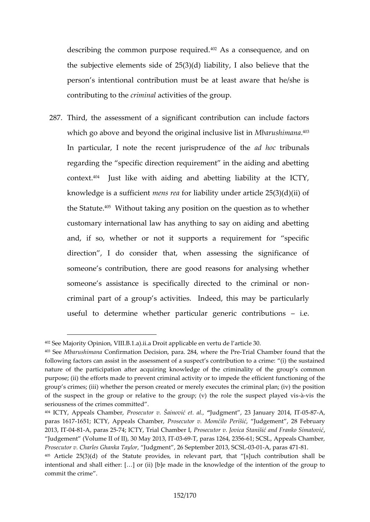describing the common pur  $\beta$  as a expunise duence, and on the subjective elements side of  $25(3)(d)$  liability, I als person s intentional contribution must be at least awar contributing ctronitrhanelctivities of the group.

287Third, the assessment of a significant contribution can which go above and beyond the origMhboalruins blionshime. I ist in In particular, I note the recent juardisphrounchlocolleeunce alsof the regard the specific direction requirement in the aiding contex<sup>4</sup>t. Just like with aiding and abetting liability at knowledge is a snudefinist if reasonability under article  $25(3)(d)$  (iii) the Stat uthout taking anyomod sidious stion as to whether customary international law has anything to say on aidi and, if so, whether or not it supports a requirement direction, I do consider that, when assessing the s someone s comtribution are good reasons for analysing someone s assistance is specifically directed to the c criminal part of a group s activities. Indeed, this may useful to determine whether particular generic contri

<sup>402</sup>See Majority Opinion, VIII.B.1.a).ii.a Droit applicable en vertu de l arti 403SeMbarushimCoomatirmation Doposinsaion, 2008, Prefection Pre-ial Chamber hfootunt blet following factors can assist in the assessment of a suspect s contributio nature of the participation after acquiring knowledge of the criminality purpose; (ii) the efforts madeato aptewient corrimi impede the efficient functi group s crimes; (iii) whether the person created or merely executes the  $\alpha$ of the suspect in the group or relative to the group; (v- $\hat{a}$ -vilise the le role is seriousness of the crimes committed .

<sup>404</sup>ICTY, Appeals C**Raomsbeecnuto animus vet. alludgmen2t3**, January 20051847A, IT

paras 1661571; ICTY, Appeals PCohsæmobeor, v. PMeorinaii Uoudgement, 28 February 2013, OMB 1A, paras 74; 5 ICTY, Trial Chams be utlor v. Jovica Staniai , and Frank Judgement (Volume II of II), 03609TM a wa2 0 31, 26641; 2586 6 L, Appeals Chamber Prosecutor v. Charles Guhuadngkmae Titaylor September 200, 1 paras 8471

 $405$ Article 25(3)(d) of the Statute provides, in relevant part, that [s] intentional and shall either: [&] or (ii) [b]e made in the knowledge of the commit the crime .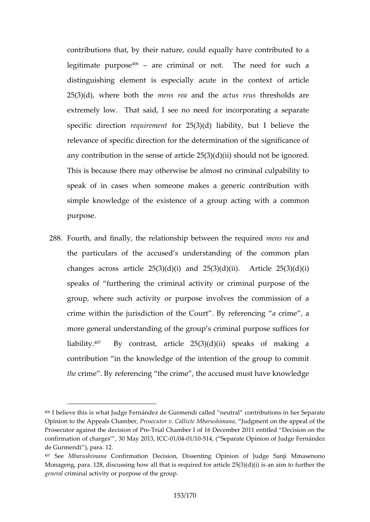contributions that, by their nature, could equally have legitimate pufp assectiminal or not. The need for such distinguishing element is especially acute in the con  $25(3)(d)$ , where bonoetrhs theoread the acture ush resholds are extremely low. That said, I see no need for incorporational specific direction rement  $25(3)(d)$  liability, but I believe relevance of specific direction for the determination of t any contribuntiton in sense of article  $25(3)(d)(ii)$  should not This is because there may otherwise be almost no criminal speak of in cases when someone makes a generic cor simple knowledge of the existence of a a common pacting w purpose.

 $288$ Fourth, and finally, the relationship bnetwee and the requir the particulars of the accused s understanding of the changes across article  $25(3)(d)(i)$  and  $25(3)(d)(ii)$ . speaks of furthee rainig mithal activity or criminal purpose group, where such activity or purpose involves the commission crime within the jurisdiction of the Coaucritime By aeferenci more general understanding of the group s comiminal purp liabil<sup>1</sup><sup>{</sup> $\gamma$ . By contrast, article 25(3)(d)(ii) speaks of contribution in the knowledge of the intention of the gi therime. By referencing the crime, the accused must h

<sup>406|</sup> bælvie this is what Judge Fernández de Gurmendi called neutral cont Opinion to the Appea, Refols and the v. Callixte Milodagons than at, he appeal of the  $\Omega$ Prosecutor against the dTeroiasi Com a mib Perre I wom bid of 12 and 1 entitled Decision on confirmation of charges , 340 1M6044 /245014, CSGeparate Opinion of Judge Fernández de Gurmendi ), para. 12.

<sup>&</sup>lt;sup>407</sup> SeeM barushim Caonnafirm a tion Decision, Dissenting **Opinion Mmo asel nu dinger** Monagepara. 128, discussing how all that is required for article  $25(3)(d)$ genecalminal activity or purpose of the group.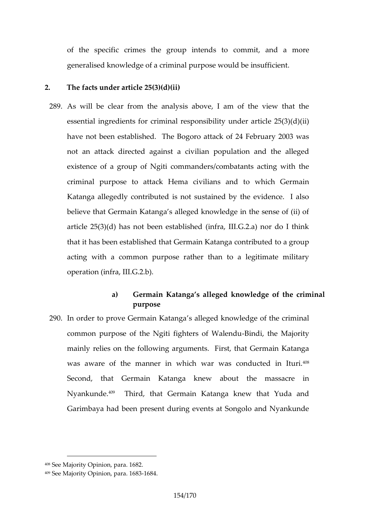of the specific crimes the grocoumpo minite and a tao more generalised knowledge of a criminal purpose would be in

- 2. The facts under article 25(3)(d)(ii)
- 289As will be clear from the analysis above, I am of the essential ingredients for criminal respo $\delta$ 5(8)(id)(iu)der a have not been established. The Bogoro attack of 24 Fe not an attack directed against a civilian population a existence of a group of Ngiti commanders/combatants a criminal purpose to attack a the mandcito which Germain Katanga allegedly contributed is not sustained by the  $\epsilon$ believe that Germain Katanga s alleged knowledge in the article  $25(3)(d)$  has not been established (infra, III.G.2) that has been established that Germain Katanga contributed to a group acting with a common purpose rather than to a legiti operation (infra, III.G.2.b).
	- a) Germain Katanga s alleged knowledge of the purpose
- 290In order to prove Germainal Keaptean gkanowledge of the crimin common purpose of the Ngiti fig-Estiennosi, of he Wallen, notively mainly relies on the following arguments. First, that G was aware of the manner in which war was conducte Second, that ai**G** erkmatanga knew about the massacre Nyankun<sup>e ge</sup>. Third, that Germain Katanga knew that Yud Garimbaya had been present during events at Songolo a

<sup>408</sup>See Majority Opinion, para. 1682.

<sup>409</sup>See Majority Opinion, 1 Ordara. 1683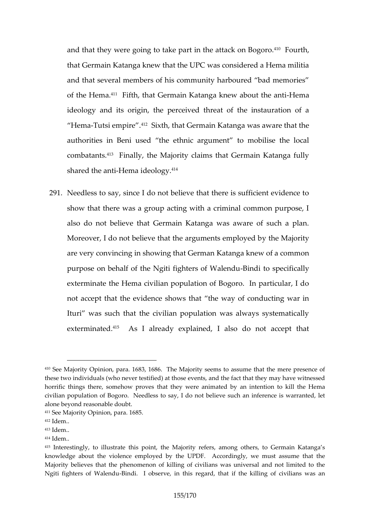and that they were going to take part i<sup>4</sup>n<sup>o</sup> Floeurahtack on B that Germaing **K** aktman w that the UPC was considered a Hem and that several members of his community harboured band of the HtmFaifth, that Germain Katanga kn<del>d</del>we madoout the a ideology and its origin, the perceived threat of the in Hem-Tutsi empiistin, that Germain Katanga was aware that the manuscule of  $\overline{A}$ authorities in Beni used the ethnic argument to mob combatants. the Majority claims that Germain Kata shared the Heammai ideo $4$ <sup>n</sup>ogy.

291Needless yto since I do not believe that there is sufficient show that there was a group acting with a criminal comalso do not believe that Germain Katanga was aware o Moreover, I do not believe that the  $\alpha$  ghene Mhat  $\mathfrak s$  oeintyployed are very convincing in showing that German Katanga kne purpose on behalf of the Ngiti fi-Bintel rst oo fsplikeadie inadaully exterminate the Hema civilian population of Bogoro. In not accept that the eshowdent that the way of conducting w Ituri was such that the civilian population was always extermin<sup>g</sup>feds I already explained, I also do not acc

 $410$ See Majority Opin in 668, 3  $\beta$  86  $\delta$  and Majority seems to assume that the mere these two individuals (who never testified) at those events, and the fact horrific things there, somehow proves that they were antimeated enday an i civilian population of Bogoro. Needless to say, I do not believe such a alone beyond reasonable doubt.

<sup>411</sup>See Majority Opinion, para. 1685.

 $412$  dem.

 $413$  dem..

 $414$  dem.

<sup>415</sup>Interestingly, to illustrate tahjiosripopinefetrise aM mong others, to Germain knowledge about the violence employed by the UPDF. Accordingly, we Majority believes that the phenomenon of killing of civilians was univer Ngiti fighteWsalendu adilobserve, in this regard, that if the killing of ci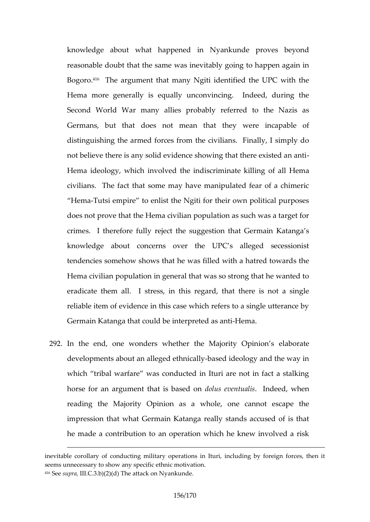knowledge about what happened in Nyankunde prove reasonable daotubheth same was inevitably going to happen Bogot<sup>1</sup> fo. The argument that many Ngiti identified the UPC Hema more generally is equally unconvincing. Indeed Second World War many allies probably referred to the Nazis and Nazis and Nazis and Nazis and Nazis and Nazis a Germans ut that does not mean that they were incap distinguishing the armed forces from the civilians. Finally not believe there is any solid evidence showing that the Hema ideology, which involved the inodiscallin Hiemate killing civilians. The fact that some may have manipulated fe

Hem-Tutsi empire to enlist the Ngiti for their own political does not prove that the Hema civilian population as such crimes. I therefore ecultine suggestion that Germain Ka knowledge about concerns over the UPC s alleged tendencies somehow shows that he was filled with a hat Hema civilian population in general that was so strong that eradate them all. I stress, in this regard, that there reliable item of evidence in this case which refers to a s Germain Katanga that could be -**Hema.** reted as anti

292.In the end, one wonders whether the eMangioratty Opinion developments about an all $\bigcirc$  as detidenod and the way in which tribal warfare was conducted in Ituri are not in horse for an argument thad to lius beased tubandiesed, when reading the Majority sOpinwolme, one cannot escape the impression that what Germain Katanga really stands ace he made a contribution to an operation which he knew in

inevitable corollary of conducting military operations in Ituri, including seems unnecessary to show any specific ethnic motivation.  $416S$ esupr $Id$ , C.3.b) $T_A(x)$ (da) ttack on Nyankunde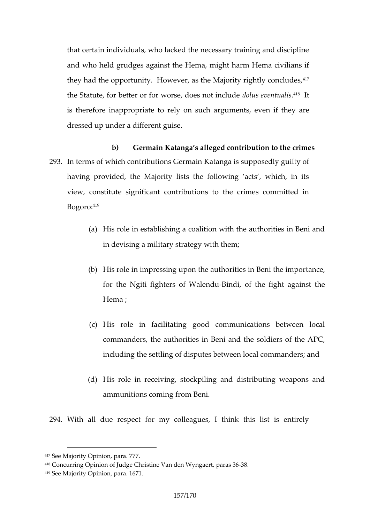that certain individuals, who lacked the necessary traini and wheld grudges against the Hema, might harm Hema they had the opportunity. However, as the Majority rightly the Statute, for better or for wor**se**, uslo es not hold all in slude is therefore inappropriate to meetynton estue the iding huey are dressed up under a different guise.

b) Germain Katanga s alleged contribution to the 293In terms of which contributions Germain Katanga is supp having provided, the Majority lists the following acts view, constitute significant contributions to the crimes  $B \circ g \circ f \circ g$ :

- (a)His role in establishing a coalition with the autho in devising a military strategy with them;
- $(b)$ His role in impressing upon the authortian exergin Ben for the Ngiti fighters -Boind Walendu e fight against Hema ;
- $(c)$ His role in facilitating good communications  $b$ commanders, the authorities in Beni and the sold including the settling of disputers manature  $\theta$  and all communications in  $\theta$
- (d) His role in receiving, stockpiling and distributin ammunitions coming from Beni.

294 With all due respect for my colleagues, I think this

<sup>417</sup>See Majority Opinion, para. 777.

<sup>4&</sup>lt;sup>18</sup>Concurring Opinion of Judge Christine aVan B-3886 n Wyngaert,

 $419S$  ee Majority on  $D$  parrial  $671$ .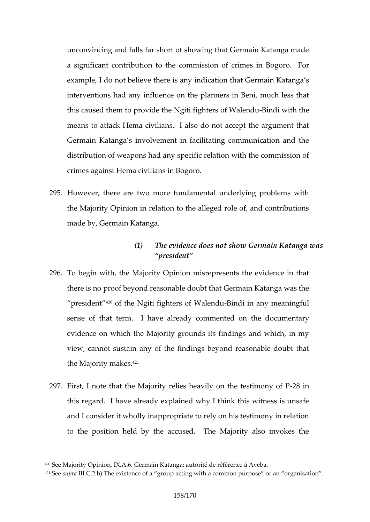unconvincing and falls far short of showing that Germain a signit contribution to the commission of crimes in example, I do not believe there is any indication that Go interventions had any influence on the planners in Beni this caused them to provide to if the Waldia fight the the means to attack Hema civilians. I also do not accept the argument the argument that Germain Katanga s involvement in facilitating communic distribution of weapons had any specific relation with the crimes agaimat chive ilians in Bogoro.

- 295However, there are two more fundamental underlying p the Majority Opinion in relation to the alleged role of, a made by, Germain Katanga.
	- (1) The evidence does not show Germain Ka president
- 296To ben with, the Majority Opinion misrepresents the evi there is no proof beyond reasonable doubt that Germain preside<sup>n</sup> of the Ngiti fighters -Boin Wialen almuy meaningful sense of that term. I have alreadolye colomonente alrown evidence on which the Majority grounds its findings and view, cannot sustain any of the findings beyond reason the Majority  $4$  $M$  akes.
- 297 First, I note that the Majority relies heav-218y ionn the test ths regard. I have already explained why I think this w and I consider it wholly inappropriate to rely on his test to the position held by the accused. The Majority al

 $42^{\circ}$ See Majopitty i Onl X. 6Germain Katanga: autorité de référence à Aveba.

 $421$ Sesupra II.C.  $2T$ . the existence of a ating word to paracommon purpose or an organisation .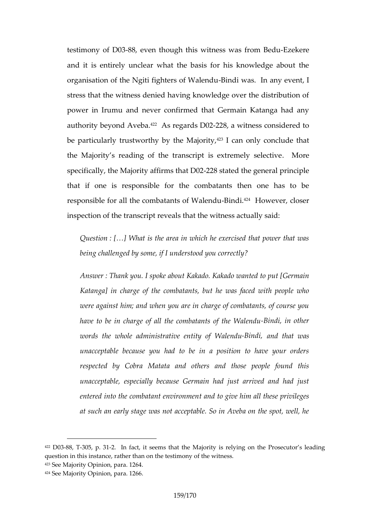testimony o-88D, Oe3ven though the basis wheat from ExBeoksoche and it is entirely unclear what the basis for his knowl organisation of the Ngiti figh $B$ erdi ow a My ald ndainy event, I stress that the witness denied having knowledge over the power in muruand never confirmed that Germain Katanga authority beyon $\theta^2$  A sebeagards  $2$   $\mathcal{D}\infty$ ,  $2$  a witness considered to be particularly trustworthy b<sup>2</sup>y<sup>3</sup>l the Mbanilo rit pnclude that the Majority s reading of the transcript is Mexeremely selection specifically, the Majority  $\mathcal{Q}f\mathcal{Z}$  Brms that the  $2q$  eneral principl that if one is responsible for the combatants then o responsible for all the comba-Baint s<sup>4</sup> Howe we med aloser inspection of the transs that the waitness actually said:

Question : What is the area in which he exercised that power that was area in which he exercised that being challenged by some, if I understood you correct

AnswerThank you abost patted to kakado wanted to put [Ge Katanga] in odhar e ecombatants, but he was faced with were against him; and when you are in charge of coml have to be in charge of all the combibination it the other wall words the whole administrativeBioendaintow bolfat Wavlaes and u unacceptable because you had to be in a position respected by Cobra Matata and others and those unacceptable, especially because Germain had just entered into the combattant environment all these privileges at such an early stage was not acceptable. So in Avel

 $422D0388$ ,  $3T05$ , p $-2.311n$  fact, it seems that the Majority is relying on the question in this instance, rather than on the testimony of the witness. 423See Majority Opinion, para. 1264.  $424S$  ee Majorpiitry i On, p1a2r6a6.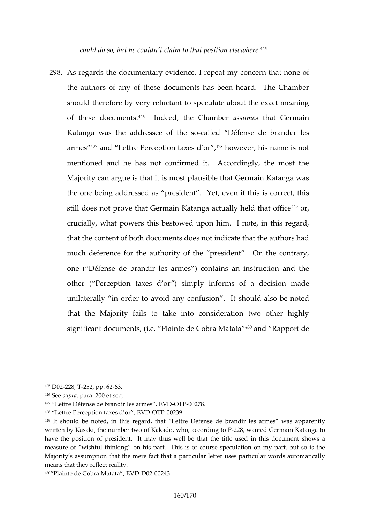could do s $\infty$ , obut donhete in to that posit<sup>42</sup> on else where.

298.As regards the document arrive poet and enning equation that none of the ahuors of any of these documents has been heard. should therefore by very reluctant to speculate about the of these doc $\mathfrak{t}$  imendseed, the Chansins benotes at Germain Katanga was the addressceedle of the fest see ele lessand arme<sup>4</sup> s<sup>7</sup>and Lettre Perception t<sup>28</sup> hap we sevel rothis name is not mentioned and he has not confirmed it. Accordingly, Majority can argue is that it is most plausible that Germ the one being addressed asset preexed dentithis is correct, the still does not prove that Germain Katanga<sup>429</sup>ortually held crucially, what powers this bestowed upon him. I note, that the content of both documents does not indicate that much deference for the authority of the president.  $O(n)$ one ( Défense de brandir les armes ) contains an instr other ( Perception  $\theta$  a seisn pdyor informs of a decision made unilaterally in order to avoid as wood takso nbe noted that the Majority fails to take into consideration two significant documents, (i.e. Plaint?) and be Rappa Mondteata

 $425D02228, 252$ , pp. 636.2

 $426S$ esuprapar $2a0$  @ t seq.

427 Lettre Défense de brand VDO TRO0268.,

<sup>428</sup> <code>Lettre Perception</code> ,the  $\overline{\text{BA}}$  Corrolled  $239$  .

 $429$ It should be nohtesd, reigratd, that Lettrebr $a$  enfobeins beensed eaw anse sapparently written Kasaki, the number two of Kakado, -2w218o, waand end Gongrminca iPh Katanga have the position of president. It may thus well be that the stiale used measure of wishful thinking on his part. This is of course speculatio Majority s assumption that the mere fact that a particular letter uses pa means that they reflect reality. 430 Plaintee Colobra Matata 0 0 2020 02043.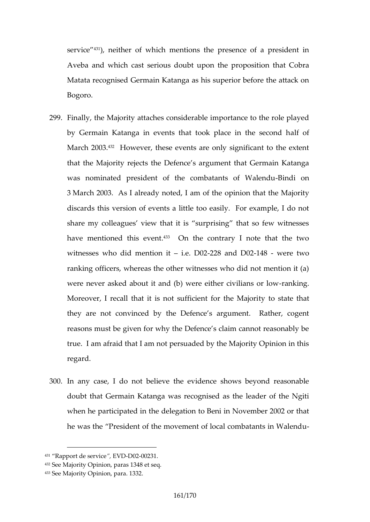servi $e^3\phi$ ,neither of which mentions the presence of a pr Aveba and which oal as to use the upon the proposition that  $C$ Matata recognised Germain Katanga as his superior befo Bogoro.

- 299Finally, the Majority attaches considerable importance t by Germain Katanga in events that took apfaoe in the March  $24030B$ owever, these events are only significant to that the Majority rejects the Defence s argument that G was nominated president of the combailmadhits on f Walen 3 March 2003. As I already not the idion at the abit the bear of the Majority discards this version of events a little too easily. For share my colleagues view that it is surprising that s have mentioned th<sup>33</sup> Onvethe contrary I note that the two witnesses wdhomednitioniie. D20228 and -1D4032 were two ranking officers, whereas the other witnesses who did n were never asked about it and  $(b)$  were-ranther civilians Moreover, I recall that it is not suttwiction estate that Majori they are not convinced by the Defence s argument. reasons must be given for why the Defence s claim cann true. I am afraid that I am not persuaded by the Majorit regard.
- 300In any case, ot belineve the evidence shows beyond rea doubt that Germain Katanga was recognised as the lead when he participated in the delegation to Beni in Novem he was the President of the movement of low-al combata

 $431$  Rapport de se $E$  Wild  $200231$ .

<sup>432</sup>See Majority Opinion, paras 1348 et seq.

<sup>433</sup>See Majority Opinion, para. 1332.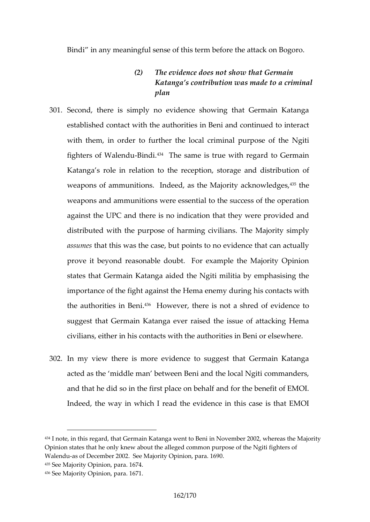Bindi in any meaningful sense of this term before the at

- (2) The evidence does not show that Germain Katanga s contribution was made to a cr plan
- 301Second, there is simply no evidence showing that Ger established comtand wuthorities in Beni and continued to with them, in order to further the local criminal purpos fighters of W-Biad  $\mathbf{d}$ . The same is true with regard to German  $\mathbf{d}$ Katanga s role in relation to the receptuion, soto rage and  $\mathbf x$ weapons of ammunitions. Indeed, as the <sup>43</sup> the and the acknowledge solutions. weapons and ammunitions were essential to the success against the UPC and there is no indication that they we distributed with the purpos  $e$  ivilians mithe Majority simpl assumest this was the case, but points to no evidence that prove it beyond reasonable doubt. For example the Ma states that Germain Katanga aided the Ngiti militia by  $\epsilon$ importae of the fight against the Hema enemy during his the authorities<sup>43</sup> $\theta$ rHoBwenwer, there is not a shred of evide suggest that Germain Katanga ever raised the issue of civilians, either in his contactive swith  $B$ the in authoring the  $\epsilon$  in Beni or elsewhere.
- 302Ln my view there is more evidence to suggest that Ge acted as the middle man between Beni and the local Ng and that he did so in the first place on behalf and for the Indeed, tange iw which I read the evidence in this case is

<sup>434</sup> note, in this regard, that Germain Katanga went to Beni in November 2 Opinism hates that he only knew about the alleged common purpose of the N Walendus of December 2002. See Majority Opinion, para. 1690. 435See Majority Opinion, para. 1674. 436See Majority Opinion, para. 1671.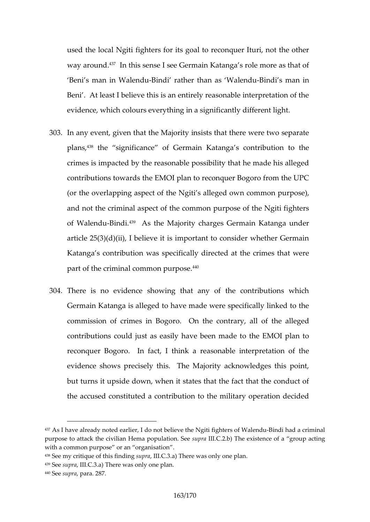used the local Ngiti fighters for its goal to reconquer It way aro t<sup>3</sup> in this sense I see Germain Katanga s role mo Benis man in  $\overline{\mathbb{B}}$  ian deinduather thalen alphain Morias man in Beni . At least I believe this is an entirely reasonable in evidence, which colours everything in a significantly diff

- 303Ln any event, given that the Majority insists that there v plan<sup>as</sup>, the significance of Germain Katanga s contribution crimes is impacted by the reasonable possibility that he contributions towards the EMOI plan to reconquer Bogoro (or the overlapping aspect of the  $N$  gim m  $S$  naldequends  $\mathbf{e}$  )  $\mathbf{w}$ and not the criminal aspect of the common purpose of the of WalenBdud<sup>39</sup> As the Majority charges Germain Katanga article  $25(3)(d)(ii)$ , I believe it is important to consider Katanga s contwiasut intectually directed at the crimes that part of the criminal com $4$   $100$  purpose.
- 304There is no evidence showing that any of the contributions Germain Katanga is alleged to have made were specifically commission of crimecs.  $in$ OBotohoer contrary, all of the alleged  $i$ contributions could just as easily have been made to th reconquer Bogoro. In fact, I think a reasonable inter evidence shows precisely this. The Majority acknowled bututns it upside down, when it states that the fact that the accused constituted a contribution to the military operation

<sup>437</sup>As I have already notobeod neo atribier hi, e ive the Ngiti figh-Bioin mand and a conrol on inal purpose to attack the civilian Hemuap publique and  $\mathcal{S}$  behave of a acting goup with a common purpose or an organisation 438See my critique of thuips, rial in Grand Gringhere was only one plan 439Sesuprial.C. 3Thaore was only one plan  $440S$ esuprapar $2a8.7$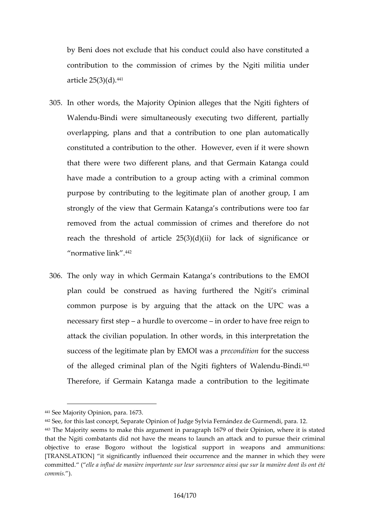by Beni does not exclude that his conduct could also ha contribution to the commissbionthoef Napiinhiesmilitia under article  $2.5^{4}(43)(d)$ .

- 305.In other words, the Majority Opinion alleges that the N Walen Bundi were simultaneously executing two differen overlappim dans and that a contribution to dyne plan auto constituted a contribution to the other. However, even that there were two different plans, and that Germain have made a contribution to a group acting with a crim purpose by contributing to the of leagnibinhear equiplanm, I am strongly of the view that Germain Katanga s contributio removed from the actual commission of crimes and the reach the threshold of article  $25(3)(d)(ii)$  for lack of  $n$ ormative  $442n$ k.
- 306The only way in which Germain Katanga s contributions plan could be construed as having furthered the Ng common purpose is by arguing that the attack on the necessary firsathsutedple to overincommober to heavree iform to attack the civilian population. In other words, in this in success of the legitimate plap reovo EN folio to thas sauccess of the alleged criminal plan of the NgitBindthenters of W Therefore, if Getamagia Made a contribution to the legit

<sup>441</sup>See Majority Opinion, para. 1673.

 $442$ See, for this last conceptor Septatuade e Opylvia Fernández de Gurmendi, pa  $443$ The Majority seems to make this arg1u6m7@nbfinthpeara@uppenhoen it is stated that the Ngiti combatants did not have the means to launch an attack a object to erase Bogoro without the logistical support in weapons [TRANSLATION bignificantly influenced their occurrence and the manner committe(de. Ile a influé de manière importante sur lae wma suivèree nobannote i lasinosmit qé commis. ).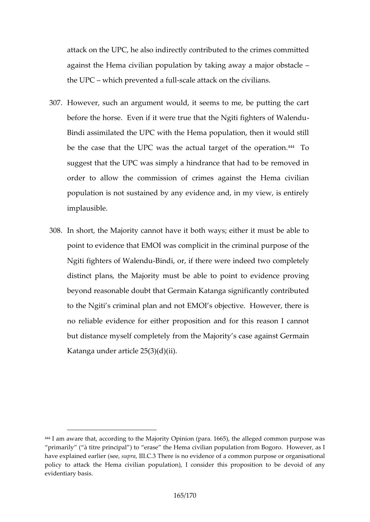attack on the UPC, he also indirectly contributed to the against the Hema civilian population by taking away a m the UP $\circ$ hich preventesd caleuslitack on the civilians.

- 307. However such an argument would, it seems to me, be put before hase Even if it were true that the Ngiti fighters of Bindi assimilated the UPC with the Hema population, the be the case that the UPC was tto be take the  $\frac{1}{4}$  table on. suggest that the UPC was simply a hindrance that had to order to allow the commission of crimes against the population is not sustained by any evidence and, in my implausible.
- 308.In shtq the Majority cannot have it both ways; either it r point to evidence that EMOI was complicit in the crimina Ngiti fighters of-BNadendur, if there were indeed two comp distinct plans, the Majorit  $\psi$  ompuss in the oable dence proving beyond reasonable doubt that Germain Katanga significa to the Ngiti s criminal plan and not EMOI s objective. **H** no reliable evidence for either proposition and for this but dastce my soeth fpletfelbym the Majority s case against Ger Katanga under article 25(3)(d)(ii).

<sup>444</sup> am aware that, according to the Majority Opinion (para. 1665), the all primarily ( à titre principal ) to erase the Hema civilian population from have explain bide re (ssuepe, dl. CT here is no evidence of a common purpose or o policy to attack the Hema civililan comospionleatiton in propodseivion in the angle evidentiary basis.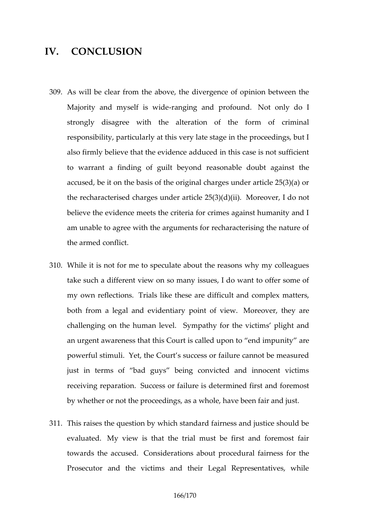## IV. CONCLUSION

- 309As will be clear from the above, the divergence of opin Majority and mysel-fansgiwideand profilomundnly do I stron gly disagree with the alteration of the form of responsibility, particularly at this very late stage in the also firmly believe that the evidence adduced in this cas to warrant a finding of guiltabley od out breason painst the accused, be it on the basis of the original charges under the recharacterised charges unde $M$  are  $\alpha v$  er  $25(3b)$  (d) $(4i)$ . believe the evidence meets the criteria for crimes again am uarble to agree with the arguments for recharacterising the armed conflict.
- 310While it is not for me to speculate about the reasons wh take such a different view on so many issues, I do want  $my$  own reflections. The these are difficult and complex both from a legal and evidentiar Woop converof the beyw are challenging on the human plet helifor the victims plight and  $\alpha$ an urgent awareness that this Court is crailtlyed auppon to end in the impute  $\alpha$ powerful stimutl, the Court s success or failure cannot be just in terms of bad guys being convicted and inno receiving repaSuctionents or failure is determined first and by whether or not thespacscaewinmode, have been fair and ju
- 311This raises the question by which standard fairness and evaluate by view is that the trial must be first and for towards the accounseed erations about procedural fairness Prosecutor and the victims and their Legal Representatives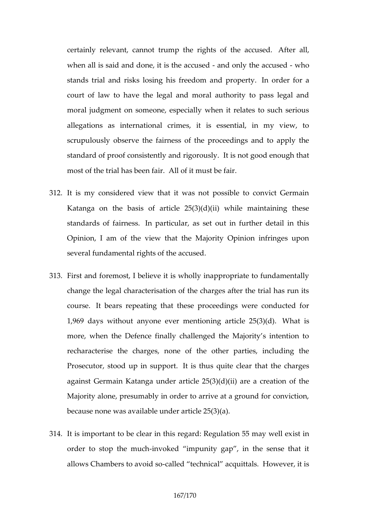certainly relevant, cannot trump the righttesr  $\alpha$  filthe accu when all is said and done, it ind the yather seemed hupsed stands trial and risks losinged hoiso preentend commoder for a court of law to have the legal and moral authority to moral judgment on someone, especially when it relates allegations as international crimes, it is essential, i scrupulously eothervairness of the proceedings and to a standard of proof consistently tainsd not good the sugh that most of the trial ha $\triangle$ Ib  $\oplus$   $\oplus$  nitfaniust be fair.

- $312$ .It is my considered view that it was not possible to compare Katanga on the basis of article  $25(3)(d)(ii)$  while maintaining the set of article 25(3) $(d)(ii)$  while main standards of fain peassicular, as set out in further detail Opinion, I am of the view that the Majority Opinion in several fundamental rights of the accused.
- 313.Fist and foremost, I believe it is wholly inappropriate to change the legal characterisation of the charges after the courset. bears repeating that these proceedings were c 1,969 days without anyoneing weartimotent 2c5M(73h)a(td)is more, when the Defence finally challenged the Majority recharacterise the charges, none of the other parties Prosecutor, stood up limisuphous tquite clear that the cha against  $G$ erm Katanga under article  $25(3)(d)(ii)$  are a cre Majority alone, presumably in order to arrive at a ground because none was available under article 25(3)(a).
- $314$ It is important to be clear in this regard: Regundation 55 order to stop the vooked impunity gap, in the sense the allows Chambers to caal voedd tseachnical alco quue trearls, it is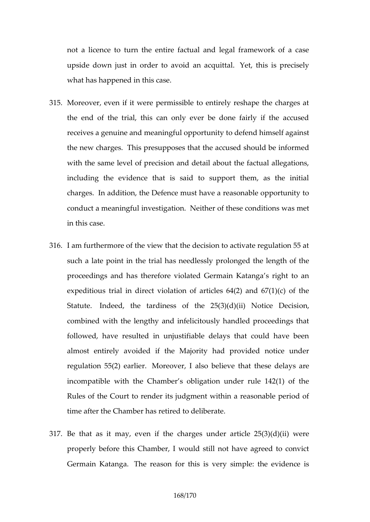not a licence to turn the entire factual and legal fram upside down just in order acquited. this is precisely what has happened in this case.

- 315Moreover, even if it were permissible to entirely reshap the end of the trial, this can only ever be done fairly receives a genuine and meaniithy gful doepf put himself agains the new chalrigies presupposes that the accused should be with the same level of precision and detail about the fa including the evidence that is said to support them, charges. addition, the Defence must have a reasonable o conduct a meaningful in Weels high a bib nihese conditions was m in this case.
- 316. am furthermore of the view that the decision to activat such a late pointalinhaben ereidlessly prolonged the length proceedings and has therefore violated Germain Katang expeditious trial in direct violation of articles  $64(2)$  ard Statutendeed, the tardiness of the  $25(3)\phi$ ch)(ii) Notice combined with the lengthy and infelicitously handled pr followed, have resulted in unjustifiable delays that co almost entirely avoided if the Majority had provided regulation  $55(2)$  Meae beer, I also that these delays are incompatible with the Chamber s obligation under rule Rules of the Court to render its judgment within a reasonable time after the Chamber has retired to deliberate.
- 317Be that as it may, even ufndbe  $x$  that  $\deg$  s25(3)(d)(ii) were properly before this Chamber, I would still not have ag Germain Katameareason for this is very simple: the evidence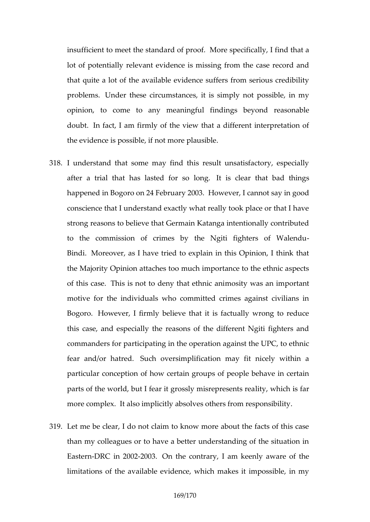insufficient to meet the staM  $d$  aeds peed ficcoafl.ly, I find that lot fopotentially relevant evidence is missing from the c that quite a lot of the available evidence suffers from serious problem ander these circumstances, it is simply not pose opinion, to come to any megaintgeful binderasonable doubt n fact, I am firmly of the view that a different int the evidence is possible, if not more plausible.

- 318L understand that some may find this result unsatisfac after a trial that has llast that for clear that bad things happened in Bogoro on 24 Fletwrewerry, 2002a3n.not say in good conscience that I understand exactly what really took place strong reasons to believe that Germain Katanga intention to the commission of crimes by the Ngiti-fighters of BindMoreover, as I have tried to explain in this Opinion the Majority Opinion attaches too much importance to the of this classies. is not to deny threat seithnwice samain important motive for the individuals who committed crimes again Bogorb.owever, I firmly believe that it is factually wrong this case, and especially the reasons of the different I commanders ritoripating in the operation against the UPC, fear and/or h& troehd. oversimplification may fit nicely wi particular conception of how certain groups of people b parts of the world, but I fear it grobisty, miniscupines fants reading the meaning of the world, but I fear it grobisty, miniscupines fants reading to the world, but I fear it grobisty, miniscupines fants reading to the w more complitealso implicitly absolves others from respons
- 319 Let me be clear, I do not claim to know more about the than my colleagues or to have a better understanding of EasteDRC in 02200030n the contrary, I am keenly aware of limitations of the available evidence, which makes it im